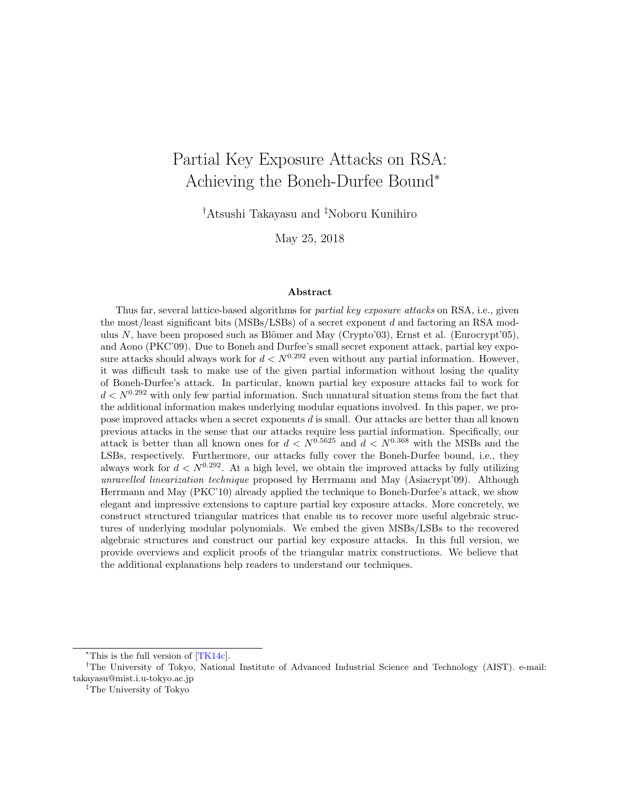# Partial Key Exposure Attacks on RSA: Achieving the Boneh-Durfee Bound*<sup>∗</sup>*

*†*Atsushi Takayasu and *‡*Noboru Kunihiro

May 25, 2018

#### **Abstract**

Thus far, several lattice-based algorithms for *partial key exposure attacks* on RSA, i.e., given the most/least significant bits (MSBs/LSBs) of a secret exponent *d* and factoring an RSA modulus  $N$ , have been proposed such as Blömer and May (Crypto'03), Ernst et al. (Eurocrypt'05), and Aono (PKC'09). Due to Boneh and Durfee's small secret exponent attack, partial key exposure attacks should always work for  $d < N^{0.292}$  even without any partial information. However, it was difficult task to make use of the given partial information without losing the quality of Boneh-Durfee's attack. In particular, known partial key exposure attacks fail to work for  $d < N^{0.292}$  with only few partial information. Such unnatural situation stems from the fact that the additional information makes underlying modular equations involved. In this paper, we propose improved attacks when a secret exponents *d* is small. Our attacks are better than all known previous attacks in the sense that our attacks require less partial information. Specifically, our attack is better than all known ones for  $d < N^{0.5625}$  and  $d < N^{0.368}$  with the MSBs and the LSBs, respectively. Furthermore, our attacks fully cover the Boneh-Durfee bound, i.e., they always work for  $d < N^{0.292}$ . At a high level, we obtain the improved attacks by fully utilizing *unravelled linearization technique* proposed by Herrmann and May (Asiacrypt'09). Although Herrmann and May (PKC'10) already applied the technique to Boneh-Durfee's attack, we show elegant and impressive extensions to capture partial key exposure attacks. More concretely, we construct structured triangular matrices that enable us to recover more useful algebraic structures of underlying modular polynomials. We embed the given MSBs/LSBs to the recovered algebraic structures and construct our partial key exposure attacks. In this full version, we provide overviews and explicit proofs of the triangular matrix constructions. We believe that the additional explanations help readers to understand our techniques.

*<sup>∗</sup>*This is the full version of [TK14c].

<sup>&</sup>lt;sup>†</sup>The University of Tokyo, National Institute of Advanced Industrial Science and Technology (AIST). e-mail: takayasu@mist.i.u-tokyo.ac.jp

*<sup>‡</sup>*The University of Tokyo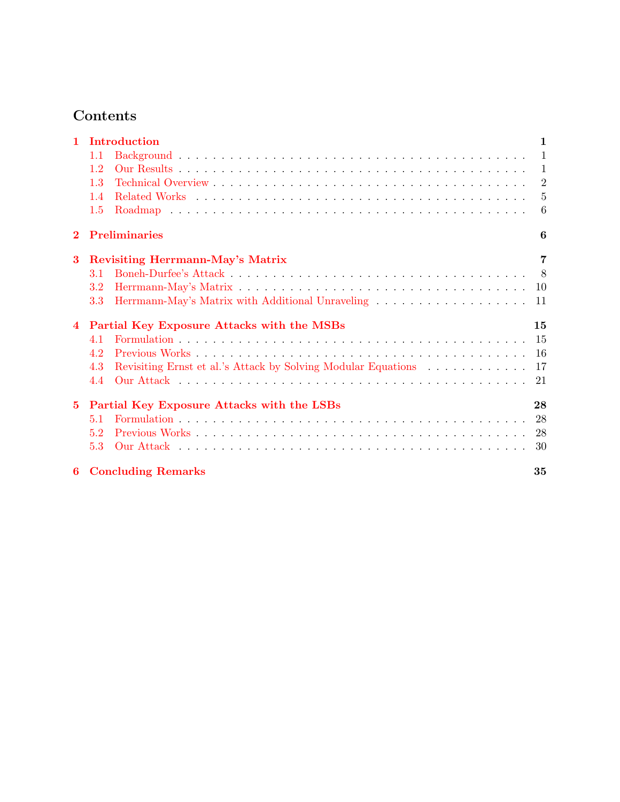# **Contents**

| $\mathbf{1}$   | Introduction                               | $\mathbf{1}$   |
|----------------|--------------------------------------------|----------------|
|                | 1.1                                        | $\mathbf{1}$   |
|                | 1.2                                        | $\mathbf{1}$   |
|                | 1.3                                        | $\overline{2}$ |
|                | 1.4                                        | $\overline{5}$ |
|                | 1.5                                        | 6              |
| $\mathbf{2}$   | Preliminaries                              | $\bf{6}$       |
| 3              | <b>Revisiting Herrmann-May's Matrix</b>    | $\overline{7}$ |
|                | 3.1                                        |                |
|                | 3.2                                        |                |
|                | 3.3                                        |                |
| $\overline{4}$ | Partial Key Exposure Attacks with the MSBs | 15             |
|                | 4.1                                        |                |
|                | 4.2                                        |                |
|                | 4.3                                        |                |
|                | 4.4                                        |                |
| $5^{\circ}$    | Partial Key Exposure Attacks with the LSBs | 28             |
|                | 5.1                                        |                |
|                | 5.2                                        |                |
|                | 5.3                                        |                |
|                | <b>6</b> Concluding Remarks                | 35             |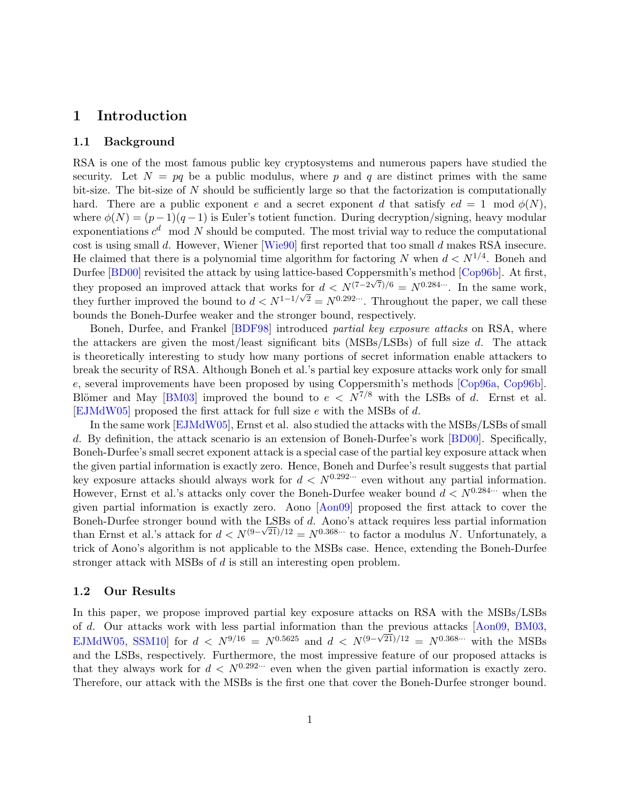# **1 Introduction**

## **1.1 Background**

RSA is one of the most famous public key cryptosystems and numerous papers have studied the security. Let  $N = pq$  be a public modulus, where p and q are distinct primes with the same bit-size. The bit-size of *N* should be sufficiently large so that the factorization is computationally hard. There are a public exponent *e* and a secret exponent *d* that satisfy  $ed = 1 \mod \phi(N)$ , where  $\phi(N) = (p-1)(q-1)$  is Euler's totient function. During decryption/signing, heavy modular exponentiations  $c^d \mod N$  should be computed. The most trivial way to reduce the computational cost is using small *d*. However, Wiener [Wie90] first reported that too small *d* makes RSA insecure. He claimed that there is a polynomial time algorithm for factoring *N* when  $d < N^{1/4}$ . Boneh and Durfee [BD00] revisited the attack by using lattice-based Coppersmith's method [Cop96b]. At first, they proposed an improved attack that works for  $d < N^{(7-2\sqrt{7})/6} = N^{0.284\cdots}$ . In the same work, they further improved the bound to  $d < N^{1-1/\sqrt{2}} = N^{0.292}$ ···. Throughout the paper, we call these bounds the Boneh-Durfee weaker and the stronger bound, respectively.

Boneh, Durfee, and Frankel [BDF98] introduced *partial key exposure attacks* on RSA, where the attackers are given the most/least significant bits (MSBs/LSBs) of full size *d*. The attack is theoretically interesting to study how many portions of secret information enable attackers to break the security of RSA. Although Boneh et al.'s partial key exposure attacks work only for small *e*, several improvements have been proposed by using Coppersmith's methods [Cop96a, Cop96b]. Blömer and May [BM03] improved the bound to  $e < N^{7/8}$  with the LSBs of *d*. Ernst et al. [EJMdW05] proposed the first attack for full size *e* with the MSBs of *d*.

In the same work [EJMdW05], Ernst et al. also studied the attacks with the MSBs/LSBs of small *d*. By definition, the attack scenario is an extension of Boneh-Durfee's work [BD00]. Specifically, Boneh-Durfee's small secret exponent attack is a special case of the partial key exposure attack when the given partial information is exactly zero. Hence, Boneh and Durfee's result suggests that partial key exposure attacks should always work for  $d < N^{0.292 \cdots}$  even without any partial information. However, Ernst et al.'s attacks only cover the Boneh-Durfee weaker bound  $d < N^{0.284\cdots}$  when the given partial information is exactly zero. Aono [Aon09] proposed the first attack to cover the Boneh-Durfee stronger bound with the LSBs of *d*. Aono's attack requires less partial information than Ernst et al.'s attack for  $d < N^{(9-\sqrt{21})/12} = N^{0.368\cdots}$  to factor a modulus *N*. Unfortunately, a trick of Aono's algorithm is not applicable to the MSBs case. Hence, extending the Boneh-Durfee stronger attack with MSBs of *d* is still an interesting open problem.

#### **1.2 Our Results**

In this paper, we propose improved partial key exposure attacks on RSA with the MSBs/LSBs of *d*. Our attacks work with less partial information than the previous attacks [Aon09, BM03, EJMdW05, SSM10] for  $d < N^{9/16} = N^{0.5625}$  and  $d < N^{(9-\sqrt{21})/12} = N^{0.368}$ ··· with the MSBs and the LSBs, respectively. Furthermore, the most impressive feature of our proposed attacks is that they always work for  $d < N^{0.292 \cdots}$  even when the given partial information is exactly zero. Therefore, our attack with the MSBs is the first one that cover the Boneh-Durfee stronger bound.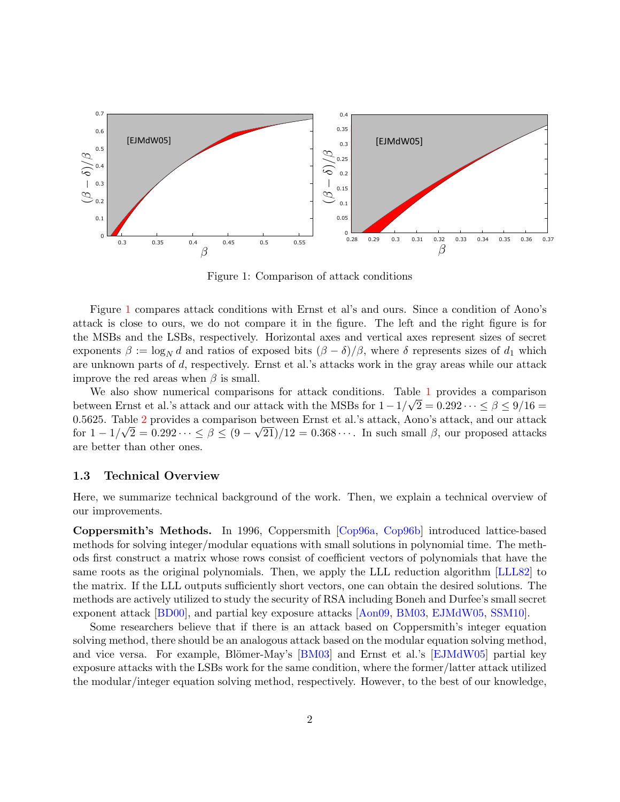

Figure 1: Comparison of attack conditions

Figure 1 compares attack conditions with Ernst et al's and ours. Since a condition of Aono's attack is close to ours, we do not compare it in the figure. The left and the right figure is for the MSBs and the LSBs, respectively. Horizontal axes and vertical axes represent sizes of secret exponents  $\beta := \log_N d$  and ratios of exposed bits  $(\beta - \delta)/\beta$ , where  $\delta$  represents sizes of  $d_1$  which are unknown parts of *d*, respectively. Ernst et al.'s attacks work in the gray areas while our attack improve the red areas when  $\beta$  is small.

We also show numerical comparisons for attack conditions. Table 1 provides a comparison *√* between Ernst et al.'s attack and our attack with the MSBs for  $1 - 1/\sqrt{2} = 0.292 \cdots \le \beta \le 9/16 =$ 0*.*5625. Table 2 provides a comparison between Ernst et al.'s attack, Aono's attack, and our attack *√ √* for  $1 - 1/\sqrt{2} = 0.292 \cdots \le \beta \le (9 - \sqrt{21})/12 = 0.368 \cdots$ . In such small  $\beta$ , our proposed attacks are better than other ones.

## **1.3 Technical Overview**

Here, we summarize technical background of the work. Then, we explain a technical overview of our improvements.

**Coppersmith's Methods.** In 1996, Coppersmith [Cop96a, Cop96b] introduced lattice-based methods for solving integer/modular equations with small solutions in polynomial time. The methods first construct a matrix whose rows consist of coefficient vectors of polynomials that have the same roots as the original polynomials. Then, we apply the LLL reduction algorithm [LLL82] to the matrix. If the LLL outputs sufficiently short vectors, one can obtain the desired solutions. The methods are actively utilized to study the security of RSA including Boneh and Durfee's small secret exponent attack [BD00], and partial key exposure attacks [Aon09, BM03, EJMdW05, SSM10].

Some researchers believe that if there is an attack based on Coppersmith's integer equation solving method, there should be an analogous attack based on the modular equation solving method, and vice versa. For example, Blömer-May's [BM03] and Ernst et al.'s [EJMdW05] partial key exposure attacks with the LSBs work for the same condition, where the former/latter attack utilized the modular/integer equation solving method, respectively. However, to the best of our knowledge,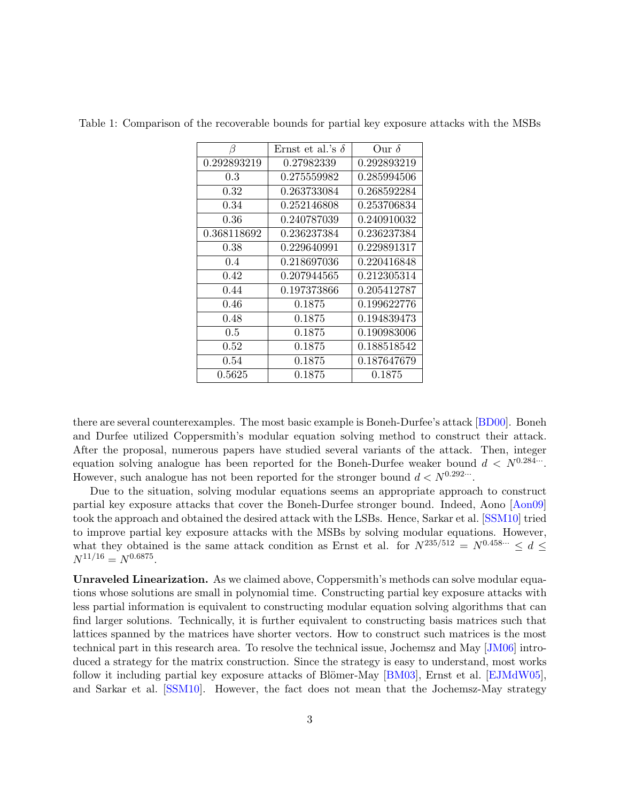| B            | Ernst et al.'s $\delta$ | Our $\delta$ |
|--------------|-------------------------|--------------|
| 0.292893219  | 0.27982339              | 0.292893219  |
| 0.3          | 0.275559982             | 0.285994506  |
| $0.32\,$     | 0.263733084             | 0.268592284  |
| 0.34         | 0.252146808             | 0.253706834  |
| 0.36         | 0.240787039             | 0.240910032  |
| 0.368118692  | 0.236237384             | 0.236237384  |
| 0.38         | 0.229640991             | 0.229891317  |
| 0.4          | 0.218697036             | 0.220416848  |
| 0.42         | 0.207944565             | 0.212305314  |
| 0.44         | 0.197373866             | 0.205412787  |
| 0.46         | 0.1875                  | 0.199622776  |
| 0.48         | 0.1875                  | 0.194839473  |
| 0.5          | 0.1875                  | 0.190983006  |
| 0.52         | 0.1875                  | 0.188518542  |
| 0.54         | 0.1875                  | 0.187647679  |
| $\,0.5625\,$ | 0.1875                  | 0.1875       |

Table 1: Comparison of the recoverable bounds for partial key exposure attacks with the MSBs

there are several counterexamples. The most basic example is Boneh-Durfee's attack [BD00]. Boneh and Durfee utilized Coppersmith's modular equation solving method to construct their attack. After the proposal, numerous papers have studied several variants of the attack. Then, integer equation solving analogue has been reported for the Boneh-Durfee weaker bound  $d < N^{0.284\cdots}$ . However, such analogue has not been reported for the stronger bound  $d < N^{0.292 \cdots}$ .

Due to the situation, solving modular equations seems an appropriate approach to construct partial key exposure attacks that cover the Boneh-Durfee stronger bound. Indeed, Aono [Aon09] took the approach and obtained the desired attack with the LSBs. Hence, Sarkar et al. [SSM10] tried to improve partial key exposure attacks with the MSBs by solving modular equations. However, what they obtained is the same attack condition as Ernst et al. for  $N^{235/512} = N^{0.458 \cdot \cdot \cdot} \le d \le$  $N^{11/16} = N^{0.6875}.$ 

**Unraveled Linearization.** As we claimed above, Coppersmith's methods can solve modular equations whose solutions are small in polynomial time. Constructing partial key exposure attacks with less partial information is equivalent to constructing modular equation solving algorithms that can find larger solutions. Technically, it is further equivalent to constructing basis matrices such that lattices spanned by the matrices have shorter vectors. How to construct such matrices is the most technical part in this research area. To resolve the technical issue, Jochemsz and May [JM06] introduced a strategy for the matrix construction. Since the strategy is easy to understand, most works follow it including partial key exposure attacks of Blömer-May  $[BM03]$ , Ernst et al.  $[EMdW05]$ , and Sarkar et al. [SSM10]. However, the fact does not mean that the Jochemsz-May strategy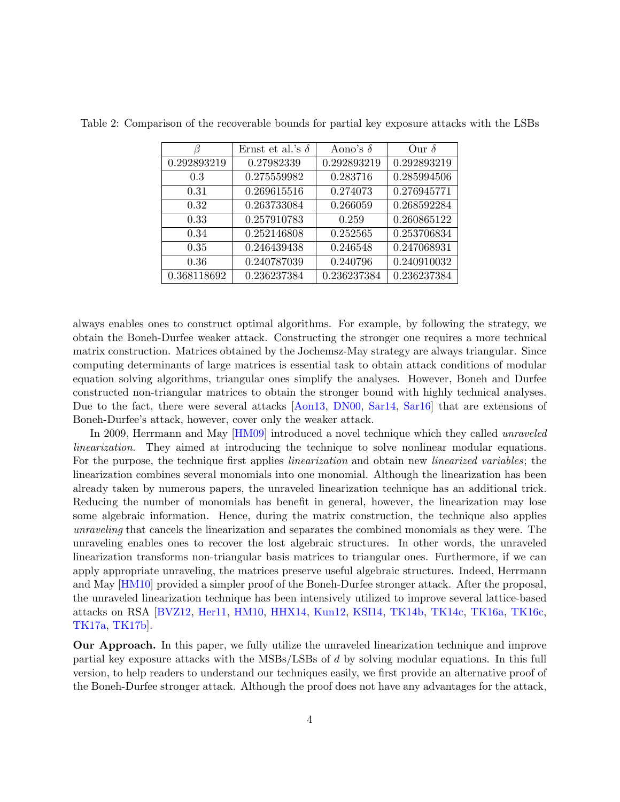|             | Ernst et al.'s $\delta$ | Aono's $\delta$ | Our $\delta$ |
|-------------|-------------------------|-----------------|--------------|
| 0.292893219 | 0.27982339              | 0.292893219     | 0.292893219  |
| 0.3         | 0.275559982             | 0.283716        | 0.285994506  |
| 0.31        | 0.269615516             | 0.274073        | 0.276945771  |
| 0.32        | 0.263733084             | 0.266059        | 0.268592284  |
| 0.33        | 0.257910783             | 0.259           | 0.260865122  |
| 0.34        | 0.252146808             | 0.252565        | 0.253706834  |
| 0.35        | 0.246439438             | 0.246548        | 0.247068931  |
| 0.36        | 0.240787039             | 0.240796        | 0.240910032  |
| 0.368118692 | 0.236237384             | 0.236237384     | 0.236237384  |

Table 2: Comparison of the recoverable bounds for partial key exposure attacks with the LSBs

always enables ones to construct optimal algorithms. For example, by following the strategy, we obtain the Boneh-Durfee weaker attack. Constructing the stronger one requires a more technical matrix construction. Matrices obtained by the Jochemsz-May strategy are always triangular. Since computing determinants of large matrices is essential task to obtain attack conditions of modular equation solving algorithms, triangular ones simplify the analyses. However, Boneh and Durfee constructed non-triangular matrices to obtain the stronger bound with highly technical analyses. Due to the fact, there were several attacks [Aon13, DN00, Sar14, Sar16] that are extensions of Boneh-Durfee's attack, however, cover only the weaker attack.

In 2009, Herrmann and May [HM09] introduced a novel technique which they called *unraveled linearization*. They aimed at introducing the technique to solve nonlinear modular equations. For the purpose, the technique first applies *linearization* and obtain new *linearized variables*; the linearization combines several monomials into one monomial. Although the linearization has been already taken by numerous papers, the unraveled linearization technique has an additional trick. Reducing the number of monomials has benefit in general, however, the linearization may lose some algebraic information. Hence, during the matrix construction, the technique also applies *unraveling* that cancels the linearization and separates the combined monomials as they were. The unraveling enables ones to recover the lost algebraic structures. In other words, the unraveled linearization transforms non-triangular basis matrices to triangular ones. Furthermore, if we can apply appropriate unraveling, the matrices preserve useful algebraic structures. Indeed, Herrmann and May [HM10] provided a simpler proof of the Boneh-Durfee stronger attack. After the proposal, the unraveled linearization technique has been intensively utilized to improve several lattice-based attacks on RSA [BVZ12, Her11, HM10, HHX14, Kun12, KSI14, TK14b, TK14c, TK16a, TK16c, TK17a, TK17b].

**Our Approach.** In this paper, we fully utilize the unraveled linearization technique and improve partial key exposure attacks with the MSBs/LSBs of *d* by solving modular equations. In this full version, to help readers to understand our techniques easily, we first provide an alternative proof of the Boneh-Durfee stronger attack. Although the proof does not have any advantages for the attack,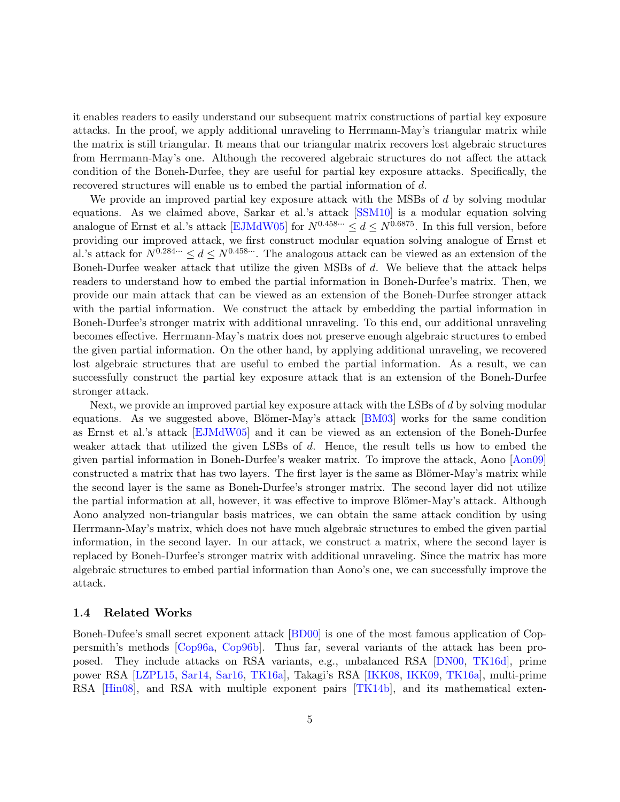it enables readers to easily understand our subsequent matrix constructions of partial key exposure attacks. In the proof, we apply additional unraveling to Herrmann-May's triangular matrix while the matrix is still triangular. It means that our triangular matrix recovers lost algebraic structures from Herrmann-May's one. Although the recovered algebraic structures do not affect the attack condition of the Boneh-Durfee, they are useful for partial key exposure attacks. Specifically, the recovered structures will enable us to embed the partial information of *d*.

We provide an improved partial key exposure attack with the MSBs of *d* by solving modular equations. As we claimed above, Sarkar et al.'s attack [SSM10] is a modular equation solving analogue of Ernst et al.'s attack [EJMdW05] for  $N^{0.458\cdots} \leq d \leq N^{0.6875}$ . In this full version, before providing our improved attack, we first construct modular equation solving analogue of Ernst et al.'s attack for  $N^{0.284\cdots} \leq d \leq N^{0.458\cdots}$ . The analogous attack can be viewed as an extension of the Boneh-Durfee weaker attack that utilize the given MSBs of *d*. We believe that the attack helps readers to understand how to embed the partial information in Boneh-Durfee's matrix. Then, we provide our main attack that can be viewed as an extension of the Boneh-Durfee stronger attack with the partial information. We construct the attack by embedding the partial information in Boneh-Durfee's stronger matrix with additional unraveling. To this end, our additional unraveling becomes effective. Herrmann-May's matrix does not preserve enough algebraic structures to embed the given partial information. On the other hand, by applying additional unraveling, we recovered lost algebraic structures that are useful to embed the partial information. As a result, we can successfully construct the partial key exposure attack that is an extension of the Boneh-Durfee stronger attack.

Next, we provide an improved partial key exposure attack with the LSBs of *d* by solving modular equations. As we suggested above, Blömer-May's attack  $[BM03]$  works for the same condition as Ernst et al.'s attack [EJMdW05] and it can be viewed as an extension of the Boneh-Durfee weaker attack that utilized the given LSBs of *d*. Hence, the result tells us how to embed the given partial information in Boneh-Durfee's weaker matrix. To improve the attack, Aono [Aon09] constructed a matrix that has two layers. The first layer is the same as Blömer-May's matrix while the second layer is the same as Boneh-Durfee's stronger matrix. The second layer did not utilize the partial information at all, however, it was effective to improve Blömer-May's attack. Although Aono analyzed non-triangular basis matrices, we can obtain the same attack condition by using Herrmann-May's matrix, which does not have much algebraic structures to embed the given partial information, in the second layer. In our attack, we construct a matrix, where the second layer is replaced by Boneh-Durfee's stronger matrix with additional unraveling. Since the matrix has more algebraic structures to embed partial information than Aono's one, we can successfully improve the attack.

#### **1.4 Related Works**

Boneh-Dufee's small secret exponent attack [BD00] is one of the most famous application of Coppersmith's methods [Cop96a, Cop96b]. Thus far, several variants of the attack has been proposed. They include attacks on RSA variants, e.g., unbalanced RSA [DN00, TK16d], prime power RSA [LZPL15, Sar14, Sar16, TK16a], Takagi's RSA [IKK08, IKK09, TK16a], multi-prime RSA [Hin08], and RSA with multiple exponent pairs [TK14b], and its mathematical exten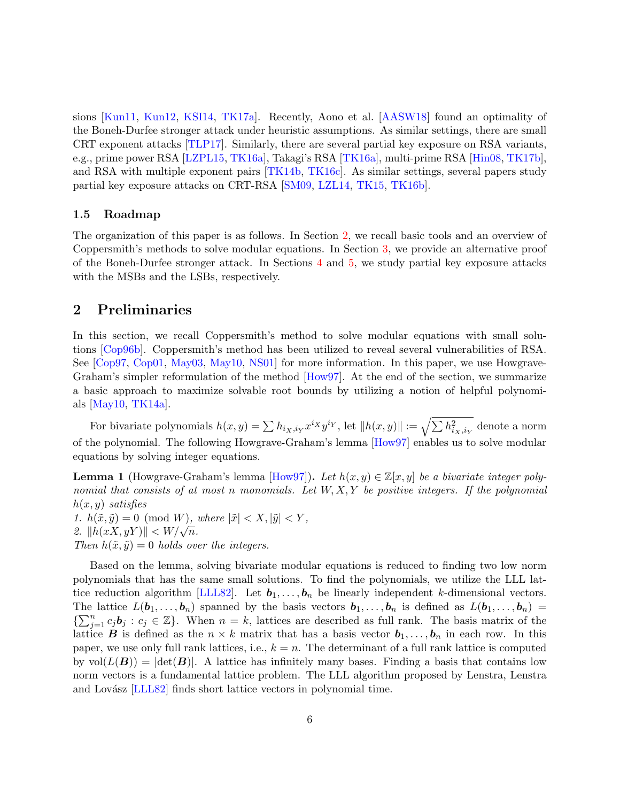sions [Kun11, Kun12, KSI14, TK17a]. Recently, Aono et al. [AASW18] found an optimality of the Boneh-Durfee stronger attack under heuristic assumptions. As similar settings, there are small CRT exponent attacks [TLP17]. Similarly, there are several partial key exposure on RSA variants, e.g., prime power RSA [LZPL15, TK16a], Takagi's RSA [TK16a], multi-prime RSA [Hin08, TK17b], and RSA with multiple exponent pairs [TK14b, TK16c]. As similar settings, several papers study partial key exposure attacks on CRT-RSA [SM09, LZL14, TK15, TK16b].

#### **1.5 Roadmap**

The organization of this paper is as follows. In Section 2, we recall basic tools and an overview of Coppersmith's methods to solve modular equations. In Section 3, we provide an alternative proof of the Boneh-Durfee stronger attack. In Sections 4 and 5, we study partial key exposure attacks with the MSBs and the LSBs, respectively.

## **2 Preliminaries**

In this section, we recall Coppersmith's method to solve modular equations with small solutions [Cop96b]. Coppersmith's method has been utilized to reveal several vulnerabilities of RSA. See [Cop97, Cop01, May03, May10, NS01] for more information. In this paper, we use Howgrave-Graham's simpler reformulation of the method [How97]. At the end of the section, we summarize a basic approach to maximize solvable root bounds by utilizing a notion of helpful polynomials [May10, TK14a].

For bivariate polynomials  $h(x, y) = \sum h_{i_X, i_Y} x^{i_X} y^{i_Y}$ , let  $||h(x, y)|| := \sqrt{\sum h_{i_X, i_Y}^2}$  denote a norm of the polynomial. The following Howgrave-Graham's lemma [How97] enables us to solve modular equations by solving integer equations.

**Lemma 1** (Howgrave-Graham's lemma [How97]). Let  $h(x, y) \in \mathbb{Z}[x, y]$  be a bivariate integer poly*nomial that consists of at most n monomials. Let W, X, Y be positive integers. If the polynomial h*(*x, y*) *satisfies 1.*  $h(\tilde{x}, \tilde{y}) = 0 \pmod{W}$ , where  $|\tilde{x}| < X, |\tilde{y}| < Y$ ,

*2.*  $||h(x, y) - \vartheta \ln \vartheta \le W/\sqrt{n}$ .<br>*2.*  $||h(x, y) - \vartheta \ln \vartheta \le W/\sqrt{n}$ .

*Then*  $h(\tilde{x}, \tilde{y}) = 0$  *holds over the integers.* 

Based on the lemma, solving bivariate modular equations is reduced to finding two low norm polynomials that has the same small solutions. To find the polynomials, we utilize the LLL lattice reduction algorithm [LLL82]. Let  $b_1, \ldots, b_n$  be linearly independent *k*-dimensional vectors. The lattice  $L(b_1, \ldots, b_n)$  spanned by the basis vectors  $b_1, \ldots, b_n$  is defined as  $L(b_1, \ldots, b_n)$  =  ${\sum_{j=1}^{n} c_j \mathbf{b}_j : c_j \in \mathbb{Z}}$ . When  $n = k$ , lattices are described as full rank. The basis matrix of the lattice *B* is defined as the  $n \times k$  matrix that has a basis vector  $b_1, \ldots, b_n$  in each row. In this paper, we use only full rank lattices, i.e.,  $k = n$ . The determinant of a full rank lattice is computed by  $vol(L(\mathbf{B})) = |det(\mathbf{B})|$ . A lattice has infinitely many bases. Finding a basis that contains low norm vectors is a fundamental lattice problem. The LLL algorithm proposed by Lenstra, Lenstra and Lovász [LLL82] finds short lattice vectors in polynomial time.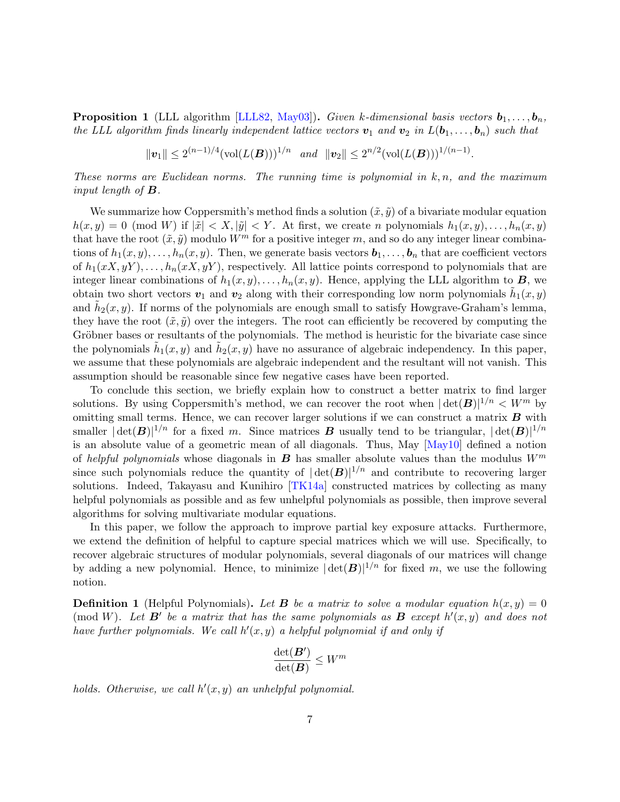**Proposition 1** (LLL algorithm [LLL82, May03]). *Given k*-dimensional basis vectors  $\mathbf{b}_1, \ldots, \mathbf{b}_n$ *the LLL algorithm finds linearly independent lattice vectors*  $v_1$  *and*  $v_2$  *in*  $L(b_1, \ldots, b_n)$  *such that* 

$$
\|\mathbf{v}_1\| \le 2^{(n-1)/4} (\text{vol}(L(\mathbf{B})))^{1/n} \quad \text{and} \quad \|\mathbf{v}_2\| \le 2^{n/2} (\text{vol}(L(\mathbf{B})))^{1/(n-1)}
$$

*.*

*These norms are Euclidean norms. The running time is polynomial in k, n, and the maximum input length of B.*

We summarize how Coppersmith's method finds a solution  $(\tilde{x}, \tilde{y})$  of a bivariate modular equation  $h(x, y) = 0 \pmod{W}$  if  $|\tilde{x}| \leq X, |\tilde{y}| \leq Y$ . At first, we create *n* polynomials  $h_1(x, y), \ldots, h_n(x, y)$ that have the root  $(\tilde{x}, \tilde{y})$  modulo  $W^m$  for a positive integer *m*, and so do any integer linear combinations of  $h_1(x, y), \ldots, h_n(x, y)$ . Then, we generate basis vectors  $\mathbf{b}_1, \ldots, \mathbf{b}_n$  that are coefficient vectors of  $h_1(xX, yY), \ldots, h_n(xX, yY)$ , respectively. All lattice points correspond to polynomials that are integer linear combinations of  $h_1(x, y), \ldots, h_n(x, y)$ . Hence, applying the LLL algorithm to *B*, we obtain two short vectors  $v_1$  and  $v_2$  along with their corresponding low norm polynomials  $\tilde{h}_1(x, y)$ and  $\tilde{h}_2(x, y)$ . If norms of the polynomials are enough small to satisfy Howgrave-Graham's lemma, they have the root  $(\tilde{x}, \tilde{y})$  over the integers. The root can efficiently be recovered by computing the Gröbner bases or resultants of the polynomials. The method is heuristic for the bivariate case since the polynomials  $\tilde{h}_1(x, y)$  and  $\tilde{h}_2(x, y)$  have no assurance of algebraic independency. In this paper, we assume that these polynomials are algebraic independent and the resultant will not vanish. This assumption should be reasonable since few negative cases have been reported.

To conclude this section, we briefly explain how to construct a better matrix to find larger solutions. By using Coppersmith's method, we can recover the root when  $|\det(B)|^{1/n} < W^m$  by omitting small terms. Hence, we can recover larger solutions if we can construct a matrix *B* with smaller  $|\det(B)|^{1/n}$  for a fixed *m*. Since matrices *B* usually tend to be triangular,  $|\det(B)|^{1/n}$ is an absolute value of a geometric mean of all diagonals. Thus, May [May10] defined a notion of *helpful polynomials* whose diagonals in *B* has smaller absolute values than the modulus *W<sup>m</sup>* since such polynomials reduce the quantity of  $|\det(B)|^{1/n}$  and contribute to recovering larger solutions. Indeed, Takayasu and Kunihiro [TK14a] constructed matrices by collecting as many helpful polynomials as possible and as few unhelpful polynomials as possible, then improve several algorithms for solving multivariate modular equations.

In this paper, we follow the approach to improve partial key exposure attacks. Furthermore, we extend the definition of helpful to capture special matrices which we will use. Specifically, to recover algebraic structures of modular polynomials, several diagonals of our matrices will change by adding a new polynomial. Hence, to minimize  $|\det(B)|^{1/n}$  for fixed *m*, we use the following notion.

**Definition 1** (Helpful Polynomials). Let **B** be a matrix to solve a modular equation  $h(x, y) = 0$ (mod *W*). Let **B'** be a matrix that has the same polynomials as **B** except  $h'(x, y)$  and does not *have further polynomials. We call h ′* (*x, y*) *a helpful polynomial if and only if*

$$
\frac{\det(\boldsymbol{B}')}{\det(\boldsymbol{B})} \leq W^m
$$

*holds. Otherwise, we call h ′* (*x, y*) *an unhelpful polynomial.*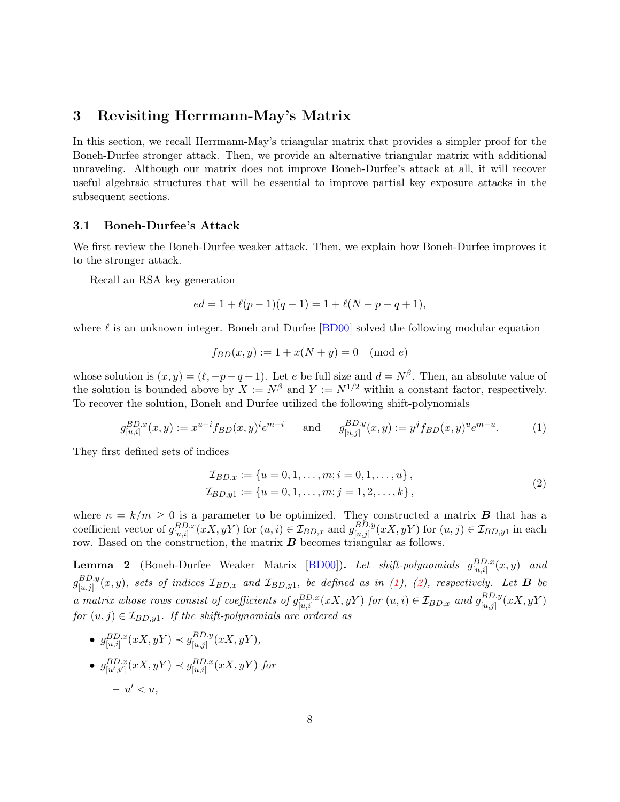# **3 Revisiting Herrmann-May's Matrix**

In this section, we recall Herrmann-May's triangular matrix that provides a simpler proof for the Boneh-Durfee stronger attack. Then, we provide an alternative triangular matrix with additional unraveling. Although our matrix does not improve Boneh-Durfee's attack at all, it will recover useful algebraic structures that will be essential to improve partial key exposure attacks in the subsequent sections.

### **3.1 Boneh-Durfee's Attack**

We first review the Boneh-Durfee weaker attack. Then, we explain how Boneh-Durfee improves it to the stronger attack.

Recall an RSA key generation

$$
ed = 1 + \ell(p-1)(q-1) = 1 + \ell(N-p-q+1),
$$

where *ℓ* is an unknown integer. Boneh and Durfee [BD00] solved the following modular equation

$$
f_{BD}(x,y) := 1 + x(N+y) = 0 \pmod{e}
$$

whose solution is  $(x, y) = (\ell, -p-q+1)$ . Let *e* be full size and  $d = N^{\beta}$ . Then, an absolute value of the solution is bounded above by  $X := N^{\beta}$  and  $Y := N^{1/2}$  within a constant factor, respectively. To recover the solution, Boneh and Durfee utilized the following shift-polynomials

$$
g_{[u,i]}^{BD,x}(x,y) := x^{u-i} f_{BD}(x,y)^i e^{m-i} \quad \text{and} \quad g_{[u,j]}^{BD,y}(x,y) := y^j f_{BD}(x,y)^u e^{m-u}.
$$
 (1)

They first defined sets of indices

$$
\mathcal{I}_{BD,x} := \{u = 0, 1, \dots, m; i = 0, 1, \dots, u\},\
$$
  
\n
$$
\mathcal{I}_{BD,y1} := \{u = 0, 1, \dots, m; j = 1, 2, \dots, k\},
$$
\n(2)

where  $\kappa = k/m \geq 0$  is a parameter to be optimized. They constructed a matrix *B* that has a coefficient vector of  $g_{[u,i]}^{BD,x}(xX, yY)$  for  $(u, i) \in \mathcal{I}_{BD,x}$  and  $g_{[u,j]}^{BD,y}$  $\int_{[u,j]}^{BD,y}(xX, yY)$  for  $(u, j) \in \mathcal{I}_{BD,y1}$  in each row. Based on the construction, the matrix *B* becomes triangular as follows.

**Lemma 2** (Boneh-Durfee Weaker Matrix [BD00]). Let shift-polynomials  $g_{[u,i]}^{BD,x}(x,y)$  and  $g_{[y,j]}^{BD,y}$  $\int_{[u,j]}^{BD,y}(x,y)$ , sets of indices  $\mathcal{I}_{BD,x}$  and  $\mathcal{I}_{BD,y1}$ , be defined as in (1), (2), respectively. Let **B** be *a* matrix whose rows consist of coefficients of  $g_{[u,i]}^{BD,x}(xX, yY)$  for  $(u, i) \in \mathcal{I}_{BD,x}$  and  $g_{[u,j]}^{BD,y}$  $\int_{[u,j]}^{BD.y}(xX, yY)$ *for*  $(u, j) \in I_{BD,y1}$ *. If the shift-polynomials are ordered as* 

●  $g_{[u,i]}^{BD,x}(xX, yY) \prec g_{[u,j]}^{BD,y}$  $\binom{BD,y}{[u,j]}(xX, yY),$ ●  $g_{[u',i']}^{BD,x}(xX, yY) \prec g_{[u,i]}^{BD,x}(xX, yY)$  for **–** *u ′ < u,*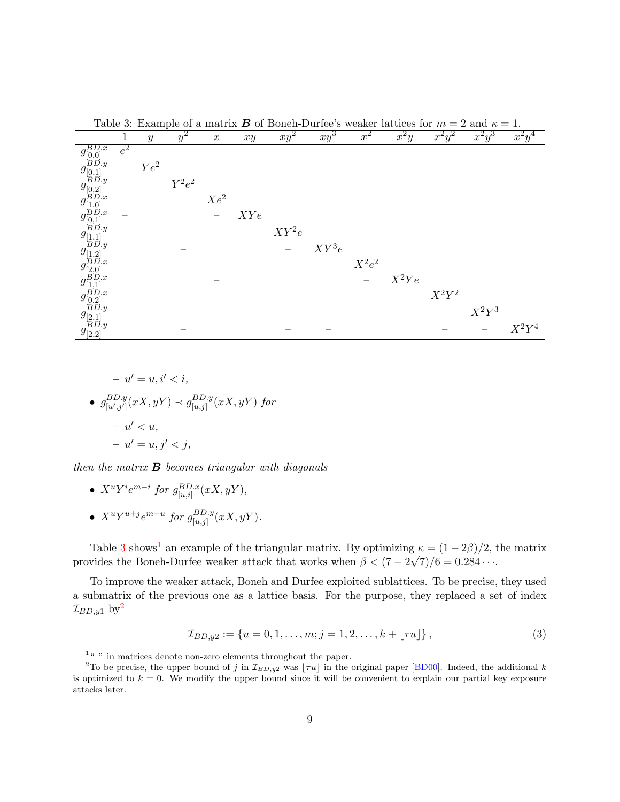|                     |                  |               |          |                          |     |         |         |                          | Table 5: Example of a matrix <b>D</b> of Domen-Duriee's weaker fattices for $m = 2$ and $\kappa = 1$ . |          |          |          |
|---------------------|------------------|---------------|----------|--------------------------|-----|---------|---------|--------------------------|--------------------------------------------------------------------------------------------------------|----------|----------|----------|
|                     |                  | $\mathcal{Y}$ | $y^2$    | $\boldsymbol{x}$         | xy  | $xy^2$  | $xy^3$  | $x^2$                    | $x^2y$                                                                                                 | $x^2y^2$ | $x^2y^3$ | $x^2y^4$ |
| BD.x<br>$g_{[0,0]}$ | $\overline{e^2}$ |               |          |                          |     |         |         |                          |                                                                                                        |          |          |          |
| BD.y                |                  | $Ye^2$        |          |                          |     |         |         |                          |                                                                                                        |          |          |          |
|                     |                  |               |          |                          |     |         |         |                          |                                                                                                        |          |          |          |
|                     |                  |               | $Y^2e^2$ |                          |     |         |         |                          |                                                                                                        |          |          |          |
| $g_{[0,2]}$         |                  |               |          |                          |     |         |         |                          |                                                                                                        |          |          |          |
|                     |                  |               |          | $Xe^2$                   |     |         |         |                          |                                                                                                        |          |          |          |
|                     |                  |               |          | $\overline{\phantom{m}}$ | XYe |         |         |                          |                                                                                                        |          |          |          |
|                     |                  |               |          |                          |     |         |         |                          |                                                                                                        |          |          |          |
|                     |                  |               |          |                          |     | $XY^2e$ |         |                          |                                                                                                        |          |          |          |
|                     |                  |               |          |                          |     |         | $XY^3e$ |                          |                                                                                                        |          |          |          |
|                     |                  |               |          |                          |     |         |         |                          |                                                                                                        |          |          |          |
|                     |                  |               |          |                          |     |         |         | $X^2e^2$                 |                                                                                                        |          |          |          |
|                     |                  |               |          |                          |     |         |         | $\overline{\phantom{m}}$ | $X^2Ye$                                                                                                |          |          |          |
|                     |                  |               |          |                          |     |         |         |                          |                                                                                                        |          |          |          |
|                     |                  |               |          |                          |     |         |         |                          |                                                                                                        | $X^2Y^2$ |          |          |
|                     |                  |               |          |                          |     |         |         |                          |                                                                                                        |          | $X^2Y^3$ |          |
|                     |                  |               |          |                          |     |         |         |                          |                                                                                                        |          |          |          |
| $g_{[2,2]}$         |                  |               |          |                          |     |         |         |                          |                                                                                                        |          |          | $X^2Y^4$ |
|                     |                  |               |          |                          |     |         |         |                          |                                                                                                        |          |          |          |

Table 3: Example of a matrix *B* of Boneh-Durfee's weaker lattices for *m* = 2 and *κ* = 1.

$$
-u' = u, i' < i,
$$
  
\n•  $g_{[u',j']}^{BD,y}(xX, yY) \prec g_{[u,j]}^{BD,y}(xX, yY)$  for  
\n
$$
-u' < u,
$$
  
\n
$$
-u' = u, j' < j,
$$

*then the matrix B becomes triangular with diagonals*

\n- $$
X^u Y^i e^{m-i}
$$
 for  $g_{[u,i]}^{BD.x}(xX, yY),$
\n- $X^u Y^{u+j} e^{m-u}$  for  $g_{[u,j]}^{BD.y}(xX, yY).$
\n

Table 3 shows<sup>1</sup> an example of the triangular matrix. By optimizing  $\kappa = (1 - 2\beta)/2$ , the matrix provides the Boneh-Durfee weaker attack that works when *β <* (7 *−* 2 *√*  $(7)/6 = 0.284 \cdots$ 

To improve the weaker attack, Boneh and Durfee exploited sublattices. To be precise, they used a submatrix of the previous one as a lattice basis. For the purpose, they replaced a set of index  $\mathcal{I}_{BD,y1}$  by<sup>2</sup>

$$
\mathcal{I}_{BD,y2} := \{u = 0, 1, \dots, m; j = 1, 2, \dots, k + \lfloor \tau u \rfloor\},\tag{3}
$$

 $1<sup>1</sup>$ "-" in matrices denote non-zero elements throughout the paper.

<sup>&</sup>lt;sup>2</sup>To be precise, the upper bound of *j* in  $\mathcal{I}_{BD,y2}$  was  $|\tau u|$  in the original paper [BD00]. Indeed, the additional *k* is optimized to  $k = 0$ . We modify the upper bound since it will be convenient to explain our partial key exposure attacks later.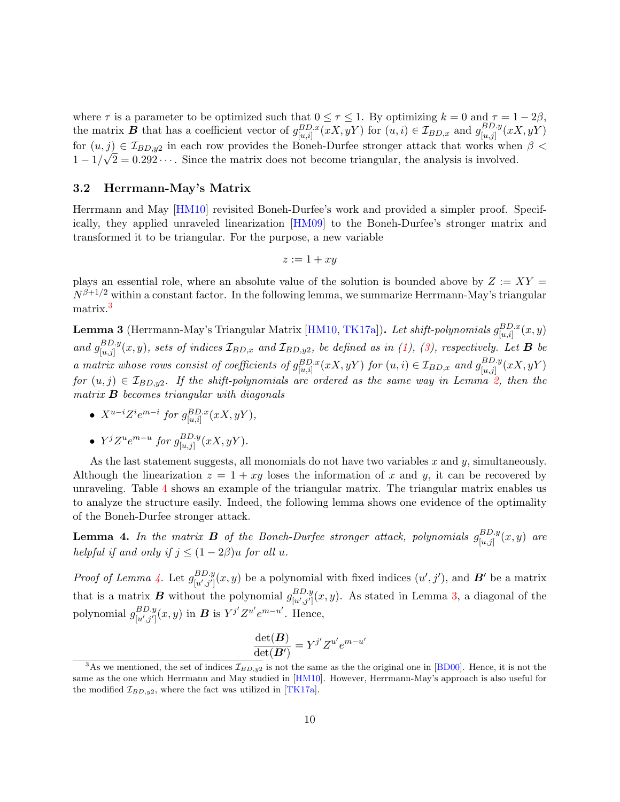where  $\tau$  is a parameter to be optimized such that  $0 \leq \tau \leq 1$ . By optimizing  $k = 0$  and  $\tau = 1 - 2\beta$ , the matrix *B* that has a coefficient vector of  $g_{[u,i]}^{BD,x}(xX, yY)$  for  $(u, i) \in \mathcal{I}_{BD,x}$  and  $g_{[u,j]}^{BD,y}$  $\int_{[u,j]}^{BD.y}(xX, yY)$ for  $(u, j) \in \mathcal{I}_{BD,y2}$  in each row provides the Boneh-Durfee stronger attack that works when  $\beta$ 1 *−* 1*/* 2 = 0*.*292 *· · ·* . Since the matrix does not become triangular, the analysis is involved.

#### **3.2 Herrmann-May's Matrix**

Herrmann and May [HM10] revisited Boneh-Durfee's work and provided a simpler proof. Specifically, they applied unraveled linearization [HM09] to the Boneh-Durfee's stronger matrix and transformed it to be triangular. For the purpose, a new variable

$$
z := 1 + xy
$$

plays an essential role, where an absolute value of the solution is bounded above by  $Z := XY =$  $N^{\beta+1/2}$  within a constant factor. In the following lemma, we summarize Herrmann-May's triangular matrix.<sup>3</sup>

**Lemma 3** (Herrmann-May's Triangular Matrix [HM10, TK17a]). *Let shift-polynomials*  $g_{[u,i]}^{BD,x}(x,y)$ *and*  $g_{[y,j]}^{BD,y}$  $\int_{[u,j]}^{BD,y}(x,y)$ , sets of indices  $\mathcal{I}_{BD,x}$  and  $\mathcal{I}_{BD,y2}$ , be defined as in (1), (3), respectively. Let  $\bm{B}$  be *a* matrix whose rows consist of coefficients of  $g_{[u,i]}^{BD,x}(xX, yY)$  for  $(u, i) \in \mathcal{I}_{BD,x}$  and  $g_{[u,j]}^{BD,y}$  $\int_{[u,j]}^{BD.y}(xX, yY)$ *for*  $(u, j) \in I_{BD,y2}$ *. If the shift-polynomials are ordered as the same way in Lemma 2, then the matrix B becomes triangular with diagonals*

●  $X^{u-i}Z^{i}e^{m-i}$  for  $g_{[u,i]}^{BD.x}(xX, yY)$ *,* 

• 
$$
Y^j Z^u e^{m-u}
$$
 for  $g_{[u,j]}^{BD,y}(xX, yY)$ .

As the last statement suggests, all monomials do not have two variables *x* and *y*, simultaneously. Although the linearization  $z = 1 + xy$  loses the information of x and y, it can be recovered by unraveling. Table 4 shows an example of the triangular matrix. The triangular matrix enables us to analyze the structure easily. Indeed, the following lemma shows one evidence of the optimality of the Boneh-Durfee stronger attack.

**Lemma 4.** In the matrix **B** of the Boneh-Durfee stronger attack, polynomials  $g_{[u,i]}^{BD,y}$  $\int_{[u,j]}^{BD,y}(x,y)$  are *helpful if and only if*  $j < (1 - 2\beta)u$  *for all u.* 

*Proof of Lemma 4.* Let  $g_{[n',n']}^{BD,y}$  $\int_{[u',j']}^{BD,y}(x,y)$  be a polynomial with fixed indices  $(u',j')$ , and **B**<sup>*'*</sup> be a matrix that is a matrix *B* without the polynomial  $g_{[\omega]}^{BD,y}$  $\frac{BD,y}{[u',j']}$  (*x, y*). As stated in Lemma 3, a diagonal of the polynomial *g BD.y*  $\int_{[u',j']}^{BD,y}(x,y) \text{ in } \mathbf{B} \text{ is } Y^{j'}Z^{u'}e^{m-u'}. \text{ Hence,}$ 

$$
\frac{\det(\boldsymbol{B})}{\det(\boldsymbol{B}')} = Y^{j'} Z^{u'} e^{m-u'}
$$

<sup>&</sup>lt;sup>3</sup>As we mentioned, the set of indices  $\mathcal{I}_{BD,y2}$  is not the same as the the original one in [BD00]. Hence, it is not the same as the one which Herrmann and May studied in [HM10]. However, Herrmann-May's approach is also useful for the modified  $\mathcal{I}_{BD,y2}$ , where the fact was utilized in [TK17a].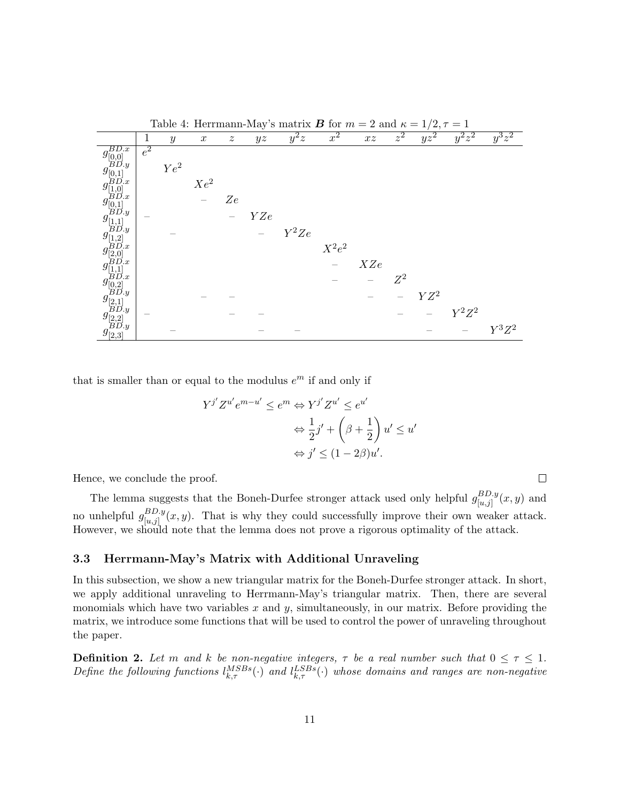|             |       |               |                  |                          |      | Table 4: Herrmann-May's matrix <b>B</b> for $m = 2$ and $\kappa = 1/2, \tau = 1$ |          |      |       |              |          |                     |
|-------------|-------|---------------|------------------|--------------------------|------|----------------------------------------------------------------------------------|----------|------|-------|--------------|----------|---------------------|
|             | 1     | $\mathcal{Y}$ | $\boldsymbol{x}$ | $\boldsymbol{z}$         | yz   | $y^2z$                                                                           | $x^2$    | $xz$ |       | $z^2$ $yz^2$ | $y^2z^2$ | $y^3\overline{z^2}$ |
| BD.x        | $e^2$ |               |                  |                          |      |                                                                                  |          |      |       |              |          |                     |
|             |       | $Ye^2$        |                  |                          |      |                                                                                  |          |      |       |              |          |                     |
|             |       |               |                  |                          |      |                                                                                  |          |      |       |              |          |                     |
|             |       |               | $Xe^2$           |                          |      |                                                                                  |          |      |       |              |          |                     |
|             |       |               |                  | Ze                       |      |                                                                                  |          |      |       |              |          |                     |
|             |       |               |                  | $\overline{\phantom{m}}$ | Y Ze |                                                                                  |          |      |       |              |          |                     |
|             |       |               |                  |                          |      |                                                                                  |          |      |       |              |          |                     |
|             |       |               |                  |                          |      | $Y^2Ze$                                                                          |          |      |       |              |          |                     |
|             |       |               |                  |                          |      |                                                                                  | $X^2e^2$ |      |       |              |          |                     |
|             |       |               |                  |                          |      |                                                                                  |          | XZe  |       |              |          |                     |
|             |       |               |                  |                          |      |                                                                                  |          |      |       |              |          |                     |
|             |       |               |                  |                          |      |                                                                                  |          |      | $Z^2$ |              |          |                     |
|             |       |               |                  |                          |      |                                                                                  |          |      |       | $YZ^2$       |          |                     |
|             |       |               |                  |                          |      |                                                                                  |          |      |       |              |          |                     |
|             |       |               |                  |                          |      |                                                                                  |          |      |       |              | $Y^2Z^2$ |                     |
| $g_{[2,3]}$ |       |               |                  |                          |      |                                                                                  |          |      |       |              |          | $Y^3Z^2$            |
|             |       |               |                  |                          |      |                                                                                  |          |      |       |              |          |                     |

that is smaller than or equal to the modulus  $e^{m}$  if and only if

$$
Y^{j'} Z^{u'} e^{m-u'} \le e^m \Leftrightarrow Y^{j'} Z^{u'} \le e^{u'}
$$

$$
\Leftrightarrow \frac{1}{2} j' + \left(\beta + \frac{1}{2}\right) u' \le u'
$$

$$
\Leftrightarrow j' \le (1 - 2\beta) u'.
$$

Hence, we conclude the proof.

The lemma suggests that the Boneh-Durfee stronger attack used only helpful  $g_{[u,i]}^{BD,y}$  $\binom{BD,y}{[u,j]}(x,y)$  and no unhelpful  $g_{[u,i]}^{BD,y}$  $\binom{BD,y}{[u,j]}(x,y)$ . That is why they could successfully improve their own weaker attack. However, we should note that the lemma does not prove a rigorous optimality of the attack.

 $\Box$ 

#### **3.3 Herrmann-May's Matrix with Additional Unraveling**

In this subsection, we show a new triangular matrix for the Boneh-Durfee stronger attack. In short, we apply additional unraveling to Herrmann-May's triangular matrix. Then, there are several monomials which have two variables *x* and *y*, simultaneously, in our matrix. Before providing the matrix, we introduce some functions that will be used to control the power of unraveling throughout the paper.

**Definition 2.** Let *m* and *k* be non-negative integers,  $\tau$  be a real number such that  $0 \leq \tau \leq 1$ . *Define the following functions*  $l_{k,\tau}^{MSBs}(\cdot)$  *and*  $l_{k,\tau}^{LSBs}(\cdot)$  *whose domains and ranges are non-negative*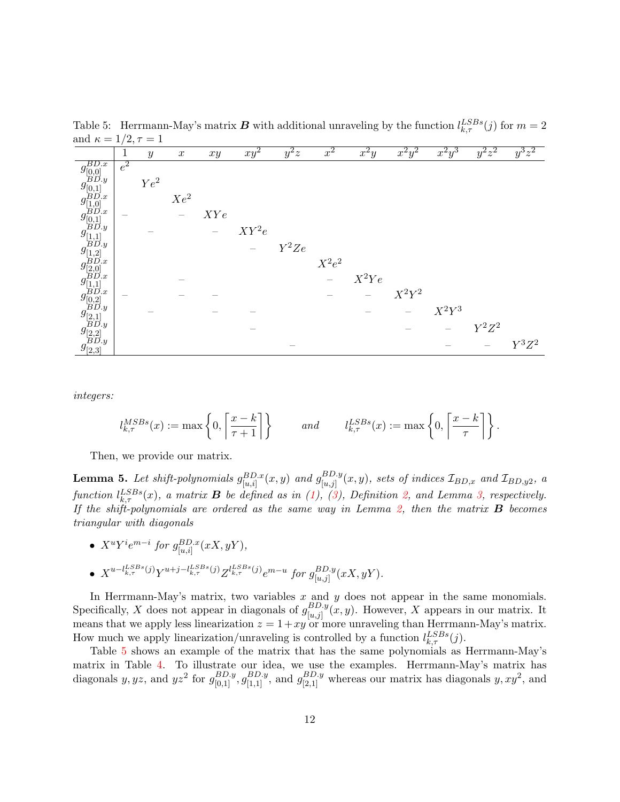| and $\kappa = 1/2, \tau = 1$                                |       |                  |                  |      |                          |                             |                  |         |          |          |                                 |                         |
|-------------------------------------------------------------|-------|------------------|------------------|------|--------------------------|-----------------------------|------------------|---------|----------|----------|---------------------------------|-------------------------|
|                                                             |       | $\boldsymbol{y}$ | $\boldsymbol{x}$ | $xy$ | $xy^2$                   | $y^2z$                      | $\overline{x^2}$ | $x^2y$  | $x^2y^2$ | $x^2y^3$ | $y^2z^2$                        | $y^3z^2$                |
| $g_{[0,0]}^{BD.x}$                                          | $e^2$ |                  |                  |      |                          |                             |                  |         |          |          |                                 |                         |
| BD.y                                                        |       | $Ye^2$           |                  |      |                          |                             |                  |         |          |          |                                 |                         |
|                                                             |       |                  |                  |      |                          |                             |                  |         |          |          |                                 |                         |
| $g_{[0,1]}^{-1}$<br>$g_{[1,0]}^{-B}$<br>1,0                 |       |                  | $Xe^2$           |      |                          |                             |                  |         |          |          |                                 |                         |
|                                                             |       |                  |                  | XYe  |                          |                             |                  |         |          |          |                                 |                         |
| $\overline{BD}$<br>$g_{\scriptscriptstyle\parallel}$        |       |                  |                  |      | $XY^2e$                  |                             |                  |         |          |          |                                 |                         |
| $^{1,1}_{BL}$                                               |       |                  |                  |      |                          | $\mathcal{Y}^2\mathcal{Z}e$ |                  |         |          |          |                                 |                         |
| 1,2                                                         |       |                  |                  |      | $\overline{\phantom{m}}$ |                             |                  |         |          |          |                                 |                         |
|                                                             |       |                  |                  |      |                          |                             | $X^2e^2$         |         |          |          |                                 |                         |
|                                                             |       |                  |                  |      |                          |                             |                  | $X^2Ye$ |          |          |                                 |                         |
|                                                             |       |                  |                  |      |                          |                             |                  |         | $X^2Y^2$ |          |                                 |                         |
| BD.y                                                        |       |                  |                  |      |                          |                             |                  |         |          | $X^2Y^3$ |                                 |                         |
| $g_{\stackrel{[2,1]}{BD}.y}^{2D}$                           |       |                  |                  |      |                          |                             |                  |         |          |          | ${\cal Y}^2 {\cal Z}^2$         |                         |
| $g_{\stackrel{\scriptstyle [2,2]}{\scriptstyle BD.y}}^{ZZ}$ |       |                  |                  |      |                          |                             |                  |         |          |          |                                 |                         |
| $g_{[2,3]}^-$                                               |       |                  |                  |      |                          |                             |                  |         |          |          | $\hspace{0.1mm}-\hspace{0.1mm}$ | ${\cal Y}^3 {\cal Z}^2$ |

Table 5: Herrmann-May's matrix *B* with additional unraveling by the function  $l_{k,\tau}^{LSBs}(j)$  for  $m=2$ and  $\kappa = 1/2, \tau = 1$ 

*integers:*

$$
l_{k,\tau}^{MSBs}(x) := \max\left\{0, \left\lceil \frac{x-k}{\tau+1} \right\rceil \right\} \qquad \text{and} \qquad l_{k,\tau}^{LSBs}(x) := \max\left\{0, \left\lceil \frac{x-k}{\tau} \right\rceil \right\}.
$$

Then, we provide our matrix.

**Lemma 5.** Let shift-polynomials  $g_{[u,i]}^{BD,x}(x,y)$  and  $g_{[u,j]}^{BD,y}$  $\int_{[u,j]}^{BD,y}(x,y)$ *, sets of indices*  $\mathcal{I}_{BD,x}$  *and*  $\mathcal{I}_{BD,y2}$ *, a function*  $l_{k,\tau}^{LSBs}(x)$ , a matrix **B** *be defined as in (1), (3), Definition* 2, and Lemma 3, respectively. *If the shift-polynomials are ordered as the same way in Lemma 2, then the matrix B becomes triangular with diagonals*

• 
$$
X^u Y^i e^{m-i}
$$
 for  $g_{[u,i]}^{BD,x}(xX, yY)$ ,  
\n•  $X^{u-l_{k,\tau}^{LSBs}(j)} Y^{u+j-l_{k,\tau}^{LSBs}(j)} Z^{l_{k,\tau}^{LSBs}(j)} e^{m-u}$  for  $g_{[u,j]}^{BD,y}(xX, yY)$ .

In Herrmann-May's matrix, two variables *x* and *y* does not appear in the same monomials. Specifically, *X* does not appear in diagonals of  $g_{[u,i]}^{BD,y}$  $\int_{[u,j]}^{BD,y}(x,y)$ . However, *X* appears in our matrix. It means that we apply less linearization  $z = 1 + xy$  or more unraveling than Herrmann-May's matrix. How much we apply linearization/unraveling is controlled by a function  $l_{k,\tau}^{LSBs}(j)$ .

Table 5 shows an example of the matrix that has the same polynomials as Herrmann-May's matrix in Table 4. To illustrate our idea, we use the examples. Herrmann-May's matrix has diagonals *y, yz*, and  $yz^2$  for  $g_{[0,1]}^{BD,y}, g_{[1,1]}^{BD,y}$ , and  $g_{[2,1]}^{BD,y}$  whereas our matrix has diagonals *y, xy*<sup>2</sup>, and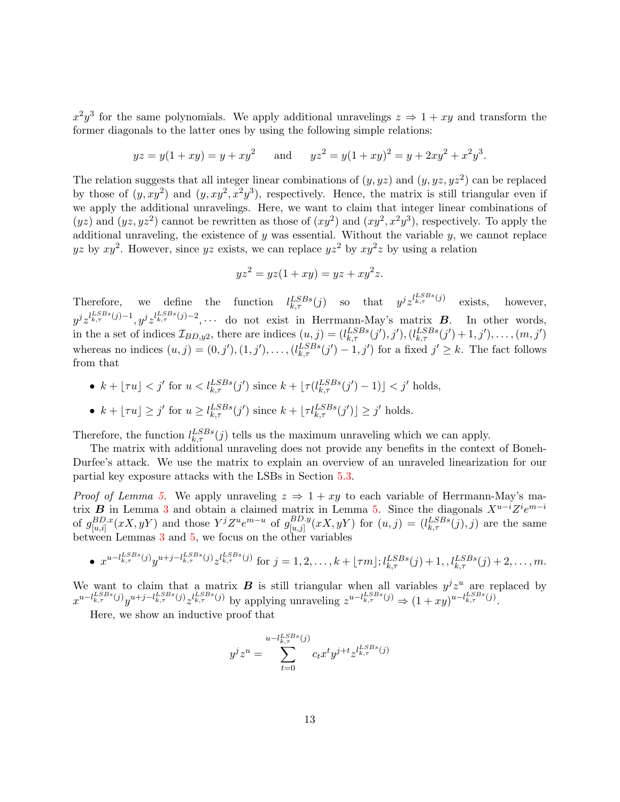$x^2y^3$  for the same polynomials. We apply additional unravelings  $z \Rightarrow 1 + xy$  and transform the former diagonals to the latter ones by using the following simple relations:

$$
yz = y(1 + xy) = y + xy^2
$$
 and  $yz^2 = y(1 + xy)^2 = y + 2xy^2 + x^2y^3$ .

The relation suggests that all integer linear combinations of  $(y, yz)$  and  $(y, yz, yz<sup>2</sup>)$  can be replaced by those of  $(y, xy^2)$  and  $(y, xy^2, x^2y^3)$ , respectively. Hence, the matrix is still triangular even if we apply the additional unravelings. Here, we want to claim that integer linear combinations of  $(yz)$  and  $(yz, yz^2)$  cannot be rewritten as those of  $(xy^2)$  and  $(xy^2, x^2y^3)$ , respectively. To apply the additional unraveling, the existence of  $y$  was essential. Without the variable  $y$ , we cannot replace  $yz$  by  $xy^2$ . However, since  $yz$  exists, we can replace  $yz^2$  by  $xy^2z$  by using a relation

$$
yz^2 = yz(1+xy) = yz + xy^2z.
$$

Therefore, we define the function  $l_{k,\tau}^{LSBs}(j)$  so that  $y^{j}z^{l_{k,\tau}^{LSBs}(j)}$ however,  $y^{j}z^{l_{k,\tau}^{LSBs}(j)-1},y^{j}z^{l_{k,\tau}^{LSBs}(j)-2},\cdots$  do not exist in Herrmann-May's matrix **B**. In other words, in the a set of indices  $\mathcal{I}_{BD,y2}$ , there are indices  $(u,j) = (l_{k,\tau}^{LSBs}(j'),j'), (l_{k,\tau}^{LSBs}(j')+1,j'), \ldots, (m,j')$ whereas no indices  $(u, j) = (0, j'), (1, j'), \ldots, (l_{k, \tau}^{LSBs}(j') - 1, j')$  for a fixed  $j' \geq k$ . The fact follows from that

• 
$$
k + \lfloor \tau u \rfloor < j'
$$
 for  $u < l_{k,\tau}^{LSSBs}(j')$  since  $k + \lfloor \tau (l_{k,\tau}^{LSSBs}(j') - 1) \rfloor < j'$  holds,

• 
$$
k + \lfloor \tau u \rfloor \geq j'
$$
 for  $u \geq l_{k,\tau}^{LSBs}(j')$  since  $k + \lfloor \tau l_{k,\tau}^{LSBs}(j') \rfloor \geq j'$  holds.

Therefore, the function  $l_{k,\tau}^{LSSB}(j)$  tells us the maximum unraveling which we can apply.

The matrix with additional unraveling does not provide any benefits in the context of Boneh-Durfee's attack. We use the matrix to explain an overview of an unraveled linearization for our partial key exposure attacks with the LSBs in Section 5.3.

*Proof of Lemma 5.* We apply unraveling  $z \Rightarrow 1 + xy$  to each variable of Herrmann-May's matrix *B* in Lemma 3 and obtain a claimed matrix in Lemma 5. Since the diagonals  $X^{u-i}Z^{i}e^{m-i}$ of  $g_{[u,i]}^{BD,x}(xX, yY)$  and those  $Y^jZ^u e^{m-u}$  of  $g_{[u,j]}^{BD,y}$  $\int_{[u,j]}^{BD,y}(xX, yY)$  for  $(u, j) = (l_{k,\tau}^{LSBs}(j), j)$  are the same between Lemmas 3 and 5, we focus on the other variables

• 
$$
x^{u-l_{k,\tau}^{LSBs}(j)}y^{u+j-l_{k,\tau}^{LSBs}(j)}z^{l_{k,\tau}^{LSBs}(j)}
$$
 for  $j = 1, 2, ..., k + \lfloor \tau m \rfloor; l_{k,\tau}^{LSBs}(j) + 1, l_{k,\tau}^{LSBs}(j) + 2, ..., m$ .

We want to claim that a matrix  $\boldsymbol{B}$  is still triangular when all variables  $y^j z^u$  are replaced by  $x^{u-l_{k,\tau}^{LSSs}(j)}y^{u+j-l_{k,\tau}^{LSSs}(j)}z^{l_{k,\tau}^{LSSs}(j)}$  by applying unraveling  $z^{u-l_{k,\tau}^{LSSs}(j)} \Rightarrow (1+xy)^{u-l_{k,\tau}^{LSSs}(j)}$ .

Here, we show an inductive proof that

$$
y^{j}z^{u} = \sum_{t=0}^{u-l_{k,\tau}^{LSBs}(j)} c_{t}x^{t}y^{j+t}z^{l_{k,\tau}^{LSBs}(j)}
$$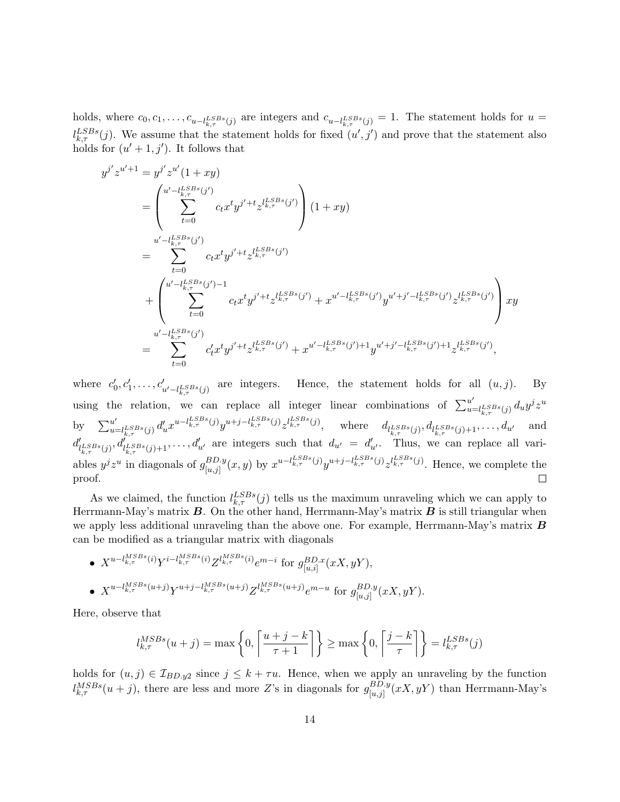holds, where  $c_0, c_1, \ldots, c_{u-l_{k,\tau}^{LSBs}(j)}$  are integers and  $c_{u-l_{k,\tau}^{LSBs}(j)} = 1$ . The statement holds for  $u =$  $l_{k,\tau}^{LSBs}(j)$ . We assume that the statement holds for fixed  $(u',j')$  and prove that the statement also holds for  $(u' + 1, j')$ . It follows that

$$
y^{j'}z^{u'+1} = y^{j'}z^{u'}(1+xy)
$$
  
\n
$$
= \left(\sum_{t=0}^{u'-l_{k,\tau}^{LSBs}(j')}c_{t}x^{t}y^{j'+t}z^{l_{k,\tau}^{LSBs}(j')}\right)(1+xy)
$$
  
\n
$$
= \sum_{t=0}^{u'-l_{k,\tau}^{LSBs}(j')}c_{t}x^{t}y^{j'+t}z^{l_{k,\tau}^{LSBs}(j')}
$$
  
\n
$$
+ \left(\sum_{t=0}^{u'-l_{k,\tau}^{LSBs}(j')-1}c_{t}x^{t}y^{j'+t}z^{l_{k,\tau}^{LSBs}(j')} + x^{u'-l_{k,\tau}^{LSBs}(j')}y^{u'+j'-l_{k,\tau}^{LSBs}(j')}z^{l_{k,\tau}^{LSBs}(j')} \right)xy
$$
  
\n
$$
= \sum_{t=0}^{u'-l_{k,\tau}^{LSBs}(j')}c'_{t}x^{t}y^{j'+t}z^{l_{k,\tau}^{LSBs}(j')} + x^{u'-l_{k,\tau}^{LSBs}(j')+1}y^{u'+j'-l_{k,\tau}^{LSBs}(j')+1}z^{l_{k,\tau}^{LSBs}(j')},
$$

where  $c'_0, c'_1, \ldots, c'_{u'-l_{k,\tau}^{LSBs}(j)}$  are integers. Hence, the statement holds for all  $(u, j)$ . By using the relation, we can replace all integer linear combinations of  $\sum_{u=l_{k,\tau}^{LSBs}(j)}^{u'} d_{u}y^{j}z^{u}$ by  $\sum_{u=l_{k,\tau}^{LSSBs}(j)}^{u'} d'_{u} x^{u-l_{k,\tau}^{LSSBs}(j)} y^{u+j-l_{k,\tau}^{LSSBs}(j)} z^{l_{k,\tau}^{LSSBs}(j)},$  where  $d_{l_{k,\tau}^{LSSBs}(j)}, d_{l_{k,\tau}^{LSSBs}(j)+1}, \ldots, d_{u'}$  and  $d'_{l_{k,\tau}^{LSBs}(j)}$ ,  $d'_{l_{k,\tau}^{LSBs}(j)+1}$ ,...,  $d'_{u'}$  are integers such that  $d_{u'} = d'_{u'}$ . Thus, we can replace all vari- ${}_{[u,j]}^{BD,y}(x,y)$  by  $x^{u-l_{k,\tau}^{LSBs}(j)}y^{u+j-l_{k,\tau}^{LSBs}(j)}z^{l_{k,\tau}^{LSBs}(j)}$ . Hence, we complete the ables  $y^j z^u$  in diagonals of  $g_{[u,i]}^{BD,y}$ proof.  $\Box$ 

As we claimed, the function  $l_{k,\tau}^{LSBs}(j)$  tells us the maximum unraveling which we can apply to Herrmann-May's matrix  $\bm{B}$ . On the other hand, Herrmann-May's matrix  $\bm{B}$  is still triangular when we apply less additional unraveling than the above one. For example, Herrmann-May's matrix *B* can be modified as a triangular matrix with diagonals

• 
$$
X^{u-l_{k,\tau}^{MSBs}(i)} Y^{i-l_{k,\tau}^{MSBs}(i)} Z^{l_{k,\tau}^{MSBs}(i)} e^{m-i}
$$
 for  $g_{[u,i]}^{BD,x}(xX, yY)$ ,  
\n•  $X^{u-l_{k,\tau}^{MSBs}(u+j)} Y^{u+j-l_{k,\tau}^{MSBs}(u+j)} Z^{l_{k,\tau}^{MSBs}(u+j)} e^{m-u}$  for  $g_{[u,j]}^{BD,y}(xX, yY)$ .

Here, observe that

$$
l_{k,\tau}^{MSBs}(u+j) = \max\left\{0, \left\lceil \frac{u+j-k}{\tau+1} \right\rceil \right\} \ge \max\left\{0, \left\lceil \frac{j-k}{\tau} \right\rceil \right\} = l_{k,\tau}^{LSBs}(j)
$$

holds for  $(u, j) \in \mathcal{I}_{BD,y2}$  since  $j \leq k + \tau u$ . Hence, when we apply an unraveling by the function  $l_{k,\tau}^{MSBs}(u+j)$ , there are less and more *Z*'s in diagonals for  $g_{[u,j]}^{BD,y}$  $\int_{[u,j]}^{BD,y}(xX, yY)$  than Herrmann-May's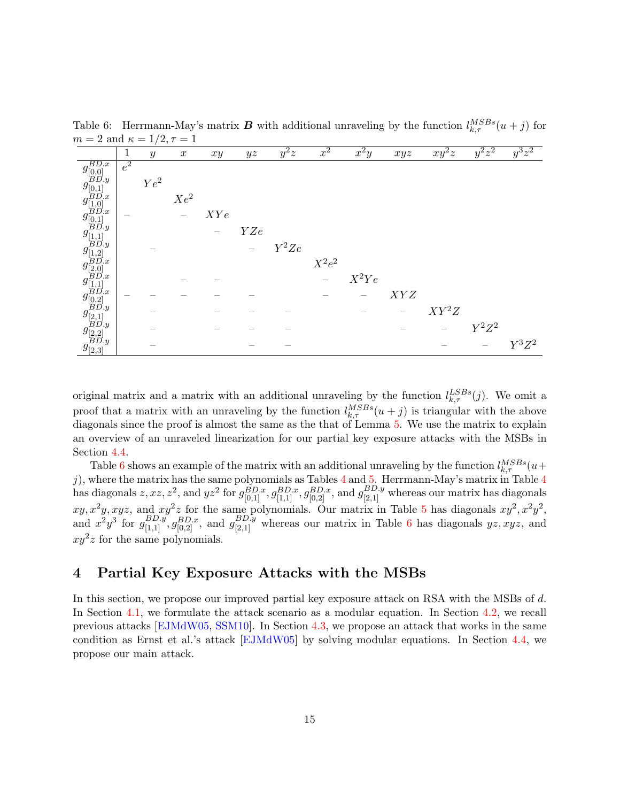| $m - 2$ and $n - 1/2$ , $l - 1$ |       |                  |                  |                          |                          |         |                          |         |     |                    |                              |                         |
|---------------------------------|-------|------------------|------------------|--------------------------|--------------------------|---------|--------------------------|---------|-----|--------------------|------------------------------|-------------------------|
|                                 | 1     | $\boldsymbol{y}$ | $\boldsymbol{x}$ | xy                       | yz                       | $y^2z$  | $\overline{x^2}$         | $x^2y$  | xyz | $x\overline{y^2z}$ | $y^2z^2$                     | $y^3z^2$                |
| $g^{BD.x}_{[0,0]}$              | $e^2$ |                  |                  |                          |                          |         |                          |         |     |                    |                              |                         |
|                                 |       | $Ye^2$           |                  |                          |                          |         |                          |         |     |                    |                              |                         |
| $g_{[0,1]}^{-1}$                |       |                  |                  |                          |                          |         |                          |         |     |                    |                              |                         |
|                                 |       |                  | $Xe^2$           |                          |                          |         |                          |         |     |                    |                              |                         |
|                                 |       |                  |                  | ${\cal XY}e$             |                          |         |                          |         |     |                    |                              |                         |
|                                 |       |                  |                  | $\overline{\phantom{m}}$ | $YZe$                    |         |                          |         |     |                    |                              |                         |
| $\cdot u$                       |       |                  |                  |                          |                          |         |                          |         |     |                    |                              |                         |
|                                 |       |                  |                  |                          | $\overline{\phantom{m}}$ | $Y^2Ze$ |                          |         |     |                    |                              |                         |
| $g_{[2,0]}$                     |       |                  |                  |                          |                          |         | $X^2e^2$                 |         |     |                    |                              |                         |
|                                 |       |                  |                  |                          |                          |         | $\overline{\phantom{m}}$ | $X^2Ye$ |     |                    |                              |                         |
|                                 |       |                  |                  |                          |                          |         |                          |         | XYZ |                    |                              |                         |
|                                 |       |                  |                  |                          |                          |         |                          |         |     |                    |                              |                         |
| $g_{[2,1)}$                     |       |                  |                  |                          |                          |         |                          |         |     | $XY^2Z$            |                              |                         |
| $g_{[2,2]}$                     |       |                  |                  |                          |                          |         |                          |         |     |                    | $\mathcal{Y}^2\mathcal{Z}^2$ |                         |
| $\overline{BD}$                 |       |                  |                  |                          |                          |         |                          |         |     |                    |                              | ${\cal Y}^3 {\cal Z}^2$ |
| $g_{[\underline{2,3}]}$         |       |                  |                  |                          |                          |         |                          |         |     |                    | $\qquad \qquad$              |                         |

Table 6: Herrmann-May's matrix *B* with additional unraveling by the function  $l_{k,\tau}^{MSBs}(u+j)$  for *m* = 2 and  $\kappa = 1/2$   $\tau = 1$ 

original matrix and a matrix with an additional unraveling by the function  $l_{k,\tau}^{LSBs}(j)$ . We omit a proof that a matrix with an unraveling by the function  $l_{k,\tau}^{MSBs}(u+j)$  is triangular with the above diagonals since the proof is almost the same as the that of Lemma 5. We use the matrix to explain an overview of an unraveled linearization for our partial key exposure attacks with the MSBs in Section 4.4.

Table 6 shows an example of the matrix with an additional unraveling by the function  $l_{k,\tau}^{MSBs}(u+\tau)$ *j*), where the matrix has the same polynomials as Tables 4 and 5. Herrmann-May's matrix in Table 4 has diagonals  $z, xz, z^2$ , and  $yz^2$  for  $g_{[0,1]}^{BD,x}, g_{[1,1]}^{BD,x}, g_{[0,2]}^{BD,x}$ , and  $g_{[2,1]}^{BD,y}$  whereas our matrix has diagonals  $xy, x^2y, xyz$ , and  $xy^2z$  for the same polynomials. Our matrix in Table 5 has diagonals  $xy^2, x^2y^2$ , and  $x^2y^3$  for  $g_{[1,1]}^{BD,y}, g_{[0,2]}^{BD,x}$ , and  $g_{[2,1]}^{BD,y}$  whereas our matrix in Table 6 has diagonals  $yz, xyz$ , and  $xy^2z$  for the same polynomials.

# **4 Partial Key Exposure Attacks with the MSBs**

In this section, we propose our improved partial key exposure attack on RSA with the MSBs of *d*. In Section 4.1, we formulate the attack scenario as a modular equation. In Section 4.2, we recall previous attacks [EJMdW05, SSM10]. In Section 4.3, we propose an attack that works in the same condition as Ernst et al.'s attack [EJMdW05] by solving modular equations. In Section 4.4, we propose our main attack.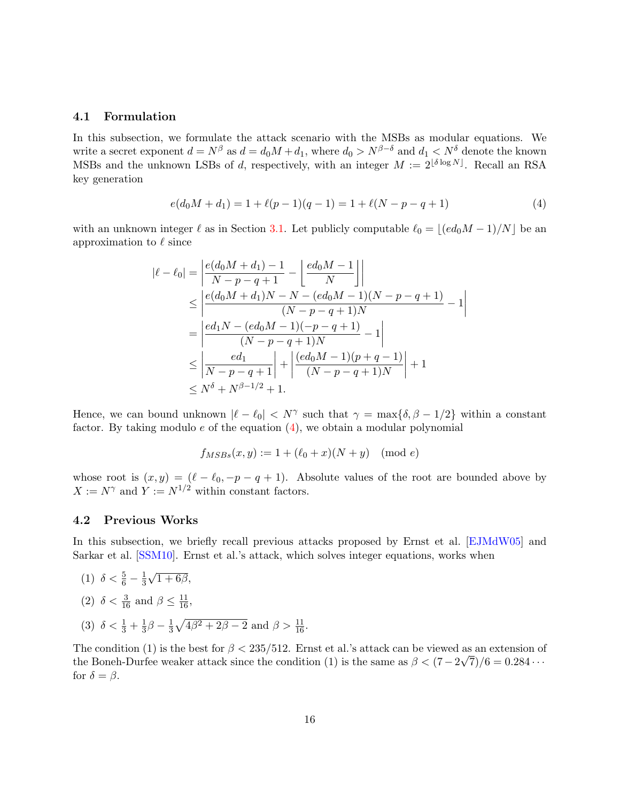#### **4.1 Formulation**

In this subsection, we formulate the attack scenario with the MSBs as modular equations. We write a secret exponent  $d = N^{\beta}$  as  $d = d_0M + d_1$ , where  $d_0 > N^{\beta-\delta}$  and  $d_1 < N^{\delta}$  denote the known MSBs and the unknown LSBs of *d*, respectively, with an integer  $M := 2^{\lfloor \delta \log N \rfloor}$ . Recall an RSA key generation

$$
e(d_0M + d_1) = 1 + \ell(p-1)(q-1) = 1 + \ell(N-p-q+1)
$$
\n(4)

with an unknown integer  $\ell$  as in Section 3.1. Let publicly computable  $\ell_0 = \lfloor (ed_0M - 1)/N \rfloor$  be an approximation to *ℓ* since

$$
|\ell - \ell_0| = \left| \frac{e(d_0M + d_1) - 1}{N - p - q + 1} - \left[ \frac{ed_0M - 1}{N} \right] \right|
$$
  
\n
$$
\leq \left| \frac{e(d_0M + d_1)N - N - (ed_0M - 1)(N - p - q + 1)}{(N - p - q + 1)N} - 1 \right|
$$
  
\n
$$
= \left| \frac{ed_1N - (ed_0M - 1)(-p - q + 1)}{(N - p - q + 1)N} - 1 \right|
$$
  
\n
$$
\leq \left| \frac{ed_1}{N - p - q + 1} \right| + \left| \frac{(ed_0M - 1)(p + q - 1)}{(N - p - q + 1)N} \right| + 1
$$
  
\n
$$
\leq N^{\delta} + N^{\beta - 1/2} + 1.
$$

Hence, we can bound unknown  $|\ell - \ell_0| < N^{\gamma}$  such that  $\gamma = \max{\{\delta, \beta - 1/2\}}$  within a constant factor. By taking modulo *e* of the equation (4), we obtain a modular polynomial

$$
f_{MSBs}(x, y) := 1 + (\ell_0 + x)(N + y) \pmod{e}
$$

whose root is  $(x, y) = (\ell - \ell_0, -p - q + 1)$ . Absolute values of the root are bounded above by  $X := N^{\gamma}$  and  $Y := N^{1/2}$  within constant factors.

#### **4.2 Previous Works**

In this subsection, we briefly recall previous attacks proposed by Ernst et al. [EJMdW05] and Sarkar et al. [SSM10]. Ernst et al.'s attack, which solves integer equations, works when

(1) 
$$
\delta < \frac{5}{6} - \frac{1}{3}\sqrt{1 + 6\beta}
$$
,  
\n(2)  $\delta < \frac{3}{16}$  and  $\beta \le \frac{11}{16}$ ,  
\n(3)  $\delta < \frac{1}{3} + \frac{1}{3}\beta - \frac{1}{3}\sqrt{4\beta^2 + 2\beta - 2}$  and  $\beta > \frac{11}{16}$ .

The condition (1) is the best for *β <* 235*/*512. Ernst et al.'s attack can be viewed as an extension of the Boneh-Durfee weaker attack since the condition (1) is the same as *β <* (7*−*2 *√*  $(7)/6 = 0.284 \cdots$ for  $\delta = \beta$ .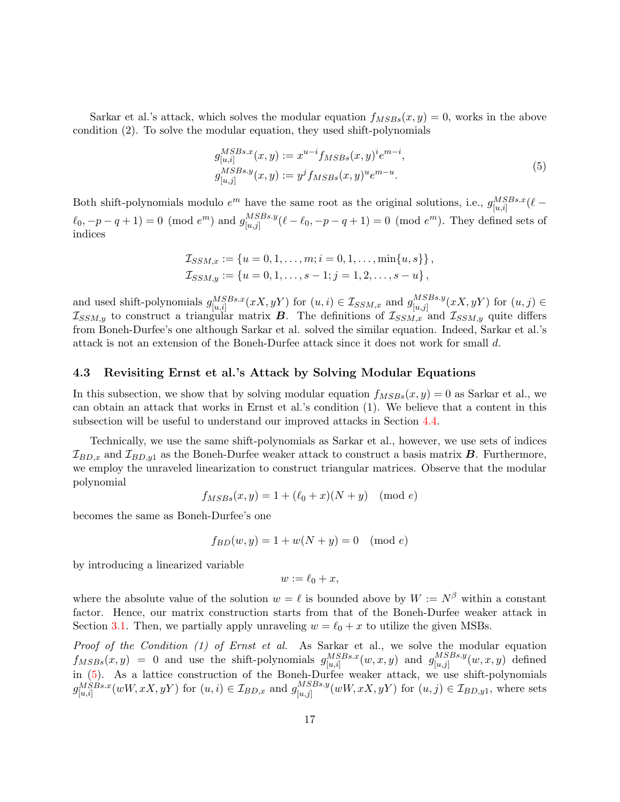Sarkar et al.'s attack, which solves the modular equation  $f_{MSBs}(x, y) = 0$ , works in the above condition (2). To solve the modular equation, they used shift-polynomials

$$
g_{[u,i]}^{MSBs.x}(x,y) := x^{u-i} f_{MSBs}(x,y)^i e^{m-i},
$$
  
\n
$$
g_{[u,j]}^{MSBs.y}(x,y) := y^j f_{MSBs}(x,y)^u e^{m-u}.
$$
\n(5)

Both shift-polynomials modulo  $e^m$  have the same root as the original solutions, i.e.,  $g_{[u,i]}^{MSBs.x}(\ell \ell_0, -p - q + 1) = 0 \pmod{e^m}$  and  $g_{[n,i]}^{MSBs,y}$  $\int_{[u,j]}^{MSBs,y}$  ( $\ell - \ell_0, -p - q + 1$ ) = 0 (mod  $e^m$ ). They defined sets of indices

$$
\mathcal{I}_{SSM,x} := \{u = 0, 1, \dots, m; i = 0, 1, \dots, \min\{u, s\}\},
$$
  

$$
\mathcal{I}_{SSM,y} := \{u = 0, 1, \dots, s - 1; j = 1, 2, \dots, s - u\},
$$

and used shift-polynomials  $g_{[u,i]}^{MSBs.x}(xX, yY)$  for  $(u, i) \in \mathcal{I}_{SSM,x}$  and  $g_{[u,j]}^{MSBs,y}$  $\lim_{[u,j]}$ <sup>*MSBs.y*</sup> $(xX, yY)$  for  $(u, j) \in$  $\mathcal{I}_{SSM,y}$  to construct a triangular matrix *B*. The definitions of  $\mathcal{I}_{SSM,x}$  and  $\mathcal{I}_{SSM,y}$  quite differs from Boneh-Durfee's one although Sarkar et al. solved the similar equation. Indeed, Sarkar et al.'s attack is not an extension of the Boneh-Durfee attack since it does not work for small *d*.

#### **4.3 Revisiting Ernst et al.'s Attack by Solving Modular Equations**

In this subsection, we show that by solving modular equation  $f_{MSBs}(x, y) = 0$  as Sarkar et al., we can obtain an attack that works in Ernst et al.'s condition (1). We believe that a content in this subsection will be useful to understand our improved attacks in Section 4.4.

Technically, we use the same shift-polynomials as Sarkar et al., however, we use sets of indices  $\mathcal{I}_{BD,x}$  and  $\mathcal{I}_{BD,y1}$  as the Boneh-Durfee weaker attack to construct a basis matrix *B*. Furthermore, we employ the unraveled linearization to construct triangular matrices. Observe that the modular polynomial

$$
f_{MSBs}(x, y) = 1 + (\ell_0 + x)(N + y) \pmod{e}
$$

becomes the same as Boneh-Durfee's one

$$
f_{BD}(w, y) = 1 + w(N + y) = 0 \pmod{e}
$$

by introducing a linearized variable

$$
w:=\ell_0+x,
$$

where the absolute value of the solution  $w = \ell$  is bounded above by  $W := N^{\beta}$  within a constant factor. Hence, our matrix construction starts from that of the Boneh-Durfee weaker attack in Section 3.1. Then, we partially apply unraveling  $w = \ell_0 + x$  to utilize the given MSBs.

*Proof of the Condition (1) of Ernst et al.* As Sarkar et al., we solve the modular equation  $f_{MSBs}(x, y) = 0$  and use the shift-polynomials  $g_{[u,i]}^{MSBs.x}(w, x, y)$  and  $g_{[u,j]}^{MSBs,y}$  $\lim_{[u,j]}$ <sup>*MSBs.y*</sup> $(w, x, y)$  defined in (5). As a lattice construction of the Boneh-Durfee weaker attack, we use shift-polynomials  $g_{[u,i]}^{MSBs.x}(wW, xX, yY)$  for  $(u, i) \in \mathcal{I}_{BD,x}$  and  $g_{[u,j]}^{MSBs,y}$  $\int_{[u,j]}^{MSBs,y}(wW, xX, yY)$  for  $(u, j) \in \mathcal{I}_{BD,y1}$ , where sets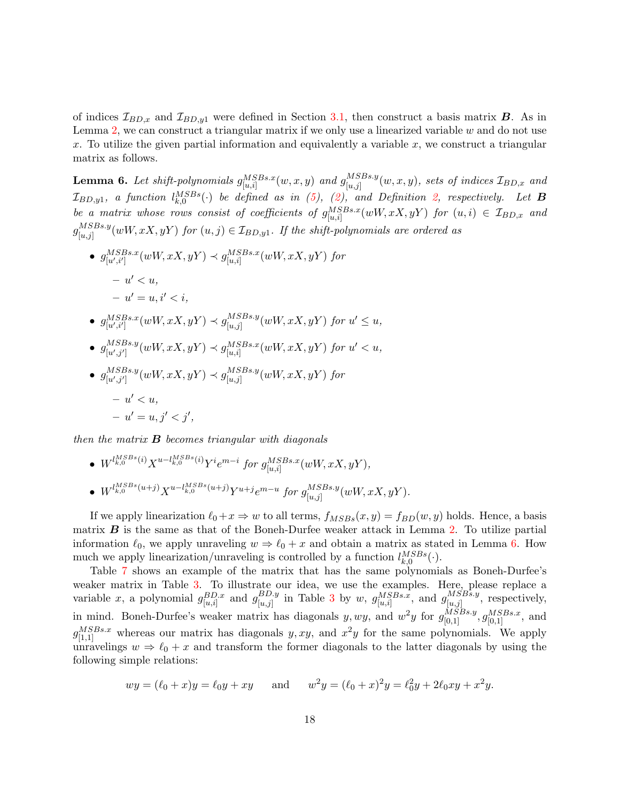of indices  $\mathcal{I}_{BD,x}$  and  $\mathcal{I}_{BD,y1}$  were defined in Section 3.1, then construct a basis matrix *B*. As in Lemma 2, we can construct a triangular matrix if we only use a linearized variable *w* and do not use *x*. To utilize the given partial information and equivalently a variable *x*, we construct a triangular matrix as follows.

**Lemma 6.** Let shift-polynomials  $g_{[u,i]}^{MSBs.x}(w, x, y)$  and  $g_{[u,j]}^{MSBs.y}$  $\mathbb{E}_{[u,j]}^{M5BS,y}(w,x,y)$ , sets of indices  $\mathcal{I}_{BD,x}$  and  $\mathcal{I}_{BD,y1}$ *, a function*  $l_{k,0}^{MSBs}(\cdot)$  *be defined as in (5), (2), and Definition 2, respectively. Let B be a matrix whose rows consist of coefficients of*  $g_{[u,i]}^{MSBs.x}(wW, xX, yY)$  *for*  $(u,i) \in \mathcal{I}_{BD,x}$  and  $g_{\lbrack u,i]}^{MSBs.y}$  $\int_{[u,j]}^{M5BSy}(wW, xX, yY)$  *for*  $(u, j) \in I_{BD,y1}$ *. If the shift-polynomials are ordered as* 

• 
$$
g_{[u',i']}^{MSBs.x}(wW, xX, yY) \prec g_{[u,i]}^{MSBs.x}(wW, xX, yY)
$$
 for  
-  $u' < u$ ,

$$
-u'=u, i'
$$

- $g_{[u',i']}^{MSBs.x}(wW, xX, yY) \prec g_{[u,j]}^{MSBs.y}$  $\int_{[u,j]}^{M5BSy} (wW, xX, yY)$  for  $u' \leq u$ ,
- $g_{\lbrack u' \ j' \rbrack}^{MSBs.y}$  $\frac{MSBs.y}{[u',j']}$   $(wW, xX, yY) \prec g_{[u,i]}^{MSBs.x}(wW, xX, yY)$  for  $u' < u$ ,
- $g_{\lbrack u' \ j' \rbrack}^{MSBs.y}$  $\frac{MSBs.y}{[u',j']}$   $(wW, xX, yY) \prec g^{MSBs.y}_{[u,j]}$  $\int_{[u,j]}^{M5BS.y}(wW, xX, yY)$  for

$$
- u' < u,
$$
\n
$$
- u' = u, j' < j',
$$

*then the matrix B becomes triangular with diagonals*

\n- $$
W^{l_{k,0}^{MSBs}(i)}X^{u-l_{k,0}^{MSBs}(i)}Y^{i}e^{m-i}
$$
 for  $g_{[u,i]}^{MSBs,x}(wW, xX, yY),$
\n- $W^{l_{k,0}^{MSBs}(u+j)}X^{u-l_{k,0}^{MSBs}(u+j)}Y^{u+j}e^{m-u}$  for  $g_{[u,j]}^{MSBs,y}(wW, xX, yY).$
\n

If we apply linearization  $\ell_0 + x \Rightarrow w$  to all terms,  $f_{MSBs}(x, y) = f_{BD}(w, y)$  holds. Hence, a basis matrix **B** is the same as that of the Boneh-Durfee weaker attack in Lemma 2. To utilize partial information  $\ell_0$ , we apply unraveling  $w \Rightarrow \ell_0 + x$  and obtain a matrix as stated in Lemma 6. How much we apply linearization/unraveling is controlled by a function  $l_{k,0}^{MSBs}(\cdot)$ .

Table 7 shows an example of the matrix that has the same polynomials as Boneh-Durfee's weaker matrix in Table 3. To illustrate our idea, we use the examples. Here, please replace a variable *x*, a polynomial  $g_{[u,i]}^{BD,x}$  and  $g_{[u,j]}^{BD,y}$  $\begin{bmatrix} BD.y \\ [u,j] \end{bmatrix}$  in Table 3 by *w*,  $g_{[u,i]}^{MSBs.x}$ , and  $g_{[u,j]}^{MSBs.y}$  $\sum_{[u,j]}^{M5BS,y}$ , respectively, in mind. Boneh-Durfee's weaker matrix has diagonals *y*, *wy*, and  $w^2y$  for  $g_{[0,1]}^{MSBs,y}, g_{[0,1]}^{MSBs,x}$ , and  $g_{[1,1]}^{MSBs.x}$  whereas our matrix has diagonals *y, xy,* and  $x^2y$  for the same polynomials. We apply unravelings  $w \Rightarrow \ell_0 + x$  and transform the former diagonals to the latter diagonals by using the following simple relations:

$$
wy = (\ell_0 + x)y = \ell_0 y + xy
$$
 and  $w^2y = (\ell_0 + x)^2 y = \ell_0^2 y + 2\ell_0 xy + x^2 y$ .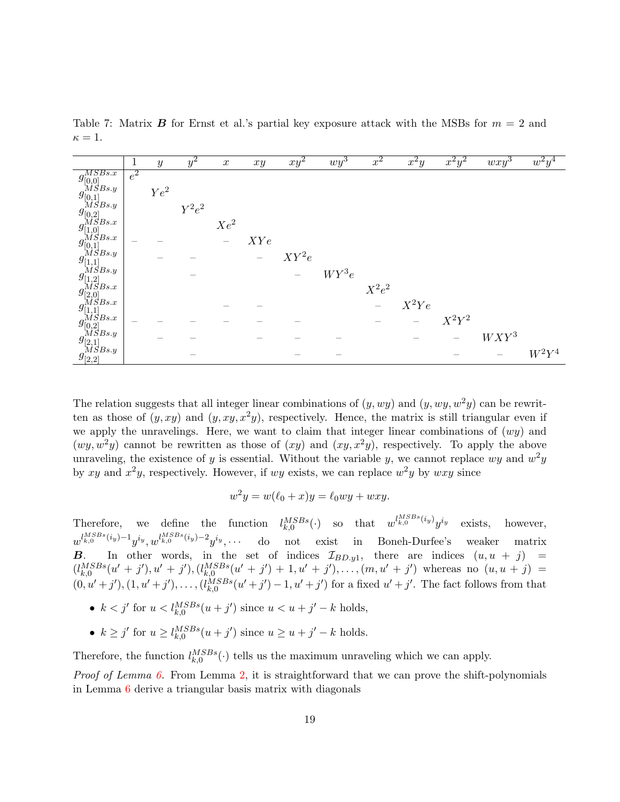|                                                                                                                | T     | $\boldsymbol{y}$ | $y^2$    | $\boldsymbol{x}$         | xy              | $xy^2$  | $wy^3$    | $\overline{x^2}$         | $x^2y$  | $x^2y^2$                 | $\overline{wxy^3}$ | $w^2y^4$ |
|----------------------------------------------------------------------------------------------------------------|-------|------------------|----------|--------------------------|-----------------|---------|-----------|--------------------------|---------|--------------------------|--------------------|----------|
| $\frac{g_{[0,0]}^{MSBs.x}}{g_{MSBs.y}^{MSBs.y}}$                                                               | $e^2$ |                  |          |                          |                 |         |           |                          |         |                          |                    |          |
|                                                                                                                |       | $Ye^2$           |          |                          |                 |         |           |                          |         |                          |                    |          |
| $\begin{array}{c}\n\frac{g_{[0,1]}}{g_{MSBs,y}}\n\\ \frac{MSBs_y}{g_{MSBs,y}}\n\end{array}$                    |       |                  | $Y^2e^2$ |                          |                 |         |           |                          |         |                          |                    |          |
| $g_{[0,2]}^{(0,2)}$<br>$g_{[1,0]}^{MSBs.x}$                                                                    |       |                  |          |                          |                 |         |           |                          |         |                          |                    |          |
|                                                                                                                |       |                  |          | $Xe^2$                   |                 |         |           |                          |         |                          |                    |          |
| $g_{[0,1]}^{\tilde{MS}Bs.x}$                                                                                   |       |                  |          | $\overline{\phantom{m}}$ | XYe             |         |           |                          |         |                          |                    |          |
|                                                                                                                |       |                  |          |                          | $\qquad \qquad$ | $XY^2e$ |           |                          |         |                          |                    |          |
| $g_{[1,1]}^{m5D5,y}$                                                                                           |       |                  |          |                          |                 |         | $W Y^3 e$ |                          |         |                          |                    |          |
| $g_{[1,2]}^{(n5D5,y)}$<br>$g_{[2,0]}^{MSBs.x}$<br>$g_{[2,0]}^{MSBs.x}$                                         |       |                  |          |                          |                 |         |           | $X^2e^2$                 |         |                          |                    |          |
|                                                                                                                |       |                  |          |                          |                 |         |           |                          | $X^2Ye$ |                          |                    |          |
| $g_{[1]}^{w}$                                                                                                  |       |                  |          |                          |                 |         |           | $\overline{\phantom{m}}$ |         |                          |                    |          |
| $g_{[0,2]}^{\tilde{MS}Bs.x}$                                                                                   |       |                  |          |                          |                 |         |           |                          |         | $X^2Y^2$                 |                    |          |
|                                                                                                                |       |                  |          |                          |                 |         |           |                          |         | $\overline{\phantom{0}}$ | $WXY^3$            |          |
| $\begin{array}{c}\n\frac{g_{[2,1]}}{g_{[3,1]}}\\ \frac{MSBs.y}{g_{[3,1]}}\n\end{array}$<br>$g_{[2,2]}^{\dots}$ |       |                  |          |                          |                 |         |           |                          |         |                          |                    | $W^2Y^4$ |
|                                                                                                                |       |                  |          |                          |                 |         |           |                          |         |                          |                    |          |

Table 7: Matrix *B* for Ernst et al.'s partial key exposure attack with the MSBs for  $m = 2$  and  $\kappa = 1$ .

The relation suggests that all integer linear combinations of  $(y, wy)$  and  $(y, wy, w^2y)$  can be rewritten as those of  $(y, xy)$  and  $(y, xy, x<sup>2</sup>y)$ , respectively. Hence, the matrix is still triangular even if we apply the unravelings. Here, we want to claim that integer linear combinations of (*wy*) and  $(wy, w^2y)$  cannot be rewritten as those of  $(xy)$  and  $(xy, x^2y)$ , respectively. To apply the above unraveling, the existence of *y* is essential. Without the variable *y*, we cannot replace  $wy$  and  $w^2y$ by  $xy$  and  $x^2y$ , respectively. However, if  $wy$  exists, we can replace  $w^2y$  by  $wxy$  since

$$
w^2y = w(\ell_0 + x)y = \ell_0 wy + wxy.
$$

Therefore, we define the function  $l_{k,0}^{MSBs}(\cdot)$  so that  $w^{l_{k,0}^{MSBs}(i_y)}y^{i_y}$  exists, however,  $w^{l_{k,0}^{MSBs}(i_y)-1}y^{i_y}, w^{l_{k,0}^{MSBs}(i_y)-2}y^{i_y},\cdots\quad\text{do not exist in}\quad\text{Boneh-Durfee's}\quad\text{weaker}\quad\text{matrix}$ In other words, in the set of indices  $\mathcal{I}_{BD,y1}$ , there are indices  $(u, u + j)$  =  $(l_{k,0}^{MSBs}(u'+j'), u'+j'), (l_{k,0}^{MSBs}(u'+j')+1, u'+j'), \ldots, (m, u'+j')$  whereas no  $(u, u+j)$  $(0, u' + j'), (1, u' + j'), \ldots, (l_{k,0}^{MSBs}(u' + j') - 1, u' + j')$  for a fixed  $u' + j'$ . The fact follows from that

- $k < j'$  for  $u < l_{k,0}^{MSBs}(u+j')$  since  $u < u+j'-k$  holds,
- $k \geq j'$  for  $u \geq l_{k,0}^{MSBs}(u+j')$  since  $u \geq u+j'-k$  holds.

Therefore, the function  $l_{k,0}^{MSBs}(\cdot)$  tells us the maximum unraveling which we can apply.

*Proof of Lemma 6.* From Lemma 2, it is straightforward that we can prove the shift-polynomials in Lemma 6 derive a triangular basis matrix with diagonals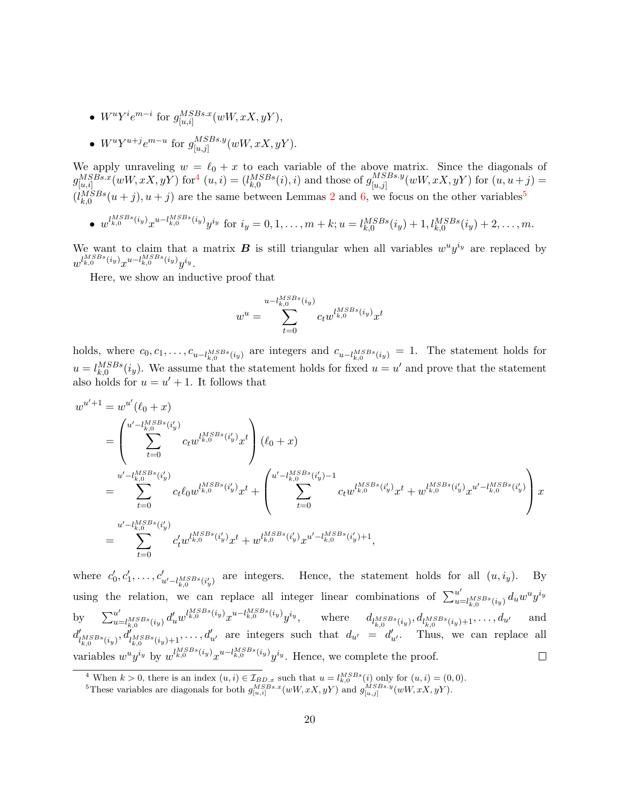•  $W^u Y^i e^{m-i}$  for  $g_{[u,i]}^{MSBs.x}(wW, xX, yY),$ 

• 
$$
W^{u}Y^{u+j}e^{m-u}
$$
 for  $g_{[u,j]}^{MSBs,y}(wW, xX, yY)$ .

We apply unraveling  $w = \ell_0 + x$  to each variable of the above matrix. Since the diagonals of  $g_{[u,i]}^{MSBs.x}(wW, xX, yY)$  for <sup>4</sup>  $(u, i) = (l_{k,0}^{MSBs}(i), i)$  and those of  $g_{[u,j]}^{MSBs,y}$  $\int_{[u,j]}^{M5BSy}(wW, xX, yY) \text{ for } (u, u+j) =$  $(l_{k,0}^{MSBs}(u+j), u+j)$  are the same between Lemmas 2 and 6, we focus on the other variables<sup>5</sup>

• 
$$
w^{l_{k,0}^{MSBs}(i_y)} x^{u-l_{k,0}^{MSBs}(i_y)} y^{i_y}
$$
 for  $i_y = 0, 1, ..., m+k; u = l_{k,0}^{MSBs}(i_y) + 1, l_{k,0}^{MSBs}(i_y) + 2, ..., m$ .

We want to claim that a matrix *B* is still triangular when all variables  $w^u y^{i_y}$  are replaced by  $w^{l_{k,0}^{MSBs}(i_y)}x^{u-l_{k,0}^{MSBs}(i_y)}y^{i_y}.$ 

Here, we show an inductive proof that

$$
w^{u} = \sum_{t=0}^{u-l_{k,0}^{MSBs}(i_{y})} c_{t} w^{l_{k,0}^{MSBs}(i_{y})} x^{t}
$$

holds, where  $c_0, c_1, \ldots, c_{u-l_{k,0}^{MSBs}(i_y)}$  are integers and  $c_{u-l_{k,0}^{MSBs}(i_y)} = 1$ . The statement holds for  $u = l_{k,0}^{MSBs}(i_y)$ . We assume that the statement holds for fixed  $u = u'$  and prove that the statement also holds for  $u = u' + 1$ . It follows that

$$
w^{u'+1} = w^{u'}(\ell_0 + x)
$$
  
\n
$$
= \left(\sum_{t=0}^{u'-l_{k,0}^{MSBs}(i'_{y})} c_{t}w^{l_{k,0}^{MSBs}(i'_{y})}x^{t}\right)(\ell_0 + x)
$$
  
\n
$$
= \sum_{t=0}^{u'-l_{k,0}^{MSBs}(i'_{y})} c_{t}\ell_0w^{l_{k,0}^{MSBs}(i'_{y})}x^{t} + \left(\sum_{t=0}^{u'-l_{k,0}^{MSBs}(i'_{y})-1} c_{t}w^{l_{k,0}^{MSBs}(i'_{y})}x^{t} + w^{l_{k,0}^{MSBs}(i'_{y})}x^{u'-l_{k,0}^{MSBs}(i'_{y})}\right)x
$$
  
\n
$$
= \sum_{t=0}^{u'-l_{k,0}^{MSBs}(i'_{y})} c'_{t}w^{l_{k,0}^{MSBs}(i'_{y})}x^{t} + w^{l_{k,0}^{MSBs}(i'_{y})}x^{u'-l_{k,0}^{MSBs}(i'_{y})+1},
$$

where  $c'_0, c'_1, \ldots, c'_{u'-l_{k,0}^{MSBs}(i'_y)}$  are integers. Hence, the statement holds for all  $(u, i_y)$ . By using the relation, we can replace all integer linear combinations of  $\sum_{u=l_{k}^{M} \in \{0,1\}^{M}}^{u'} d_{u} u^{u} y^{i}$ by  $\sum_{u=l_{k,0}^{MSBs}(i_y)}^{u'} d'_uw^{l_{k,0}^{MSBs}(i_y)}x^{u-l_{k,0}^{MSBs}(i_y)}y^{i_y}$ , where  $d_{l_{k,0}^{MSBs}(i_y)}$ ,  $d_{l_{k,0}^{MSBs}(i_y)+1}$ , ...,  $d_{u'}$  and  $d'_{l_{k,0}^{MSBs}(i_y)}, d'_{l_{k,0}^{MSBs}(i_y)+1}, \ldots, d'_{u'}$  are integers such that  $d_{u'} = d'_{u'}$ . Thus, we can replace all variables  $w^uy^{i_y}$  by  $w^{l_{k,0}^{MSBs}(i_y)}x^{u-l_{k,0}^{MSBs}(i_y)}y^{i_y}$ . Hence, we complete the proof.  $\Box$ 

<sup>&</sup>lt;sup>4</sup> When  $k > 0$ , there is an index  $(u, i) \in \mathcal{I}_{BD,x}$  such that  $u = l_{k,0}^{MSBs}(i)$  only for  $(u, i) = (0, 0)$ .

<sup>&</sup>lt;sup>5</sup>These variables are diagonals for both  $g_{[u,i]}^{MSBs.x}(wW, xX, yY)$  and  $g_{[u,j]}^{MSBs.y}(wW, xX, yY)$ .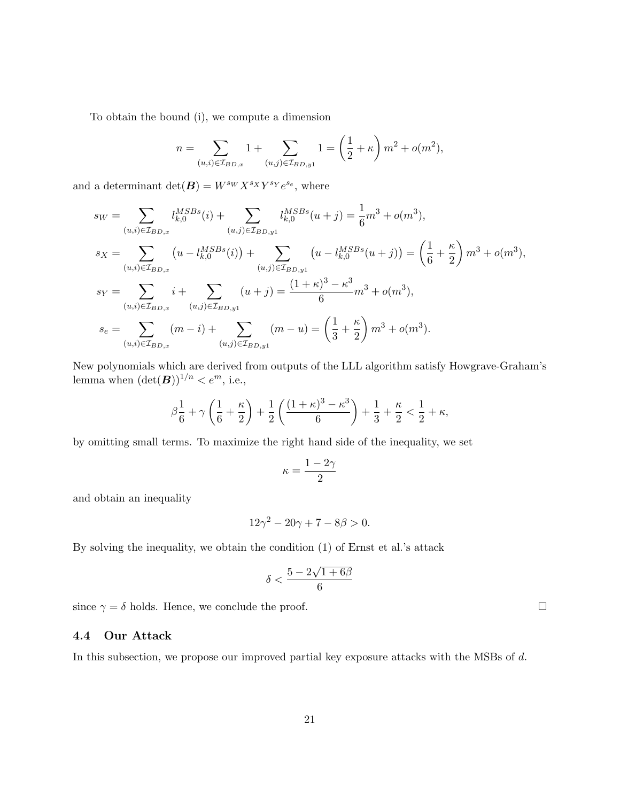To obtain the bound (i), we compute a dimension

$$
n = \sum_{(u,i)\in \mathcal{I}_{BD,x}} 1 + \sum_{(u,j)\in \mathcal{I}_{BD,y1}} 1 = \left(\frac{1}{2} + \kappa\right) m^2 + o(m^2),
$$

and a determinant  $\det(\mathbf{B}) = W^{s_W} X^{s_X} Y^{s_Y} e^{s_e}$ , where

$$
s_W = \sum_{(u,i)\in\mathcal{I}_{BD,x}} l_{k,0}^{MSBs}(i) + \sum_{(u,j)\in\mathcal{I}_{BD,y1}} l_{k,0}^{MSBs}(u+j) = \frac{1}{6}m^3 + o(m^3),
$$
  
\n
$$
s_X = \sum_{(u,i)\in\mathcal{I}_{BD,x}} (u - l_{k,0}^{MSBs}(i)) + \sum_{(u,j)\in\mathcal{I}_{BD,y1}} (u - l_{k,0}^{MSBs}(u+j)) = \left(\frac{1}{6} + \frac{\kappa}{2}\right)m^3 + o(m^3),
$$
  
\n
$$
s_Y = \sum_{(u,i)\in\mathcal{I}_{BD,x}} i + \sum_{(u,j)\in\mathcal{I}_{BD,y1}} (u+j) = \frac{(1+\kappa)^3 - \kappa^3}{6}m^3 + o(m^3),
$$
  
\n
$$
s_e = \sum_{(u,i)\in\mathcal{I}_{BD,x}} (m-i) + \sum_{(u,j)\in\mathcal{I}_{BD,y1}} (m-u) = \left(\frac{1}{3} + \frac{\kappa}{2}\right)m^3 + o(m^3).
$$

New polynomials which are derived from outputs of the LLL algorithm satisfy Howgrave-Graham's lemma when  $(\det(\mathbf{B}))^{1/n} < e^m$ , i.e.,

$$
\beta \frac{1}{6} + \gamma \left( \frac{1}{6} + \frac{\kappa}{2} \right) + \frac{1}{2} \left( \frac{(1+\kappa)^3 - \kappa^3}{6} \right) + \frac{1}{3} + \frac{\kappa}{2} < \frac{1}{2} + \kappa,
$$

by omitting small terms. To maximize the right hand side of the inequality, we set

$$
\kappa = \frac{1-2\gamma}{2}
$$

and obtain an inequality

$$
12\gamma^2 - 20\gamma + 7 - 8\beta > 0.
$$

By solving the inequality, we obtain the condition (1) of Ernst et al.'s attack

$$
\delta<\frac{5-2\sqrt{1+6\beta}}{6}
$$

since  $\gamma = \delta$  holds. Hence, we conclude the proof.

## **4.4 Our Attack**

In this subsection, we propose our improved partial key exposure attacks with the MSBs of *d*.

 $\Box$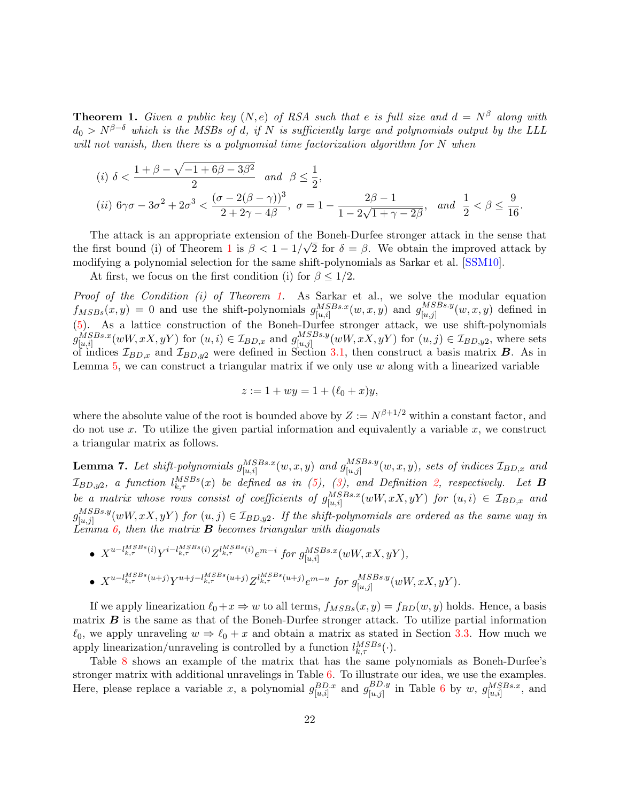**Theorem 1.** *Given a public key*  $(N, e)$  *of RSA such that e is full size and*  $d = N^{\beta}$  *along with*  $d_0 > N^{\beta-\delta}$  which is the MSBs of *d*, if *N* is sufficiently large and polynomials output by the LLL *will not vanish, then there is a polynomial time factorization algorithm for N when*

(i) 
$$
\delta < \frac{1+\beta-\sqrt{-1+6\beta-3\beta^2}}{2}
$$
 and  $\beta \le \frac{1}{2}$ ,  
\n(ii)  $6\gamma\sigma - 3\sigma^2 + 2\sigma^3 < \frac{(\sigma - 2(\beta - \gamma))^3}{2+2\gamma-4\beta}$ ,  $\sigma = 1 - \frac{2\beta - 1}{1 - 2\sqrt{1 + \gamma - 2\beta}}$ , and  $\frac{1}{2} < \beta \le \frac{9}{16}$ 

*.*

The attack is an appropriate extension of the Boneh-Durfee stronger attack in the sense that *√* the first bound (i) of Theorem 1 is  $\beta < 1 - 1/\sqrt{2}$  for  $\delta = \beta$ . We obtain the improved attack by modifying a polynomial selection for the same shift-polynomials as Sarkar et al. [SSM10].

At first, we focus on the first condition (i) for  $\beta \leq 1/2$ .

*Proof of the Condition (i) of Theorem 1.* As Sarkar et al., we solve the modular equation  $f_{MSBs}(x, y) = 0$  and use the shift-polynomials  $g_{[u,i]}^{MSBs.x}(w, x, y)$  and  $g_{[u,j]}^{MSBs,y}$  $\lim_{[u,j]}^{M5BSy}(w,x,y)$  defined in (5). As a lattice construction of the Boneh-Durfee stronger attack, we use shift-polynomials  $g_{[u,i]}^{MSBs.x}(wW, xX, yY)$  for  $(u, i) \in \mathcal{I}_{BD,x}$  and  $g_{[u,j]}^{MSBs,y}$  $\mathbb{E}_{[u,j]}^{M5BS,y}(wW, xX, yY)$  for  $(u, j) \in \mathcal{I}_{BD,y2}$ , where sets of indices  $\mathcal{I}_{BD,x}$  and  $\mathcal{I}_{BD,y2}$  were defined in Section 3.1, then construct a basis matrix **B**. As in Lemma 5, we can construct a triangular matrix if we only use *w* along with a linearized variable

$$
z := 1 + wy = 1 + (\ell_0 + x)y,
$$

where the absolute value of the root is bounded above by  $Z := N^{\beta+1/2}$  within a constant factor, and do not use *x*. To utilize the given partial information and equivalently a variable *x*, we construct a triangular matrix as follows.

**Lemma 7.** Let shift-polynomials  $g_{[u,i]}^{MSBs.x}(w, x, y)$  and  $g_{[u,j]}^{MSBs.y}$  $\mathbb{E}_{[u,j]}^{M5BS,y}(w,x,y)$ , sets of indices  $\mathcal{I}_{BD,x}$  and  $\mathcal{I}_{BD,y2}$ *, a function*  $l_{k,\tau}^{MSBs}(x)$  *be defined as in (5), (3), and Definition 2, respectively. Let B be a matrix whose rows consist of coefficients of*  $g_{[u,i]}^{MSBs.x}(wW, xX, yY)$  *for*  $(u,i) \in \mathcal{I}_{BD,x}$  and  $g_{\lbrack u,i]}^{MSBs.y}$  $\int_{[u,j]}^{M5BSy}(wW, xX, yY)$  *for*  $(u, j) \in I_{BD,y2}$ *. If the shift-polynomials are ordered as the same way in Lemma 6, then the matrix B becomes triangular with diagonals*

\n- \n
$$
X^{u-l_{k,\tau}^{MSBs}(i)} Y^{i-l_{k,\tau}^{MSBs}(i)} Z^{l_{k,\tau}^{MSBs}(i)} e^{m-i} \text{ for } g_{[u,i]}^{MSBs} (wW, xX, yY),
$$
\n
\n- \n
$$
X^{u-l_{k,\tau}^{MSBs}(u+j)} Y^{u+j-l_{k,\tau}^{MSBs}(u+j)} Z^{l_{k,\tau}^{MSBs}(u+j)} e^{m-u} \text{ for } g_{[u,j]}^{MSBs} (wW, xX, yY).
$$
\n
\n

If we apply linearization  $\ell_0 + x \Rightarrow w$  to all terms,  $f_{MSBs}(x, y) = f_{BD}(w, y)$  holds. Hence, a basis matrix *B* is the same as that of the Boneh-Durfee stronger attack. To utilize partial information  $\ell_0$ , we apply unraveling  $w \Rightarrow \ell_0 + x$  and obtain a matrix as stated in Section 3.3. How much we apply linearization/unraveling is controlled by a function  $l_{k,\tau}^{MSBs}(\cdot)$ .

Table 8 shows an example of the matrix that has the same polynomials as Boneh-Durfee's stronger matrix with additional unravelings in Table 6. To illustrate our idea, we use the examples. Here, please replace a variable *x*, a polynomial  $g_{[u,i]}^{BD,x}$  and  $g_{[u,j]}^{BD,y}$  $\int_{[u,j]}^{BD,y}$  in Table 6 by *w*,  $g_{[u,i]}^{MSBs.x}$ , and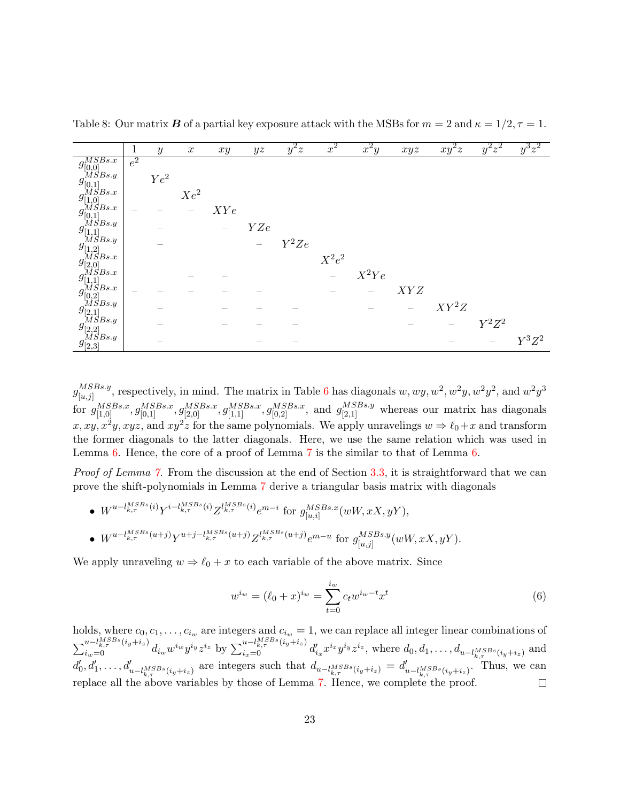|                                                                           | T     | $\boldsymbol{y}$ | $\boldsymbol{x}$         | xy              | yz                       | $y^2z$   | $x^2$                    | $x^2y$  | xyz | $xy^2z$ | $y^2z^2$  | $y^3z^2$ |
|---------------------------------------------------------------------------|-------|------------------|--------------------------|-----------------|--------------------------|----------|--------------------------|---------|-----|---------|-----------|----------|
| $g_{[0,0]}^{MSBs.x}$                                                      | $e^2$ |                  |                          |                 |                          |          |                          |         |     |         |           |          |
|                                                                           |       |                  |                          |                 |                          |          |                          |         |     |         |           |          |
| $g_{[0,1]}^{m_{DLS,y}}$<br>$g_{[1,0]}^{MSBs.x}$                           |       | $Ye^2$           |                          |                 |                          |          |                          |         |     |         |           |          |
|                                                                           |       |                  | $Xe^2$                   |                 |                          |          |                          |         |     |         |           |          |
|                                                                           |       |                  |                          |                 |                          |          |                          |         |     |         |           |          |
| SBs.x                                                                     |       |                  | $\overline{\phantom{a}}$ | XYe             |                          |          |                          |         |     |         |           |          |
| $g^M_{\stackrel{[0,1]}{\scriptstyle MSBs.y}} \quad ,$                     |       |                  |                          |                 |                          |          |                          |         |     |         |           |          |
| $g_{\begin{subarray}{c} [1,1] \ \sim \\ \sim \\ \end{subarray}} S_{Bs.y}$ |       |                  |                          | $\qquad \qquad$ | YZe                      |          |                          |         |     |         |           |          |
|                                                                           |       |                  |                          |                 | $\overline{\phantom{m}}$ | $Y^2 Ze$ |                          |         |     |         |           |          |
| $g_{[1,2]}^-$<br>SBs.x                                                    |       |                  |                          |                 |                          |          |                          |         |     |         |           |          |
| $g^{\Lambda_1}_{[2,0]}$                                                   |       |                  |                          |                 |                          |          | $X^2e^2$                 |         |     |         |           |          |
| SSBs.x<br>$g_{[1}^{\Lambda}$                                              |       |                  |                          |                 |                          |          | $\overline{\phantom{m}}$ | $X^2Ye$ |     |         |           |          |
| SBs.x                                                                     |       |                  |                          |                 |                          |          |                          |         |     |         |           |          |
| $g^{\tilde{M}_{\tilde{\nu}}}_{[0,2]}_{MSBs.y}$                            |       |                  |                          |                 |                          |          |                          |         | XYZ |         |           |          |
|                                                                           |       |                  |                          |                 |                          |          |                          |         |     | $XY^2Z$ |           |          |
| $g_{[2,1]}$ <sub>o</sub> $MSBs.y$                                         |       |                  |                          |                 |                          |          |                          |         |     |         |           |          |
|                                                                           |       |                  |                          |                 |                          |          |                          |         |     |         | $Y^2 Z^2$ |          |
|                                                                           |       |                  |                          |                 |                          |          |                          |         |     |         |           |          |
| $g_{[2,2]}^{m5D5,y}$<br>$g_{[2,3]}^{MSBs,y}$                              |       |                  |                          |                 |                          |          |                          |         |     |         |           | $Y^3Z^2$ |

Table 8: Our matrix *B* of a partial key exposure attack with the MSBs for  $m = 2$  and  $\kappa = 1/2, \tau = 1$ .

 $g^{\scriptscriptstyle{M} z.}_{\scriptscriptstyle [u,j]}$  $^{MSBs,y}_{\text{[14,1]}}$ , respectively, in mind. The matrix in Table 6 has diagonals *w*, *wy*,  $w^2$ ,  $w^2y$ ,  $w^2y^2$ , and  $w^2y^3$ for  $g_{[1,0]}^{MSBs.x}, g_{[0,1]}^{MSBs.x}, g_{[2,0]}^{MSBs.x}, g_{[1,1]}^{MSBs.x}, g_{[0,2]}^{MSBs.x}$ , and  $g_{[2,1]}^{MSBs.y}$  whereas our matrix has diagonals  $x, xy, x^2y, xyz$ , and  $xy^2z$  for the same polynomials. We apply unravelings  $w \Rightarrow \ell_0 + x$  and transform the former diagonals to the latter diagonals. Here, we use the same relation which was used in Lemma 6. Hence, the core of a proof of Lemma 7 is the similar to that of Lemma 6.

*Proof of Lemma* 7. From the discussion at the end of Section 3.3, it is straightforward that we can prove the shift-polynomials in Lemma 7 derive a triangular basis matrix with diagonals

\n- $$
W^{u-l_{k,\tau}^{MSBs}(i)} Y^{i-l_{k,\tau}^{MSBs}(i)} Z^{l_{k,\tau}^{MSBs}(i)} e^{m-i}
$$
 for  $g_{[u,i]}^{MSBs} (wW, xX, yY),$
\n- $W^{u-l_{k,\tau}^{MSBs}(u+j)} Y^{u+j-l_{k,\tau}^{MSBs}(u+j)} Z^{l_{k,\tau}^{MSBs}(u+j)} e^{m-u}$  for  $g_{[u,j]}^{MSBs} (wW, xX, yY).$
\n

We apply unraveling  $w \Rightarrow \ell_0 + x$  to each variable of the above matrix. Since

$$
w^{i_w} = (\ell_0 + x)^{i_w} = \sum_{t=0}^{i_w} c_t w^{i_w - t} x^t
$$
 (6)

holds, where  $c_0, c_1, \ldots, c_{i_w}$  are integers and  $c_{i_w} = 1$ , we can replace all integer linear combinations of  $\sum_{i_w=0}^{u-l_{k,\tau}^{MSBs}(i_y+i_z)} d_{i_w} w^{i_w} y^{i_y} z^{i_z}$  by  $\sum_{i_x=0}^{u-l_{k,\tau}^{MSBs}(i_y+i_z)} d'_{i_x} x^{i_x} y^{i_y} z^{i_z}$ , where  $d_0, d_1, \ldots, d_{u-l_{k,\tau}^{MSBs}(i_y+i_z)}$  and  $d'_0, d'_1, \ldots, d'_{u-l_{k,\tau}^{MSBs}(i_y+i_z)}$  are integers such that  $d_{u-l_{k,\tau}^{MSBs}(i_y+i_z)} = d'_{u-l_{k,\tau}^{MSBs}(i_y+i_z)}$ . Thus, we can replace all the above variables by those of Lemma 7. Hence, we complete the proof.  $\Box$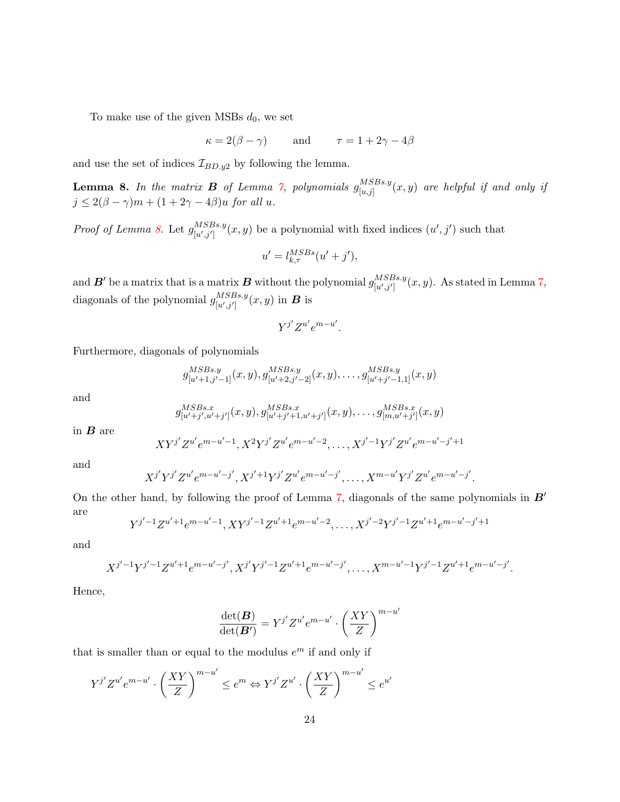To make use of the given MSBs  $d_0$ , we set

$$
\kappa = 2(\beta - \gamma) \qquad \text{and} \qquad \tau = 1 + 2\gamma - 4\beta
$$

and use the set of indices  $\mathcal{I}_{BD,y2}$  by following the lemma.

**Lemma 8.** In the matrix **B** of Lemma 7, polynomials  $g_{[u,i]}^{MSBs,y}$  $\lim_{[u,j]}^{M5BS,y}(x,y)$  are helpful if and only if  $j \leq 2(\beta - \gamma)m + (1 + 2\gamma - 4\beta)u$  *for all u.* 

*Proof of Lemma 8.* Let  $g_{\lceil n! \rceil}^{MSBs,y}$  $\int_{[u',j']}^{M5BSy}(x,y)$  be a polynomial with fixed indices  $(u',j')$  such that

$$
u' = l_{k,\tau}^{MSBs}(u' + j'),
$$

and  $B'$  be a matrix that is a matrix  $B$  without the polynomial  $g_{i,j',j'}^{MSBs,y}$  $\int_{[u',j']}^{M5Bs,y}(x,y)$ . As stated in Lemma 7, diagonals of the polynomial *g MSBs.y*  $\frac{MSDBS,y}{[u',j']}$  $(x,y)$  in  $\boldsymbol{B}$  is

$$
Y^{j'}Z^{u'}e^{m-u'}.
$$

Furthermore, diagonals of polynomials

$$
g_{[u'+1,j'-1]}^{MSBs,y}(x,y), g_{[u'+2,j'-2]}^{MSBs,y}(x,y), \ldots, g_{[u'+j'-1,1]}^{MSBs,y}(x,y)
$$

and

in *B* are

$$
g_{[u'+j',u'+j']}^{MSBs.x}(x,y), g_{[u'+j'+1,u'+j']}^{MSBs.x}(x,y),..., g_{[m,u'+j']}^{MSBs.x}(x,y)
$$

$$
XY^{j'}Z^{u'}e^{m-u'-1}, X^2Y^{j'}Z^{u'}e^{m-u'-2}, \dots, X^{j'-1}Y^{j'}Z^{u'}e^{m-u'-j'+1}
$$

and

$$
X^{j'}Y^{j'}Z^{u'}e^{m-u'-j'}, X^{j'+1}Y^{j'}Z^{u'}e^{m-u'-j'}, \dots, X^{m-u'}Y^{j'}Z^{u'}e^{m-u'-j'}.
$$

On the other hand, by following the proof of Lemma 7, diagonals of the same polynomials in *B′* are

$$
Y^{j'-1}Z^{u'+1}e^{m-u'-1}, XY^{j'-1}Z^{u'+1}e^{m-u'-2}, \ldots, X^{j'-2}Y^{j'-1}Z^{u'+1}e^{m-u'-j'+1}
$$

and

$$
X^{j'-1}Y^{j'-1}Z^{u'+1}e^{m-u'-j'}, X^{j'}Y^{j'-1}Z^{u'+1}e^{m-u'-j'}, \dots, X^{m-u'-1}Y^{j'-1}Z^{u'+1}e^{m-u'-j'}.
$$

Hence,

$$
\frac{\det(\boldsymbol{B})}{\det(\boldsymbol{B}')} = Y^{j'} Z^{u'} e^{m-u'} \cdot \left(\frac{XY}{Z}\right)^{m-u'}
$$

that is smaller than or equal to the modulus  $e^m$  if and only if

$$
Y^{j'}Z^{u'}e^{m-u'} \cdot \left(\frac{XY}{Z}\right)^{m-u'} \le e^m \Leftrightarrow Y^{j'}Z^{u'} \cdot \left(\frac{XY}{Z}\right)^{m-u'} \le e^{u'}
$$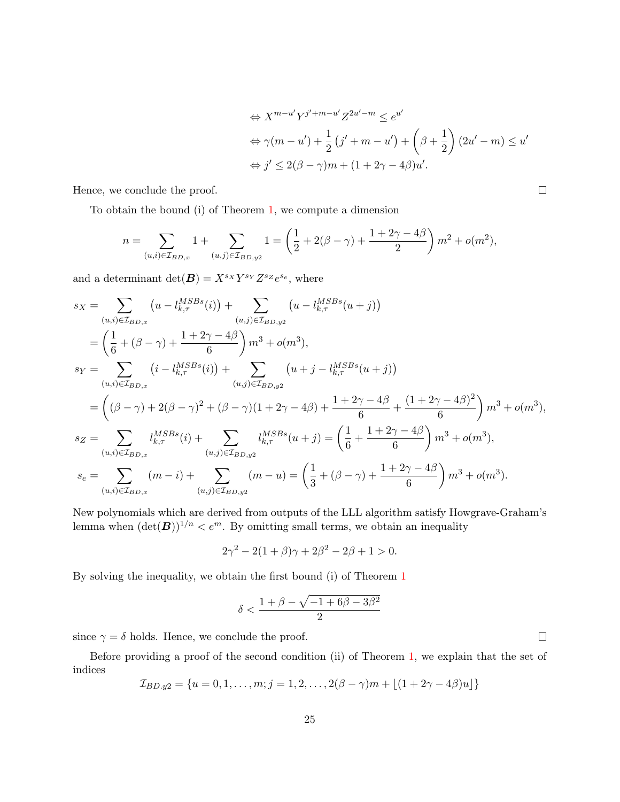$$
\Leftrightarrow X^{m-u'}Y^{j'+m-u'}Z^{2u'-m} \le e^{u'}
$$
  

$$
\Leftrightarrow \gamma(m-u') + \frac{1}{2}(j'+m-u') + \left(\beta + \frac{1}{2}\right)(2u'-m) \le u'
$$
  

$$
\Leftrightarrow j' \le 2(\beta - \gamma)m + (1 + 2\gamma - 4\beta)u'.
$$

Hence, we conclude the proof.

To obtain the bound (i) of Theorem 1, we compute a dimension

$$
n = \sum_{(u,i)\in\mathcal{I}_{BD,x}} 1 + \sum_{(u,j)\in\mathcal{I}_{BD,y2}} 1 = \left(\frac{1}{2} + 2(\beta - \gamma) + \frac{1 + 2\gamma - 4\beta}{2}\right)m^2 + o(m^2),
$$

and a determinant  $\det(\mathbf{B}) = X^{s_X} Y^{s_Y} Z^{s_Z} e^{s_e}$ , where

$$
s_X = \sum_{(u,i)\in\mathcal{I}_{BD,x}} (u - l_{k,\tau}^{MSBs}(i)) + \sum_{(u,j)\in\mathcal{I}_{BD,y2}} (u - l_{k,\tau}^{MSBs}(u+j))
$$
  
\n
$$
= \left(\frac{1}{6} + (\beta - \gamma) + \frac{1 + 2\gamma - 4\beta}{6}\right) m^3 + o(m^3),
$$
  
\n
$$
s_Y = \sum_{(u,i)\in\mathcal{I}_{BD,x}} (i - l_{k,\tau}^{MSBs}(i)) + \sum_{(u,j)\in\mathcal{I}_{BD,y2}} (u + j - l_{k,\tau}^{MSBs}(u+j))
$$
  
\n
$$
= \left((\beta - \gamma) + 2(\beta - \gamma)^2 + (\beta - \gamma)(1 + 2\gamma - 4\beta) + \frac{1 + 2\gamma - 4\beta}{6} + \frac{(1 + 2\gamma - 4\beta)^2}{6}\right) m^3 + o(m^3),
$$
  
\n
$$
s_Z = \sum_{(u,i)\in\mathcal{I}_{BD,x}} l_{k,\tau}^{MSBs}(i) + \sum_{(u,j)\in\mathcal{I}_{BD,y2}} l_{k,\tau}^{MSBs}(u+j) = \left(\frac{1}{6} + \frac{1 + 2\gamma - 4\beta}{6}\right) m^3 + o(m^3),
$$
  
\n
$$
s_e = \sum_{(u,i)\in\mathcal{I}_{BD,x}} (m - i) + \sum_{(u,j)\in\mathcal{I}_{BD,y2}} (m - u) = \left(\frac{1}{3} + (\beta - \gamma) + \frac{1 + 2\gamma - 4\beta}{6}\right) m^3 + o(m^3).
$$

New polynomials which are derived from outputs of the LLL algorithm satisfy Howgrave-Graham's lemma when  $(\det(\mathbf{B}))^{1/n} < e^m$ . By omitting small terms, we obtain an inequality

$$
2\gamma^2 - 2(1+\beta)\gamma + 2\beta^2 - 2\beta + 1 > 0.
$$

By solving the inequality, we obtain the first bound (i) of Theorem 1

$$
\delta<\frac{1+\beta-\sqrt{-1+6\beta-3\beta^2}}{2}
$$

since  $\gamma = \delta$  holds. Hence, we conclude the proof.

Before providing a proof of the second condition (ii) of Theorem 1, we explain that the set of indices

$$
\mathcal{I}_{BD,y2} = \{u = 0, 1, \dots, m; j = 1, 2, \dots, 2(\beta - \gamma)m + \lfloor (1 + 2\gamma - 4\beta)u \rfloor\}
$$

 $\Box$ 

 $\Box$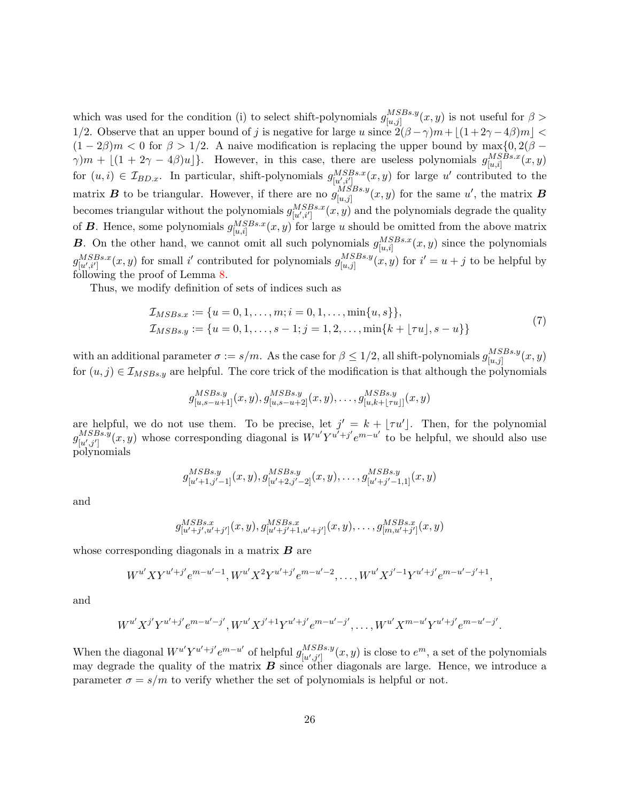which was used for the condition (i) to select shift-polynomials  $g_{[u,i]}^{MSBs,y}$  $\lim_{[u,j]}^{M5BS,y}(x,y)$  is not useful for  $\beta >$ 1/2. Observe that an upper bound of *j* is negative for large *u* since  $2(\beta - \gamma)m + |(1 + 2\gamma - 4\beta)m|$  $(1 - 2\beta)m < 0$  for  $\beta > 1/2$ . A naive modification is replacing the upper bound by max $\{0, 2(\beta - 1)\}$  $\gamma$ )*m* + [ $(1 + 2\gamma - 4\beta)u$ ]}. However, in this case, there are useless polynomials  $g_{[u,i]}^{MSBs.x}(x, y)$ for  $(u, i) \in \mathcal{I}_{BD,x}$ . In particular, shift-polynomials  $g_{[u', i']}^{MSBs,x}(x, y)$  for large  $u'$  contributed to the matrix *B* to be triangular. However, if there are no  $g_{[u,i]}^{MSBs,y}$  $\int_{[u,j]}^{M5BSy}(x,y)$  for the same *u'*, the matrix *B* becomes triangular without the polynomials  $g_{[u',i']}^{MSBs.x}(x, y)$  and the polynomials degrade the quality of *B*. Hence, some polynomials  $g_{[u,i]}^{MSBs.x}(x, y)$  for large *u* should be omitted from the above matrix *B*. On the other hand, we cannot omit all such polynomials  $g_{[u,i]}^{MSBs.x}(x, y)$  since the polynomials  $g_{[u',i']}^{MSBs.x}(x,y)$  for small *i*' contributed for polynomials  $g_{[u,j]}^{MSBs,y}$  $\int_{[u,j]}^{M5BSy}(x, y)$  for  $i' = u + j$  to be helpful by following the proof of Lemma 8.

Thus, we modify definition of sets of indices such as

$$
\mathcal{I}_{MSBs.x} := \{u = 0, 1, \dots, m; i = 0, 1, \dots, \min\{u, s\}\},\
$$
  
\n
$$
\mathcal{I}_{MSBs.y} := \{u = 0, 1, \dots, s - 1; j = 1, 2, \dots, \min\{k + \lfloor \tau u \rfloor, s - u\}\}\
$$
\n(7)

with an additional parameter  $\sigma := s/m$ . As the case for  $\beta \leq 1/2$ , all shift-polynomials  $g_{[n,j]}^{MSBs,y}$  $\chi^{M5BS.y}_{[u,j]}(x,y)$ for  $(u, j) \in \mathcal{I}_{MSBs,y}$  are helpful. The core trick of the modification is that although the polynomials

$$
g_{[u,s-u+1]}^{MSBs,y}(x,y), g_{[u,s-u+2]}^{MSBs,y}(x,y), \ldots, g_{[u,k+ \lfloor \tau u \rfloor]}^{MSBs,y}(x,y)
$$

are helpful, we do not use them. To be precise, let  $j' = k + \lfloor \tau u' \rfloor$ . Then, for the polynomial  $g_{\lceil u^{\prime} - i^{\prime} \rceil}^{MSBs.\bar{y}}$  ${}^{MSBs,y}_{[u',j']} (x,y)$  whose corresponding diagonal is  $W^{u'} Y^{u'+j'} e^{m-u'}$  to be helpful, we should also use polynomials

$$
g_{[u'+1,j'-1]}^{MSBs,y}(x,y), g_{[u'+2,j'-2]}^{MSBs,y}(x,y), \ldots, g_{[u'+j'-1,1]}^{MSBs,y}(x,y)
$$

and

$$
g_{[u'+j',u'+j']}^{MSBs.x}(x,y), g_{[u'+j'+1,u'+j']}^{MSBs.x}(x,y),..., g_{[m,u'+j']}^{MSBs.x}(x,y)
$$

whose corresponding diagonals in a matrix *B* are

$$
W^{u'}XY^{u'+j'}e^{m-u'-1}, W^{u'}X^{2}Y^{u'+j'}e^{m-u'-2}, \dots, W^{u'}X^{j'-1}Y^{u'+j'}e^{m-u'-j'+1},
$$

and

$$
W^{u'}X^{j'}Y^{u'+j'}e^{m-u'-j'}, W^{u'}X^{j'+1}Y^{u'+j'}e^{m-u'-j'}, \dots, W^{u'}X^{m-u'}Y^{u'+j'}e^{m-u'-j'}.
$$

When the diagonal  $W^{u'}Y^{u'+j'}e^{m-u'}$  of helpful  $g_{[\omega',i']}^{MSBs,y}$  $\int_{[u',j']}^{MSBs,y}(x,y)$  is close to  $e^m$ , a set of the polynomials may degrade the quality of the matrix *B* since other diagonals are large. Hence, we introduce a parameter  $\sigma = s/m$  to verify whether the set of polynomials is helpful or not.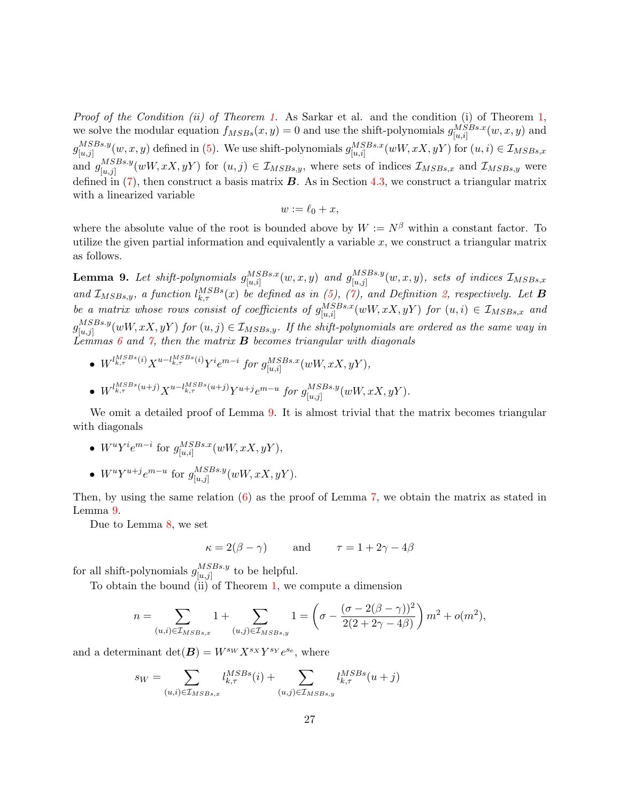*Proof of the Condition (ii) of Theorem 1.* As Sarkar et al. and the condition (i) of Theorem 1, we solve the modular equation  $f_{MSBs}(x, y) = 0$  and use the shift-polynomials  $g_{[u,i]}^{MSBs.x}(w, x, y)$  and  $g_{\lbrack u,i]}^{MSBs.y}$  $\frac{MSBs.y}{[u,j]}(w,x,y)$  defined in (5). We use shift-polynomials  $g_{[u,i]}^{MSBs.x}(wW,xX,yY)$  for  $(u,i) \in \mathcal{I}_{MSBs,x}$ and  $g_{[y,i]}^{MSBs,y}$  $\int_{[u,j]}^{M5BS,y}(wW, xX, yY)$  for  $(u, j) \in \mathcal{I}_{MSBs,y}$ , where sets of indices  $\mathcal{I}_{MSBs,x}$  and  $\mathcal{I}_{MSBs,y}$  were defined in (7), then construct a basis matrix *B*. As in Section 4.3, we construct a triangular matrix with a linearized variable

$$
w:=\ell_0+x,
$$

where the absolute value of the root is bounded above by  $W := N^{\beta}$  within a constant factor. To utilize the given partial information and equivalently a variable *x*, we construct a triangular matrix as follows.

**Lemma 9.** Let shift-polynomials  $g_{[u,i]}^{MSBs.x}(w, x, y)$  and  $g_{[u,j]}^{MSBs.y}$  $\begin{array}{l} \left\langle W, S \right\rangle B \subseteq S, y \left( w, x, y \right), \ \textit{sets of indices} \ \mathcal{I}_{MSBs, x} \end{array}$ *and*  $\mathcal{I}_{MSBs,y}$ *, a function*  $l_{k,\tau}^{MSBs}(x)$  *be defined as in (5), (7), and Definition* 2, respectively. Let **B** *be a matrix whose rows consist of coefficients of*  $g_{[u,i]}^{MSBs.x}(wW, xX, yY)$  *for*  $(u, i) \in \mathcal{I}_{MSBs,x}$  *and*  $g_{\lceil u, i \rceil}^{MSBs.y}$  $\lim_{[u,j]}^{M5BSy}(wW, xX, yY)$  *for*  $(u, j) \in \mathcal{I}_{MSBs,y}$ *. If the shift-polynomials are ordered as the same way in Lemmas 6 and 7, then the matrix B becomes triangular with diagonals*

- $\bullet \ \ W^{l_{k,\tau}^{MSBs}(i)}X^{u-l_{k,\tau}^{MSBs}(i)}Y^{i}e^{m-i} \ \textit{for} \ g_{[u,i]}^{MSBs.x}(wW, xX, yY),$
- $W^{l_{k,\tau}^{MSBs}(u+j)}X^{u-l_{k,\tau}^{MSBs}(u+j)}Y^{u+j}e^{m-u}$  for  $g_{[u,i]}^{MSBs,y}$  $\binom{M5BS,y}{[u,j]}$   $(wW,xX,yY)$ .

We omit a detailed proof of Lemma 9. It is almost trivial that the matrix becomes triangular with diagonals

- $W^u Y^i e^{m-i}$  for  $g_{[u,i]}^{MSBs.x}(wW, xX, yY),$
- $W^u Y^{u+j} e^{m-u}$  for  $g_{[u,i]}^{MSBs,y}$  $\chi_{[u,j]}^{MSBs.y}(wW,xX,yY).$

Then, by using the same relation (6) as the proof of Lemma 7, we obtain the matrix as stated in Lemma 9.

Due to Lemma 8, we set

$$
\kappa = 2(\beta - \gamma)
$$
 and  $\tau = 1 + 2\gamma - 4\beta$ 

for all shift-polynomials *g MSBs.y*  $\sum_{[u,j]}^{M5BS,y}$  to be helpful.

To obtain the bound (ii) of Theorem 1, we compute a dimension

$$
n = \sum_{(u,i)\in\mathcal{I}_{MSBs,x}} 1 + \sum_{(u,j)\in\mathcal{I}_{MSBs,y}} 1 = \left(\sigma - \frac{(\sigma - 2(\beta - \gamma))^2}{2(2 + 2\gamma - 4\beta)}\right) m^2 + o(m^2),
$$

and a determinant  $\det(\mathbf{B}) = W^{s_W} X^{s_X} Y^{s_Y} e^{s_e}$ , where

$$
s_W = \sum_{(u,i)\in\mathcal{I}_{MSBs,x}} l_{k,\tau}^{MSBs}(i) + \sum_{(u,j)\in\mathcal{I}_{MSBs,y}} l_{k,\tau}^{MSBs}(u+j)
$$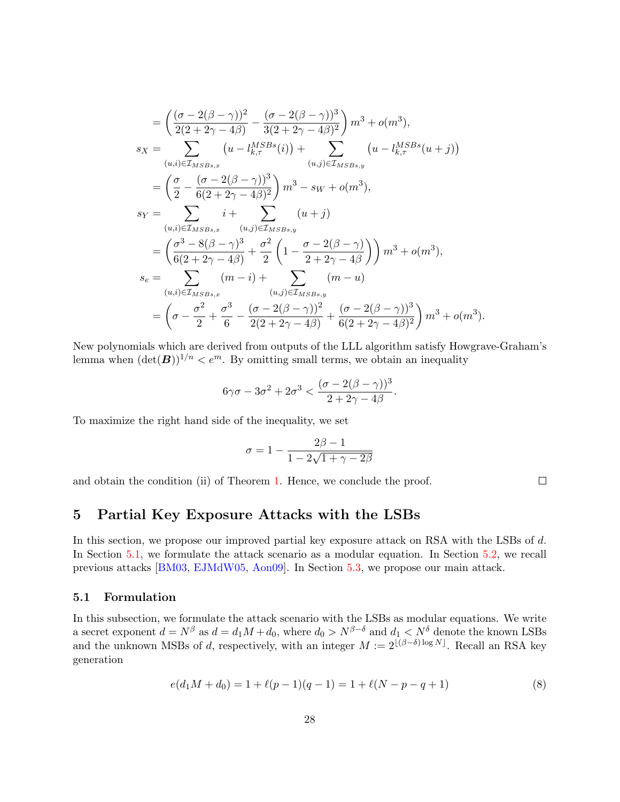$$
= \left(\frac{(\sigma - 2(\beta - \gamma))^2}{2(2 + 2\gamma - 4\beta)} - \frac{(\sigma - 2(\beta - \gamma))^3}{3(2 + 2\gamma - 4\beta)^2}\right) m^3 + o(m^3),
$$
  
\n
$$
s_X = \sum_{(u,i) \in \mathcal{I}_{MSBs,x}} (u - l_{k,\tau}^{MSBs}(i)) + \sum_{(u,j) \in \mathcal{I}_{MSBs,y}} (u - l_{k,\tau}^{MSBs}(u + j))
$$
  
\n
$$
= \left(\frac{\sigma}{2} - \frac{(\sigma - 2(\beta - \gamma))^3}{6(2 + 2\gamma - 4\beta)^2}\right) m^3 - s_W + o(m^3),
$$
  
\n
$$
s_Y = \sum_{(u,i) \in \mathcal{I}_{MSBs,x}} i + \sum_{(u,j) \in \mathcal{I}_{MSBs,y}} (u + j)
$$
  
\n
$$
= \left(\frac{\sigma^3 - 8(\beta - \gamma)^3}{6(2 + 2\gamma - 4\beta)} + \frac{\sigma^2}{2} \left(1 - \frac{\sigma - 2(\beta - \gamma)}{2 + 2\gamma - 4\beta}\right)\right) m^3 + o(m^3),
$$
  
\n
$$
s_e = \sum_{(u,i) \in \mathcal{I}_{MSBs,x}} (m - i) + \sum_{(u,j) \in \mathcal{I}_{MSBs,y}} (m - u)
$$
  
\n
$$
= \left(\sigma - \frac{\sigma^2}{2} + \frac{\sigma^3}{6} - \frac{(\sigma - 2(\beta - \gamma))^2}{2(2 + 2\gamma - 4\beta)} + \frac{(\sigma - 2(\beta - \gamma))^3}{6(2 + 2\gamma - 4\beta)^2}\right) m^3 + o(m^3).
$$

New polynomials which are derived from outputs of the LLL algorithm satisfy Howgrave-Graham's lemma when  $(\det(\mathbf{B}))^{1/n} < e^m$ . By omitting small terms, we obtain an inequality

$$
6\gamma\sigma - 3\sigma^2 + 2\sigma^3 < \frac{(\sigma - 2(\beta - \gamma))^3}{2 + 2\gamma - 4\beta}.
$$

To maximize the right hand side of the inequality, we set

$$
\sigma = 1 - \frac{2\beta - 1}{1 - 2\sqrt{1 + \gamma - 2\beta}}
$$

and obtain the condition (ii) of Theorem 1. Hence, we conclude the proof.

 $\Box$ 

## **5 Partial Key Exposure Attacks with the LSBs**

In this section, we propose our improved partial key exposure attack on RSA with the LSBs of *d*. In Section 5.1, we formulate the attack scenario as a modular equation. In Section 5.2, we recall previous attacks [BM03, EJMdW05, Aon09]. In Section 5.3, we propose our main attack.

#### **5.1 Formulation**

In this subsection, we formulate the attack scenario with the LSBs as modular equations. We write a secret exponent  $d = N^{\beta}$  as  $d = d_1 M + d_0$ , where  $d_0 > N^{\beta-\delta}$  and  $d_1 < N^{\delta}$  denote the known LSBs and the unknown MSBs of *d*, respectively, with an integer  $M := 2^{\lfloor (\beta - \delta) \log N \rfloor}$ . Recall an RSA key generation

$$
e(d_1M + d_0) = 1 + \ell(p-1)(q-1) = 1 + \ell(N-p-q+1)
$$
\n(8)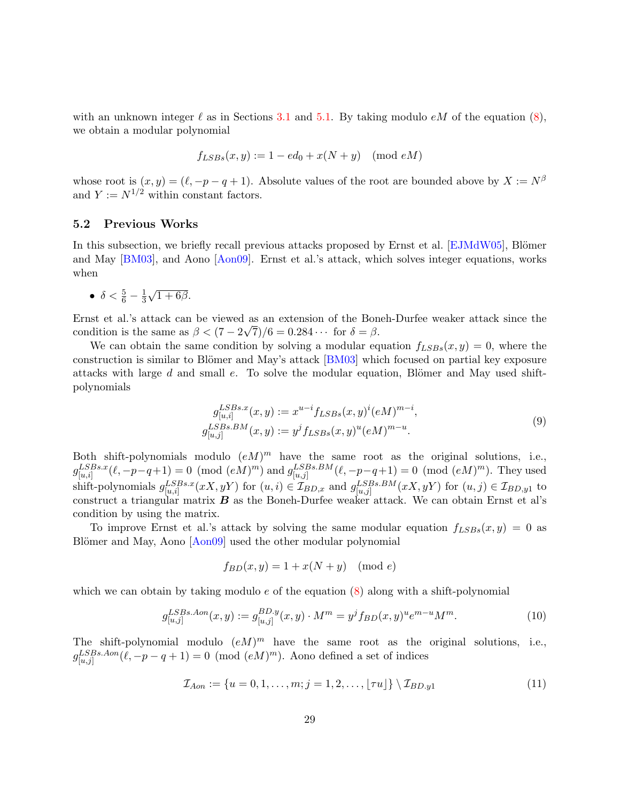with an unknown integer  $\ell$  as in Sections 3.1 and 5.1. By taking modulo  $eM$  of the equation (8), we obtain a modular polynomial

$$
f_{LSBs}(x,y) := 1 - ed_0 + x(N+y) \pmod{eM}
$$

whose root is  $(x, y) = (\ell, -p - q + 1)$ . Absolute values of the root are bounded above by  $X := N^{\beta}$ and  $Y := N^{1/2}$  within constant factors.

#### **5.2 Previous Works**

In this subsection, we briefly recall previous attacks proposed by Ernst et al. [EJM $dW05$ ], Blömer and May [BM03], and Aono [Aon09]. Ernst et al.'s attack, which solves integer equations, works when

• 
$$
\delta < \frac{5}{6} - \frac{1}{3}\sqrt{1 + 6\beta}.
$$

Ernst et al.'s attack can be viewed as an extension of the Boneh-Durfee weaker attack since the *√* condition is the same as  $\beta < (7 - 2\sqrt{7})/6 = 0.284 \cdots$  for  $\delta = \beta$ .

We can obtain the same condition by solving a modular equation  $f_{LSBs}(x, y) = 0$ , where the construction is similar to Blömer and May's attack [BM03] which focused on partial key exposure attacks with large  $d$  and small  $e$ . To solve the modular equation, Blömer and May used shiftpolynomials

$$
g_{[u,i]}^{LSBs.x}(x,y) := x^{u-i} f_{LSBs}(x,y)^i (eM)^{m-i},
$$
  
\n
$$
g_{[u,j]}^{LSBs,BM}(x,y) := y^j f_{LSBs}(x,y)^u (eM)^{m-u}.
$$
\n(9)

Both shift-polynomials modulo  $(eM)^m$  have the same root as the original solutions, i.e.,  $g_{[u,i]}^{LSBs.x}(\ell, -p-q+1) = 0 \pmod{(eM)^m}$  and  $g_{[u,j]}^{LSBs.BM}(\ell, -p-q+1) = 0 \pmod{(eM)^m}$ . They used  $\text{shift-polynomials } g_{[u,i]}^{LSBs.x}(xX, yY) \text{ for } (u, i) \in \mathcal{I}_{BD,x} \text{ and } g_{[u,j]}^{LSBs,BM}(xX, yY) \text{ for } (u, j) \in \mathcal{I}_{BD,y1} \text{ to }$ construct a triangular matrix *B* as the Boneh-Durfee weaker attack. We can obtain Ernst et al's condition by using the matrix.

To improve Ernst et al.'s attack by solving the same modular equation  $f_{LSBs}(x,y) = 0$  as Blömer and May, Aono [Aon09] used the other modular polynomial

$$
f_{BD}(x,y) = 1 + x(N+y) \pmod{e}
$$

which we can obtain by taking modulo *e* of the equation  $(8)$  along with a shift-polynomial

$$
g_{[u,j]}^{LSBs. Aon}(x,y) := g_{[u,j]}^{BD,y}(x,y) \cdot M^m = y^j f_{BD}(x,y)^u e^{m-u} M^m.
$$
 (10)

The shift-polynomial modulo  $(eM)^m$  have the same root as the original solutions, i.e.,  $g_{[u,j]}^{LSBs.Aon}(\ell, -p-q+1) = 0 \pmod{(eM)^m}$ . Aono defined a set of indices

$$
\mathcal{I}_{Aon} := \{u = 0, 1, \dots, m; j = 1, 2, \dots, \lfloor \tau u \rfloor\} \setminus \mathcal{I}_{BD.y1}
$$
\n
$$
(11)
$$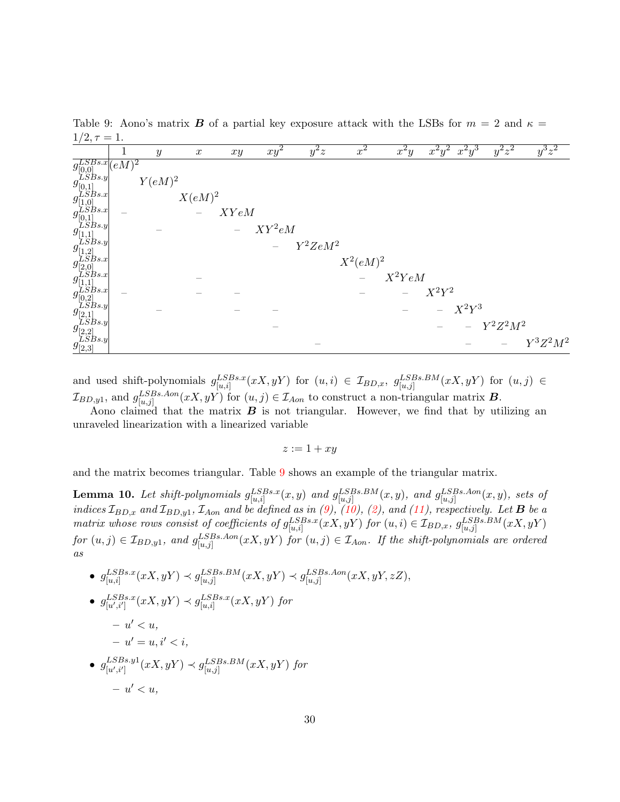Table 9: Aono's matrix *B* of a partial key exposure attack with the LSBs for  $m = 2$  and  $\kappa =$  $1/2, \tau = 1.$ 

| $-7 - 7$                                                           |                  |                  |      |                          |             |                  |          |                      |                 |             |
|--------------------------------------------------------------------|------------------|------------------|------|--------------------------|-------------|------------------|----------|----------------------|-----------------|-------------|
|                                                                    | $\boldsymbol{y}$ | $\boldsymbol{x}$ | xy   | $xy^2$                   | $y^2z$      | $\overline{x^2}$ | $x^2y$   | $x^2y^3$<br>$x^2y^2$ | $y^2z^2$        | $y^3z^2$    |
|                                                                    |                  |                  |      |                          |             |                  |          |                      |                 |             |
| $g_{[0,0]}^{LSBs.x}(eM)^2$<br>$g_{[0,1]}^{LSBs.y}$                 | $Y(eM)^2$        |                  |      |                          |             |                  |          |                      |                 |             |
| $g^{\overrightarrow{LSB}s.x }_{[1,0]}$                             |                  | $X(eM)^2$        |      |                          |             |                  |          |                      |                 |             |
| $g_{[0,1]}^{L\tilde{S}_{BS.x]}^{+}}$                               |                  |                  | XYeM |                          |             |                  |          |                      |                 |             |
| $_{LSBs.y}$<br>$g_{[1,1]}^{LSB}$<br><i>LSBs.y</i>                  |                  |                  |      | $XY^2eM$                 |             |                  |          |                      |                 |             |
|                                                                    |                  |                  |      | $\overline{\phantom{0}}$ | $Y^2 ZeM^2$ |                  |          |                      |                 |             |
|                                                                    |                  |                  |      |                          |             | $X^2(eM)^2$      |          |                      |                 |             |
| $g^{L5D s.y}_{[1,2]} \ g^{L5B s.x}_{[2,0]} \ g^{L5B s.x}_{[1,1]}$  |                  |                  |      |                          |             |                  | $X^2YeM$ |                      |                 |             |
| $q_{[0,2]}^{L\acute{S}Bs.x}$                                       |                  |                  |      |                          |             |                  |          | $X^2Y^2$             |                 |             |
| LSBs.y                                                             |                  |                  |      |                          |             |                  |          | $X^2Y^3$<br>$\equiv$ |                 |             |
| $g_{\stackrel{[2,1]}{\tau, S_{BS},y]}^{\scriptscriptstyle L}}^{L}$ |                  |                  |      |                          |             |                  |          |                      | $- Y^2 Z^2 M^2$ |             |
| $g_{[2,2]}^{L5DS.y}$<br>$g_{[2,3]}^{L5Bs.y}$                       |                  |                  |      |                          |             |                  |          |                      |                 | $Y^3Z^2M^2$ |

and used shift-polynomials  $g_{[u,i]}^{LSBs.x}(xX, yY)$  for  $(u, i) \in \mathcal{I}_{BD,x}$ ,  $g_{[u,j]}^{LSBs,BM}(xX, yY)$  for  $(u, j) \in$  $\mathcal{I}_{BD,y1}$ , and  $g_{[u,j]}^{LSBsAon}(xX,yY)$  for  $(u, j) \in \mathcal{I}_{Aon}$  to construct a non-triangular matrix *B*.

Aono claimed that the matrix  $\boldsymbol{B}$  is not triangular. However, we find that by utilizing an unraveled linearization with a linearized variable

 $z := 1 + xu$ 

and the matrix becomes triangular. Table 9 shows an example of the triangular matrix.

**Lemma 10.** Let shift-polynomials  $g_{[u,i]}^{LSBs.x}(x,y)$  and  $g_{[u,j]}^{LSBs,BM}(x,y)$ , and  $g_{[u,j]}^{LSBs,Aon}(x,y)$ , sets of *indices*  $\mathcal{I}_{BD,x}$  and  $\mathcal{I}_{BD,y1}$ ,  $\mathcal{I}_{Aon}$  and be defined as in (9), (10), (2), and (11), respectively. Let **B** be a  $matrix \ whose \ rows \ consist \ of \ coefficients \ of \ g_{[u,i]}^{LSBs.x}(xX,yY) \ for \ (u,i) \in \mathcal{I}_{BD,x}, \ g_{[u,j]}^{LSBs.BM}(xX,yY)$  $for (u, j) \in I_{BD,y1}$ , and  $g_{[u,j]}^{LSBs. Aon}(xX, yY)$  *for*  $(u, j) \in I_{Aon}$ *. If the shift-polynomials are ordered as*

\n- \n
$$
g_{[u,i]}^{LSBs.x}(xX, yY) \prec g_{[u,j]}^{LSBs,BM}(xX, yY) \prec g_{[u,j]}^{LSBs,Aon}(xX, yY, zZ),
$$
\n
\n- \n $g_{[u',i']}^{LSBs.x}(xX, yY) \prec g_{[u,i]}^{LSBs.x}(xX, yY) \text{ for}$ \n $-u' < u,$ \n $-u' = u, i' < i,$ \n
\n- \n $g_{[u',i']}^{LSBs.y1}(xX, yY) \prec g_{[u,j]}^{LSBs,BM}(xX, yY) \text{ for}$ \n $-u' < u,$ \n
\n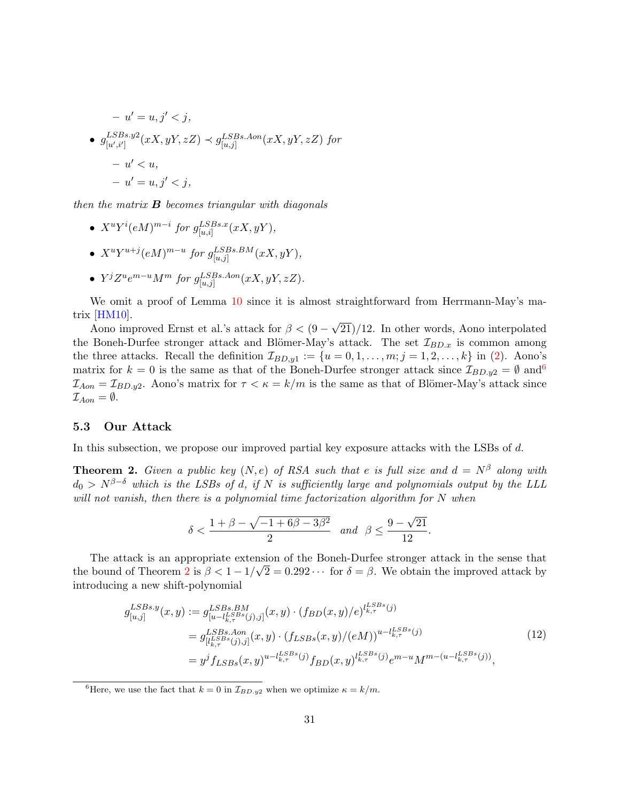$$
-u' = u, j' < j,
$$
\n• 
$$
g_{[u',i']}^{LSBs,y2}(xX, yY, zZ) \prec g_{[u,j]}^{LSBs,Aon}(xX, yY, zZ) \text{ for}
$$
\n
$$
-u' < u,
$$
\n
$$
-u' = u, j' < j,
$$

*then the matrix B becomes triangular with diagonals*

- $X^u Y^i (eM)^{m-i}$  for  $g_{[u,i]}^{LSBs.x}(xX, yY)$ *,* ●  $X^u Y^{u+j} (eM)^{m-u}$  for  $g_{[u,j]}^{LSBs,BM}(xX, yY)$ *,*
- $Y^j Z^u e^{m-u} M^m$  for  $g_{[u,j]}^{LSBsAon}(xX, yY, zZ)$ .

We omit a proof of Lemma 10 since it is almost straightforward from Herrmann-May's matrix [HM10]. *√*

Aono improved Ernst et al.'s attack for *β <* (9 *−* 21)*/*12. In other words, Aono interpolated the Boneh-Durfee stronger attack and Blömer-May's attack. The set  $\mathcal{I}_{BD,x}$  is common among the three attacks. Recall the definition  $\mathcal{I}_{BD,y1} := \{u = 0, 1, \ldots, m; j = 1, 2, \ldots, k\}$  in (2). Aono's matrix for  $k = 0$  is the same as that of the Boneh-Durfee stronger attack since  $\mathcal{I}_{BD,y2} = \emptyset$  and<sup>6</sup>  $\mathcal{I}_{Aon} = \mathcal{I}_{BD,y2}$ . Aono's matrix for  $\tau < \kappa = k/m$  is the same as that of Blömer-May's attack since  $\mathcal{I}_{Aon} = \emptyset.$ 

#### **5.3 Our Attack**

In this subsection, we propose our improved partial key exposure attacks with the LSBs of *d*.

**Theorem 2.** *Given a public key*  $(N, e)$  *of RSA such that e is full size and*  $d = N^{\beta}$  *along with*  $d_0 > N^{\beta-\delta}$  which is the LSBs of *d*, if *N* is sufficiently large and polynomials output by the LLL *will not vanish, then there is a polynomial time factorization algorithm for N when*

$$
\delta < \frac{1+\beta-\sqrt{-1+6\beta-3\beta^2}}{2} \quad \text{and} \quad \beta \le \frac{9-\sqrt{21}}{12}.
$$

The attack is an appropriate extension of the Boneh-Durfee stronger attack in the sense that *√* the bound of Theorem 2 is  $\beta < 1 - 1/\sqrt{2} = 0.292 \cdots$  for  $\delta = \beta$ . We obtain the improved attack by introducing a new shift-polynomial

$$
g_{[u,j]}^{LSBs,y}(x,y) := g_{[u-l_{k,\tau}^{LSBs,BM}]}^{LSBs,BM}(x,y) \cdot (f_{BD}(x,y)/e)^{l_{k,\tau}^{LSBs}(j)}
$$
  
\n
$$
= g_{[l_{k,\tau}^{LSBs,Aon}}^{LSBs,Aon}(x,y) \cdot (f_{LSBs}(x,y)/(eM))^{u-l_{k,\tau}^{LSBs}(j)}
$$
  
\n
$$
= y^{j} f_{LSBs}(x,y)^{u-l_{k,\tau}^{LSBs}(j)} f_{BD}(x,y)^{l_{k,\tau}^{LSBs}(j)} e^{m-u} M^{m-(u-l_{k,\tau}^{LSBs}(j))},
$$
\n(12)

<sup>6</sup>Here, we use the fact that  $k = 0$  in  $\mathcal{I}_{BD, y2}$  when we optimize  $\kappa = k/m$ .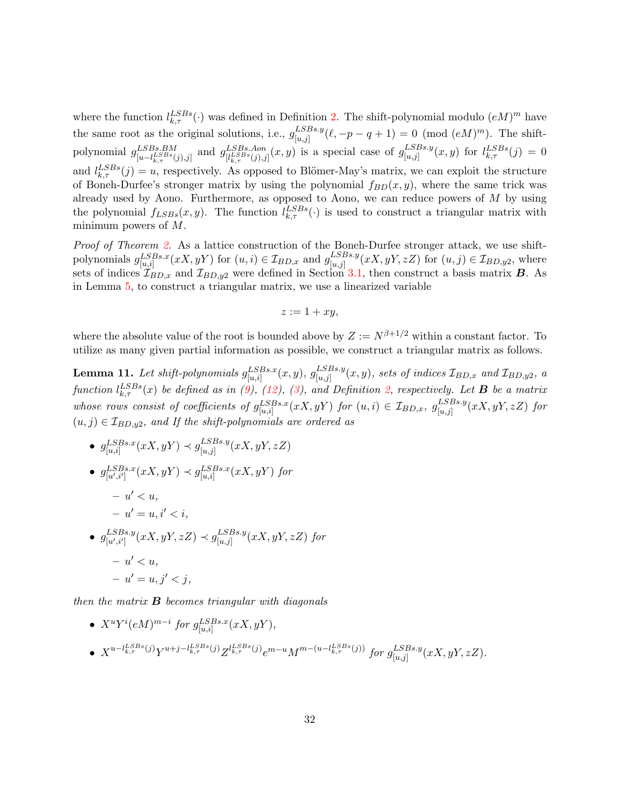where the function  $l_{k,\tau}^{LSBs}(\cdot)$  was defined in Definition 2. The shift-polynomial modulo  $(eM)^m$  have the same root as the original solutions, i.e.,  $g_{[u,i]}^{LSBs,y}$  $\int_{[u,j]}^{LSBs,y} (\ell, -p-q+1) = 0 \pmod{(eM)^m}$ . The shiftpolynomial *g LSBs.BM*  $_{[u-l_{k,\tau}^{LSBs}]}$  and  $g_{[l_{k,\tau}^{LSBs}(j),j]}^{LSBsAon}$  $\frac{LSBsAon}{[l_{k,\tau}^{LSBs}(j),j]}(x,y)$  is a special case of  $g_{[u,j]}^{LSBs,y}$  $\int_{[u,j]}^{LSBs.y}(x,y)$  for  $l_{k,\tau}^{LSBs}(j) = 0$ and  $l_{k,\tau}^{LSBs}(j) = u$ , respectively. As opposed to Blömer-May's matrix, we can exploit the structure of Boneh-Durfee's stronger matrix by using the polynomial  $f_{BD}(x, y)$ , where the same trick was already used by Aono. Furthermore, as opposed to Aono, we can reduce powers of *M* by using the polynomial  $f_{LSBs}(x, y)$ . The function  $l_{k, \tau}^{LSBs}(\cdot)$  is used to construct a triangular matrix with minimum powers of *M*.

*Proof of Theorem 2.* As a lattice construction of the Boneh-Durfee stronger attack, we use shiftpolynomials  $g_{[u,i]}^{LSBs.x}(xX, yY)$  for  $(u, i) \in \mathcal{I}_{BD,x}$  and  $g_{[u,j]}^{LSBs,y}$  $\mathcal{L}_{[u,j]}^{L5BS,y}(xX, yY, zZ)$  for  $(u, j) \in \mathcal{I}_{BD,y2}$ , where sets of indices  $\mathcal{I}_{BD,x}$  and  $\mathcal{I}_{BD,y2}$  were defined in Section 3.1, then construct a basis matrix *B*. As in Lemma 5, to construct a triangular matrix, we use a linearized variable

$$
z := 1 + xy,
$$

where the absolute value of the root is bounded above by  $Z := N^{\beta+1/2}$  within a constant factor. To utilize as many given partial information as possible, we construct a triangular matrix as follows.

 $\bf{Lemma \ 11. \ } Let \ shift-polynomials \ } g_{[u,i]}^{LSBs.x}(x,y), \ g_{[u,j]}^{LSBs,y}$  $\int_{[u,j]}^{L5BSy}(x,y)$ *, sets of indices*  $\mathcal{I}_{BD,x}$  *and*  $\mathcal{I}_{BD,y2}$ *, a function*  $l_{k,\tau}^{LSBs}(x)$  *be defined as in (9), (12), (3), and Definition* 2, respectively. Let **B** *be a matrix whose rows consist of coefficients of*  $g_{[u,i]}^{LSBs.x}(xX, yY)$  *for*  $(u, i) \in I_{BD,x}$ ,  $g_{[u,j]}^{LSBs,y}$  $\int_{[u,j]}^{L5Bs.y}(xX, yY, zZ)$  for  $(u, j) \in I_{BD,y2}$ *, and If the shift-polynomials are ordered as* 

• 
$$
g_{[u,i]}^{LSBs.x}(xX, yY) \prec g_{[u,j]}^{LSBs.y}(xX, yY, zZ)
$$

●  $g_{[u',i']}^{LSBs.x}(xX, yY)$   $\prec$   $g_{[u,i]}^{LSBs.x}(xX, yY)$  *for* **–** *u ′ < u,*

$$
-u' = u, i' < i,
$$
  
\n•  $g_{[u',i']}^{LSBs,y}(xX, yY, zZ) \prec g_{[u,j]}^{LSBs,y}(xX, yY, zZ)$  for  
\n
$$
-u' < u,
$$

$$
-u'=u, j'
$$

*then the matrix B becomes triangular with diagonals*

• 
$$
X^{u}Y^{i}(eM)^{m-i}
$$
 for  $g_{[u,i]}^{LSBs.x}(xX, yY),$   
\n•  $X^{u-l_{k,\tau}^{LSBs}(j)}Y^{u+j-l_{k,\tau}^{LSBs}(j)}Z^{l_{k,\tau}^{LSBs}(j)}e^{m-u}M^{m-(u-l_{k,\tau}^{LSBs}(j))}$  for  $g_{[u,j]}^{LSBs,y}(xX, yY, zZ).$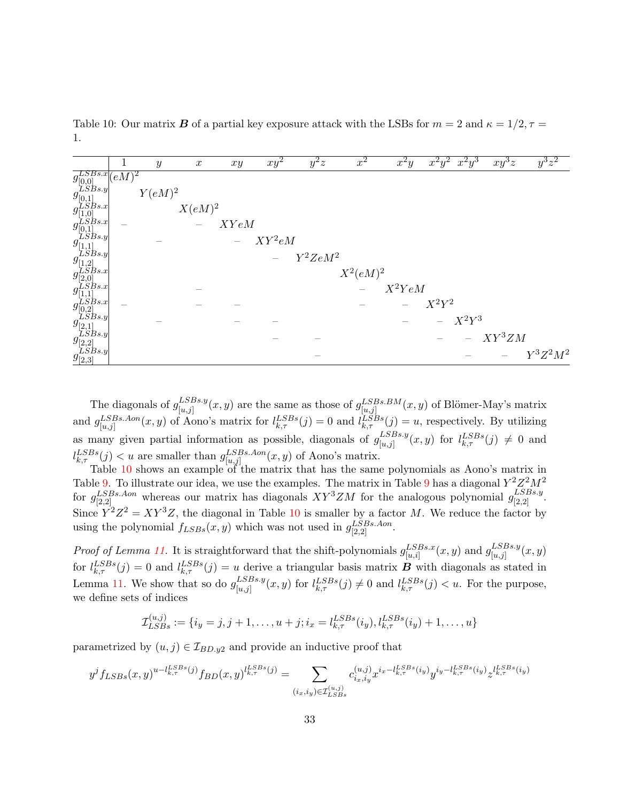|                                              | $\boldsymbol{y}$ | $\boldsymbol{x}$ | xy   | $xy^2$   | $y^2z$      | $\overline{x^2}$ | $x^2y$   | $x^2y^2$ $x^2y^3$ | $xy^3z$     | $y^3z^2$    |
|----------------------------------------------|------------------|------------------|------|----------|-------------|------------------|----------|-------------------|-------------|-------------|
| $\overline{g_{[0,0]}^{LSBs.x}(eM)^2}$        |                  |                  |      |          |             |                  |          |                   |             |             |
|                                              |                  |                  |      |          |             |                  |          |                   |             |             |
| $g_{[0,1]}^-$                                | $Y(eM)^2$        |                  |      |          |             |                  |          |                   |             |             |
|                                              |                  | $X(eM)^2$        |      |          |             |                  |          |                   |             |             |
| $g_{[1,0]}^{LSBs.x}$                         |                  |                  |      |          |             |                  |          |                   |             |             |
| $_{Bs.x}$<br>$g_{[0,1]}^{\mu\nu}$            |                  |                  | XYeM |          |             |                  |          |                   |             |             |
| LSBs.y                                       |                  |                  |      |          |             |                  |          |                   |             |             |
| $g_{[1,1]}^-$                                |                  |                  |      | $XY^2eM$ |             |                  |          |                   |             |             |
| LSBs.y                                       |                  |                  |      |          | $Y^2 ZeM^2$ |                  |          |                   |             |             |
| $g_{[1,2]}$                                  |                  |                  |      |          |             |                  |          |                   |             |             |
| $g_{[2,\zeta}^{LS}$<br>iBs.x                 |                  |                  |      |          |             | $X^2(eM)^2$      |          |                   |             |             |
|                                              |                  |                  |      |          |             |                  |          |                   |             |             |
| $_{Bs.x}$<br>$g_{\bar{1}}$                   |                  |                  |      |          |             |                  | $X^2YeM$ |                   |             |             |
| $_{\rm Bs.x}$                                |                  |                  |      |          |             |                  |          | $X^2Y^2$          |             |             |
| $g_{[0,2]}^{LS}$                             |                  |                  |      |          |             |                  |          |                   |             |             |
| LSBs.y                                       |                  |                  |      |          |             |                  |          | $- X^2 Y^3$       |             |             |
|                                              |                  |                  |      |          |             |                  |          |                   |             |             |
| $g_{\substack{[2,1]\\ \tau, SBs.y$}}^L$      |                  |                  |      |          |             |                  |          |                   | $- XY^3 ZM$ |             |
|                                              |                  |                  |      |          |             |                  |          |                   |             | $Y^3Z^2M^2$ |
| $g_{[2,2]}^{LSD2,9}$<br>$g_{[2,3]}^{LSBs,y}$ |                  |                  |      |          |             |                  |          |                   |             |             |

Table 10: Our matrix *B* of a partial key exposure attack with the LSBs for  $m = 2$  and  $\kappa = 1/2, \tau =$ 1.

The diagonals of *g LSBs.y*  $L_{s}^{LSBs,y}(x, y)$  are the same as those of  $g_{[u,j]}^{LSBs,BM}(x, y)$  of Blömer-May's matrix and  $g_{[u,j]}^{LSBs, Aon}(x, y)$  of Aono's matrix for  $l_{k,\tau}^{LSBs}(j) = 0$  and  $l_{k,\tau}^{LSBs}(j) = u$ , respectively. By utilizing as many given partial information as possible, diagonals of  $g_{[u,i]}^{LSBs,y}$  $\int_{[u,j]}^{LSBs.y}(x,y)$  for  $l_{k,\tau}^{LSBs}(j) \neq 0$  and  $l_{k,\tau}^{LSBs}(j) < u$  are smaller than  $g_{[u,j]}^{LSBsAon}(x, y)$  of Aono's matrix.

Table 10 shows an example of the matrix that has the same polynomials as Aono's matrix in Table 9. To illustrate our idea, we use the examples. The matrix in Table 9 has a diagonal  $Y^2 Z^2 M^2$ for  $g_{[2,2]}^{LSBs,Aon}$  whereas our matrix has diagonals  $XY^3 ZM$  for the analogous polynomial  $g_{[2,2]}^{LSBs,y}$ . Since  $Y^2 Z^2 = XY^3 Z$ , the diagonal in Table 10 is smaller by a factor *M*. We reduce the factor by using the polynomial  $f_{LSBs}(x, y)$  which was not used in  $g_{[2,2]}^{LSBs, Aon}$ .

*Proof of Lemma 11.* It is straightforward that the shift-polynomials  $g_{[u,i]}^{LSBs}$  (*x, y*) and  $g_{[u,j]}^{LSBs}$  $\lim_{[u,j]}^{L5BS,y}(x,y)$ for  $l_{k,\tau}^{LSBs}(j) = 0$  and  $l_{k,\tau}^{LSBs}(j) = u$  derive a triangular basis matrix *B* with diagonals as stated in Lemma 11. We show that so do  $g_{\lbrack u,i]}^{LSBs,y}$  $\int_{[u,j]}^{LSBs,y}(x,y)$  for  $l_{k,\tau}^{LSBs}(j) \neq 0$  and  $l_{k,\tau}^{LSBs}(j) < u$ . For the purpose, we define sets of indices

$$
\mathcal{I}_{LSBs}^{(u,j)} := \{ i_y = j, j + 1, \dots, u + j; i_x = l_{k,\tau}^{LSBs}(i_y), l_{k,\tau}^{LSBs}(i_y) + 1, \dots, u \}
$$

parametrized by  $(u, j) \in I_{BD, y2}$  and provide an inductive proof that

$$
y^{j}f_{LSBs}(x,y)^{u-l_{k,\tau}^{LSBs}(j)}f_{BD}(x,y)^{l_{k,\tau}^{LSBs}(j)} = \sum_{(i_x,i_y)\in\mathcal{I}_{LSBs}^{(u,j)}}c_{i_x,i_y}^{(u,j)}x^{i_x-l_{k,\tau}^{LSBs}(i_y)}y^{i_y-l_{k,\tau}^{LSBs}(i_y)}z^{l_{k,\tau}^{LSBs}(i_y)}
$$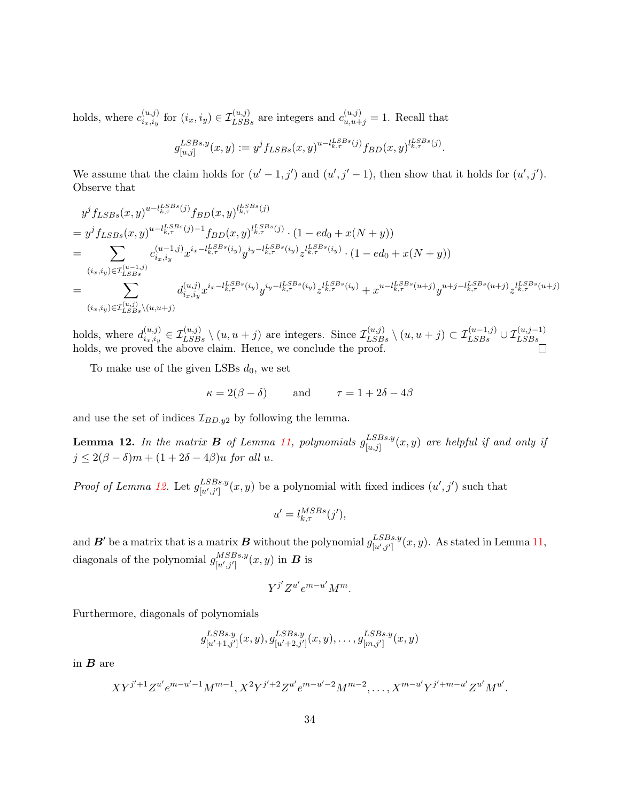holds, where  $c_{i_{n}}^{(u,j)}$  $f_{i_x,i_y}^{(u,j)}$  for  $(i_x,i_y) \in \mathcal{I}_{LSBs}^{(u,j)}$  are integers and  $c_{u,u+j}^{(u,j)} = 1$ . Recall that

$$
g_{[u,j]}^{LSBs,y}(x,y) := y^j f_{LSBs}(x,y)^{u-l_{k,\tau}^{LSBs}(j)} f_{BD}(x,y)^{l_{k,\tau}^{LSBs}(j)}.
$$

We assume that the claim holds for  $(u'-1,j')$  and  $(u',j'-1)$ , then show that it holds for  $(u',j')$ . Observe that

$$
y^{j} f_{LSBs}(x, y)^{u-l_{k,\tau}^{LSBs}(j)} f_{BD}(x, y)^{l_{k,\tau}^{LSBs}(j)}
$$
\n
$$
= y^{j} f_{LSBs}(x, y)^{u-l_{k,\tau}^{LSBs}(j)-1} f_{BD}(x, y)^{l_{k,\tau}^{LSBs}(j)} \cdot (1 - ed_{0} + x(N + y))
$$
\n
$$
= \sum_{(i_{x},i_{y}) \in \mathcal{I}_{LSBs}^{(u-1,j)}} c_{i_{x},i_{y}}^{(u-1,j)} x^{i_{x}-l_{k,\tau}^{LSBs}(i_{y})} y^{i_{y}-l_{k,\tau}^{LSBs}(i_{y})} z^{l_{k,\tau}^{LSBs}(i_{y})} \cdot (1 - ed_{0} + x(N + y))
$$
\n
$$
= \sum_{(i_{x},i_{y}) \in \mathcal{I}_{LSBs}^{(u-1,j)}} d_{i_{x},i_{y}}^{(u,j)} x^{i_{x}-l_{k,\tau}^{LSBs}(i_{y})} y^{i_{y}-l_{k,\tau}^{LSBs}(i_{y})} z^{l_{k,\tau}^{LSBs}(i_{y})} + x^{u-l_{k,\tau}^{LSBs}(u+j)} y^{u+j-l_{k,\tau}^{LSBs}(u+j)} z^{l_{k,\tau}^{LSBs}(u+j)}
$$
\n
$$
(i_{x},i_{y}) \in \mathcal{I}_{LSBs}^{(u,j)} \setminus (u,u+j)
$$

holds, where  $d_{i_n}^{(u,j)}$ holds, where  $d_{i_x,i_y}^{(u,j)} \in \mathcal{I}_{LSBs}^{(u,j)} \setminus (u, u + j)$  are integers. Since  $\mathcal{I}_{LSBs}^{(u,j)} \setminus (u, u + j) \subset \mathcal{I}_{LSBs}^{(u-1,j)} \cup \mathcal{I}_{LSBs}^{(u,j-1)}$ <br>holds, we proved the above claim. Hence, we conclude the proof.

To make use of the given LSBs  $d_0$ , we set

$$
\kappa = 2(\beta - \delta) \qquad \text{and} \qquad \tau = 1 + 2\delta - 4\beta
$$

and use the set of indices  $\mathcal{I}_{BD,y2}$  by following the lemma.

**Lemma 12.** In the matrix **B** of Lemma 11, polynomials  $g_{[u,i]}^{LSBs,y}$  $\lim_{[u,j]}^{L5BSy}(x,y)$  are helpful if and only if  $j \leq 2(\beta - \delta)m + (1 + 2\delta - 4\beta)u$  *for all u.* 

*Proof of Lemma 12.* Let *g LSBs.y*  $\int_{\left[u',j'\right]}^{L5BS,y}(x,y)$  be a polynomial with fixed indices  $(u',j')$  such that

$$
u' = l_{k,\tau}^{MSBs}(j'),
$$

and  $B'$  be a matrix that is a matrix  $B$  without the polynomial  $g_{i_0,i_1}^{LSBs,y}$  $\lim_{[u',j']}$   $(x,y)$ . As stated in Lemma 11, diagonals of the polynomial *g MSBs.y*  $\frac{MSDBS,y}{[u',j']}$  $(x,y)$  in  $\boldsymbol{B}$  is

$$
Y^{j'}Z^{u'}e^{m-u'}M^m.
$$

Furthermore, diagonals of polynomials

$$
g_{[u'+1,j']}^{LSBs,y}(x,y), g_{[u'+2,j']}^{LSBs,y}(x,y), \ldots, g_{[m,j']}^{LSBs,y}(x,y)
$$

in *B* are

$$
XY^{j'+1}Z^{u'}e^{m-u'-1}M^{m-1}, X^2Y^{j'+2}Z^{u'}e^{m-u'-2}M^{m-2}, \ldots, X^{m-u'}Y^{j'+m-u'}Z^{u'}M^{u'}.
$$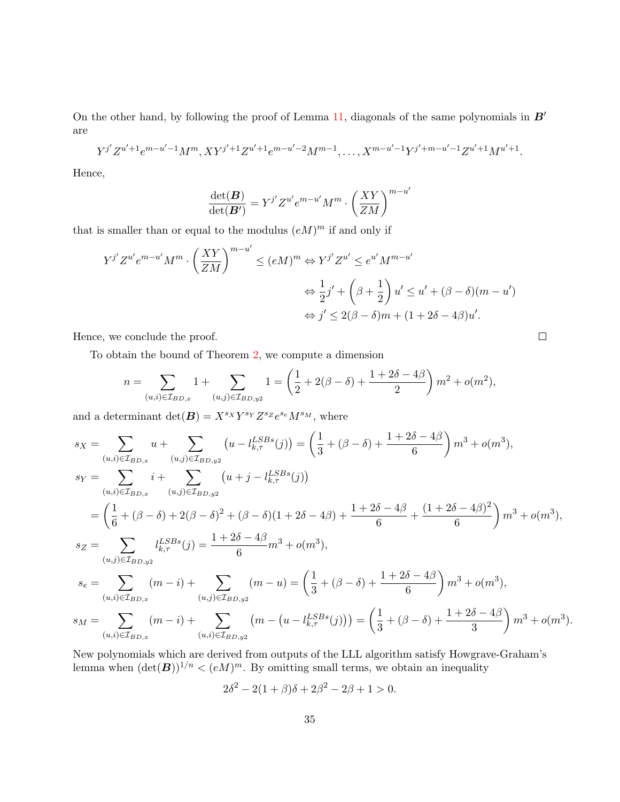On the other hand, by following the proof of Lemma 11, diagonals of the same polynomials in *B′* are

$$
Y^{j'}Z^{u'+1}e^{m-u'-1}M^m, XY^{j'+1}Z^{u'+1}e^{m-u'-2}M^{m-1}, \ldots, X^{m-u'-1}Y^{j'+m-u'-1}Z^{u'+1}M^{u'+1}.
$$

Hence,

$$
\frac{\det(\pmb{B})}{\det(\pmb{B}^\prime)} = Y^{j^\prime}Z^{u^\prime}e^{m-u^\prime}M^m\cdot \left(\frac{XY}{ZM}\right)^{m-u^\prime}
$$

that is smaller than or equal to the modulus  $(eM)^m$  if and only if

$$
Y^{j'}Z^{u'}e^{m-u'}M^m \cdot \left(\frac{XY}{ZM}\right)^{m-u'} \leq (eM)^m \Leftrightarrow Y^{j'}Z^{u'} \leq e^{u'}M^{m-u'}
$$

$$
\Leftrightarrow \frac{1}{2}j' + \left(\beta + \frac{1}{2}\right)u' \leq u' + (\beta - \delta)(m - u')
$$

$$
\Leftrightarrow j' \leq 2(\beta - \delta)m + (1 + 2\delta - 4\beta)u'.
$$

Hence, we conclude the proof.

To obtain the bound of Theorem 2, we compute a dimension

$$
n = \sum_{(u,i)\in\mathcal{I}_{BD,x}} 1 + \sum_{(u,j)\in\mathcal{I}_{BD,y2}} 1 = \left(\frac{1}{2} + 2(\beta - \delta) + \frac{1 + 2\delta - 4\beta}{2}\right) m^2 + o(m^2),
$$

and a determinant  $\det(\mathbf{B}) = X^{s_X} Y^{s_Y} Z^{s_Z} e^{s_e} M^{s_M}$ , where

$$
s_X = \sum_{(u,i)\in\mathcal{I}_{BD,x}} u + \sum_{(u,j)\in\mathcal{I}_{BD,y2}} (u - l_{k,\tau}^{LSBs}(j)) = \left(\frac{1}{3} + (\beta - \delta) + \frac{1 + 2\delta - 4\beta}{6}\right) m^3 + o(m^3),
$$
  
\n
$$
s_Y = \sum_{(u,i)\in\mathcal{I}_{BD,x}} i + \sum_{(u,j)\in\mathcal{I}_{BD,y2}} (u + j - l_{k,\tau}^{LSBs}(j))
$$
  
\n
$$
= \left(\frac{1}{6} + (\beta - \delta) + 2(\beta - \delta)^2 + (\beta - \delta)(1 + 2\delta - 4\beta) + \frac{1 + 2\delta - 4\beta}{6} + \frac{(1 + 2\delta - 4\beta)^2}{6}\right) m^3 + o(m^3),
$$
  
\n
$$
s_Z = \sum_{(u,j)\in\mathcal{I}_{BD,y2}} l_{k,\tau}^{LSBs}(j) = \frac{1 + 2\delta - 4\beta}{6} m^3 + o(m^3),
$$
  
\n
$$
s_e = \sum_{(u,i)\in\mathcal{I}_{BD,x}} (m - i) + \sum_{(u,j)\in\mathcal{I}_{BD,y2}} (m - u) = \left(\frac{1}{3} + (\beta - \delta) + \frac{1 + 2\delta - 4\beta}{6}\right) m^3 + o(m^3),
$$
  
\n
$$
s_M = \sum_{(u,i)\in\mathcal{I}_{BD,x}} (m - i) + \sum_{(u,i)\in\mathcal{I}_{BD,y2}} (m - (u - l_{k,\tau}^{LSBs}(j))) = \left(\frac{1}{3} + (\beta - \delta) + \frac{1 + 2\delta - 4\beta}{3}\right) m^3 + o(m^3).
$$

New polynomials which are derived from outputs of the LLL algorithm satisfy Howgrave-Graham's lemma when  $(\det(\mathbf{B}))^{1/n} < (eM)^m$ . By omitting small terms, we obtain an inequality

$$
2\delta^2 - 2(1+\beta)\delta + 2\beta^2 - 2\beta + 1 > 0.
$$

 $\Box$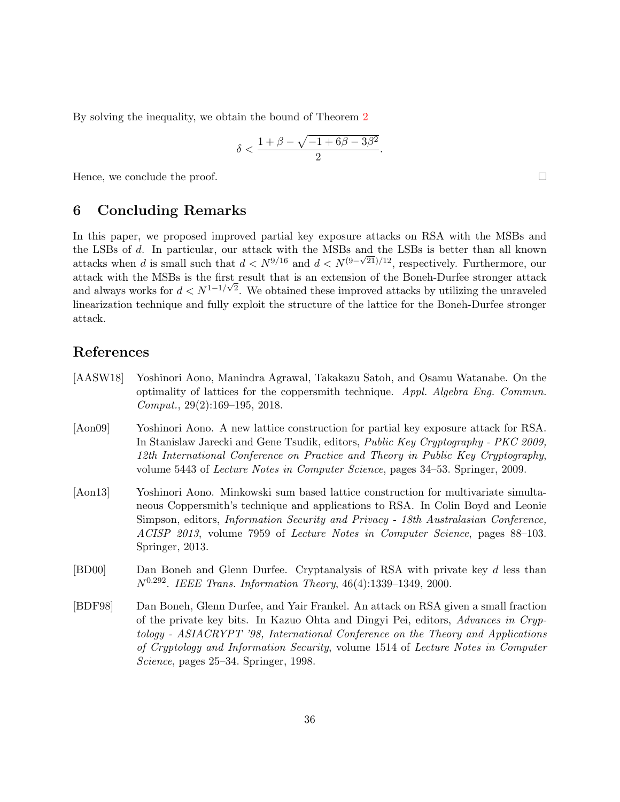By solving the inequality, we obtain the bound of Theorem 2

$$
\delta < \frac{1+\beta-\sqrt{-1+6\beta-3\beta^2}}{2}
$$

*.*

Hence, we conclude the proof.

## **6 Concluding Remarks**

In this paper, we proposed improved partial key exposure attacks on RSA with the MSBs and the LSBs of *d*. In particular, our attack with the MSBs and the LSBs is better than all known attacks when *d* is small such that  $d < N^{9/16}$  and  $d < N^{(9-\sqrt{21})/12}$ , respectively. Furthermore, our attack with the MSBs is the first result that is an extension of the Boneh-Durfee stronger attack and always works for  $d < N^{1-1/\sqrt{2}}$ . We obtained these improved attacks by utilizing the unraveled linearization technique and fully exploit the structure of the lattice for the Boneh-Durfee stronger attack.

# **References**

- [AASW18] Yoshinori Aono, Manindra Agrawal, Takakazu Satoh, and Osamu Watanabe. On the optimality of lattices for the coppersmith technique. *Appl. Algebra Eng. Commun. Comput.*, 29(2):169–195, 2018.
- [Aon09] Yoshinori Aono. A new lattice construction for partial key exposure attack for RSA. In Stanislaw Jarecki and Gene Tsudik, editors, *Public Key Cryptography - PKC 2009, 12th International Conference on Practice and Theory in Public Key Cryptography*, volume 5443 of *Lecture Notes in Computer Science*, pages 34–53. Springer, 2009.
- [Aon13] Yoshinori Aono. Minkowski sum based lattice construction for multivariate simultaneous Coppersmith's technique and applications to RSA. In Colin Boyd and Leonie Simpson, editors, *Information Security and Privacy - 18th Australasian Conference, ACISP 2013*, volume 7959 of *Lecture Notes in Computer Science*, pages 88–103. Springer, 2013.
- [BD00] Dan Boneh and Glenn Durfee. Cryptanalysis of RSA with private key *d* less than *N*0*.*<sup>292</sup> . *IEEE Trans. Information Theory*, 46(4):1339–1349, 2000.
- [BDF98] Dan Boneh, Glenn Durfee, and Yair Frankel. An attack on RSA given a small fraction of the private key bits. In Kazuo Ohta and Dingyi Pei, editors, *Advances in Cryptology - ASIACRYPT '98, International Conference on the Theory and Applications of Cryptology and Information Security*, volume 1514 of *Lecture Notes in Computer Science*, pages 25–34. Springer, 1998.

 $\Box$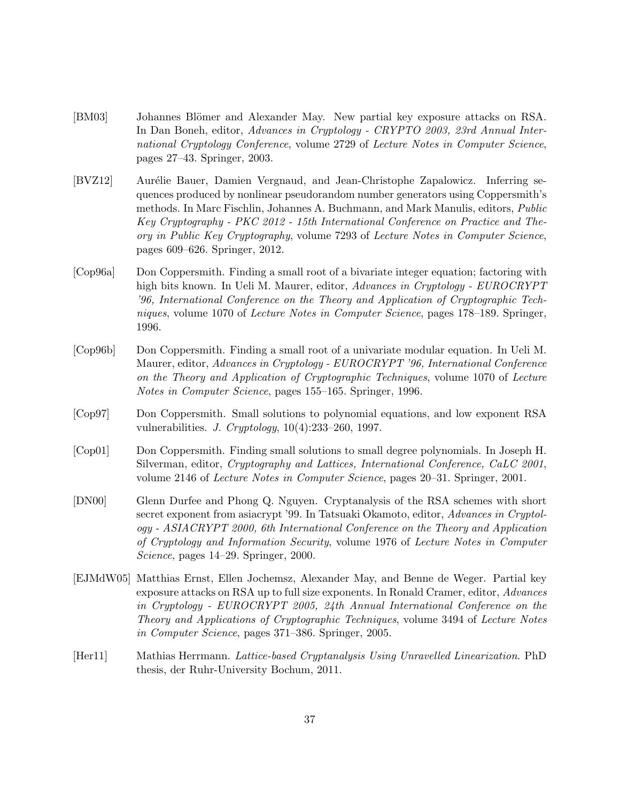- [BM03] Johannes Blömer and Alexander May. New partial key exposure attacks on RSA. In Dan Boneh, editor, *Advances in Cryptology - CRYPTO 2003, 23rd Annual International Cryptology Conference*, volume 2729 of *Lecture Notes in Computer Science*, pages 27–43. Springer, 2003.
- [BVZ12] Aurélie Bauer, Damien Vergnaud, and Jean-Christophe Zapalowicz. Inferring sequences produced by nonlinear pseudorandom number generators using Coppersmith's methods. In Marc Fischlin, Johannes A. Buchmann, and Mark Manulis, editors, *Public Key Cryptography - PKC 2012 - 15th International Conference on Practice and Theory in Public Key Cryptography*, volume 7293 of *Lecture Notes in Computer Science*, pages 609–626. Springer, 2012.
- [Cop96a] Don Coppersmith. Finding a small root of a bivariate integer equation; factoring with high bits known. In Ueli M. Maurer, editor, *Advances in Cryptology - EUROCRYPT '96, International Conference on the Theory and Application of Cryptographic Techniques*, volume 1070 of *Lecture Notes in Computer Science*, pages 178–189. Springer, 1996.
- [Cop96b] Don Coppersmith. Finding a small root of a univariate modular equation. In Ueli M. Maurer, editor, *Advances in Cryptology - EUROCRYPT '96, International Conference on the Theory and Application of Cryptographic Techniques*, volume 1070 of *Lecture Notes in Computer Science*, pages 155–165. Springer, 1996.
- [Cop97] Don Coppersmith. Small solutions to polynomial equations, and low exponent RSA vulnerabilities. *J. Cryptology*, 10(4):233–260, 1997.
- [Cop01] Don Coppersmith. Finding small solutions to small degree polynomials. In Joseph H. Silverman, editor, *Cryptography and Lattices, International Conference, CaLC 2001*, volume 2146 of *Lecture Notes in Computer Science*, pages 20–31. Springer, 2001.
- [DN00] Glenn Durfee and Phong Q. Nguyen. Cryptanalysis of the RSA schemes with short secret exponent from asiacrypt '99. In Tatsuaki Okamoto, editor, *Advances in Cryptology - ASIACRYPT 2000, 6th International Conference on the Theory and Application of Cryptology and Information Security*, volume 1976 of *Lecture Notes in Computer Science*, pages 14–29. Springer, 2000.
- [EJMdW05] Matthias Ernst, Ellen Jochemsz, Alexander May, and Benne de Weger. Partial key exposure attacks on RSA up to full size exponents. In Ronald Cramer, editor, *Advances in Cryptology - EUROCRYPT 2005, 24th Annual International Conference on the Theory and Applications of Cryptographic Techniques*, volume 3494 of *Lecture Notes in Computer Science*, pages 371–386. Springer, 2005.
- [Her11] Mathias Herrmann. *Lattice-based Cryptanalysis Using Unravelled Linearization*. PhD thesis, der Ruhr-University Bochum, 2011.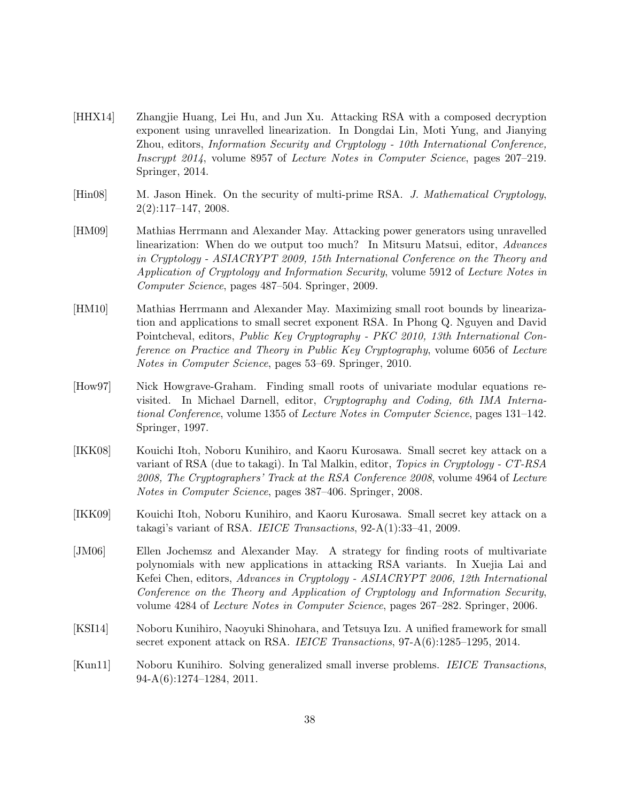- [HHX14] Zhangjie Huang, Lei Hu, and Jun Xu. Attacking RSA with a composed decryption exponent using unravelled linearization. In Dongdai Lin, Moti Yung, and Jianying Zhou, editors, *Information Security and Cryptology - 10th International Conference, Inscrypt 2014*, volume 8957 of *Lecture Notes in Computer Science*, pages 207–219. Springer, 2014.
- [Hin08] M. Jason Hinek. On the security of multi-prime RSA. *J. Mathematical Cryptology*, 2(2):117–147, 2008.
- [HM09] Mathias Herrmann and Alexander May. Attacking power generators using unravelled linearization: When do we output too much? In Mitsuru Matsui, editor, *Advances in Cryptology - ASIACRYPT 2009, 15th International Conference on the Theory and Application of Cryptology and Information Security*, volume 5912 of *Lecture Notes in Computer Science*, pages 487–504. Springer, 2009.
- [HM10] Mathias Herrmann and Alexander May. Maximizing small root bounds by linearization and applications to small secret exponent RSA. In Phong Q. Nguyen and David Pointcheval, editors, *Public Key Cryptography - PKC 2010, 13th International Conference on Practice and Theory in Public Key Cryptography*, volume 6056 of *Lecture Notes in Computer Science*, pages 53–69. Springer, 2010.
- [How97] Nick Howgrave-Graham. Finding small roots of univariate modular equations revisited. In Michael Darnell, editor, *Cryptography and Coding, 6th IMA International Conference*, volume 1355 of *Lecture Notes in Computer Science*, pages 131–142. Springer, 1997.
- [IKK08] Kouichi Itoh, Noboru Kunihiro, and Kaoru Kurosawa. Small secret key attack on a variant of RSA (due to takagi). In Tal Malkin, editor, *Topics in Cryptology - CT-RSA 2008, The Cryptographers' Track at the RSA Conference 2008*, volume 4964 of *Lecture Notes in Computer Science*, pages 387–406. Springer, 2008.
- [IKK09] Kouichi Itoh, Noboru Kunihiro, and Kaoru Kurosawa. Small secret key attack on a takagi's variant of RSA. *IEICE Transactions*, 92-A(1):33–41, 2009.
- [JM06] Ellen Jochemsz and Alexander May. A strategy for finding roots of multivariate polynomials with new applications in attacking RSA variants. In Xuejia Lai and Kefei Chen, editors, *Advances in Cryptology - ASIACRYPT 2006, 12th International Conference on the Theory and Application of Cryptology and Information Security*, volume 4284 of *Lecture Notes in Computer Science*, pages 267–282. Springer, 2006.
- [KSI14] Noboru Kunihiro, Naoyuki Shinohara, and Tetsuya Izu. A unified framework for small secret exponent attack on RSA. *IEICE Transactions*, 97-A(6):1285–1295, 2014.
- [Kun11] Noboru Kunihiro. Solving generalized small inverse problems. *IEICE Transactions*, 94-A(6):1274–1284, 2011.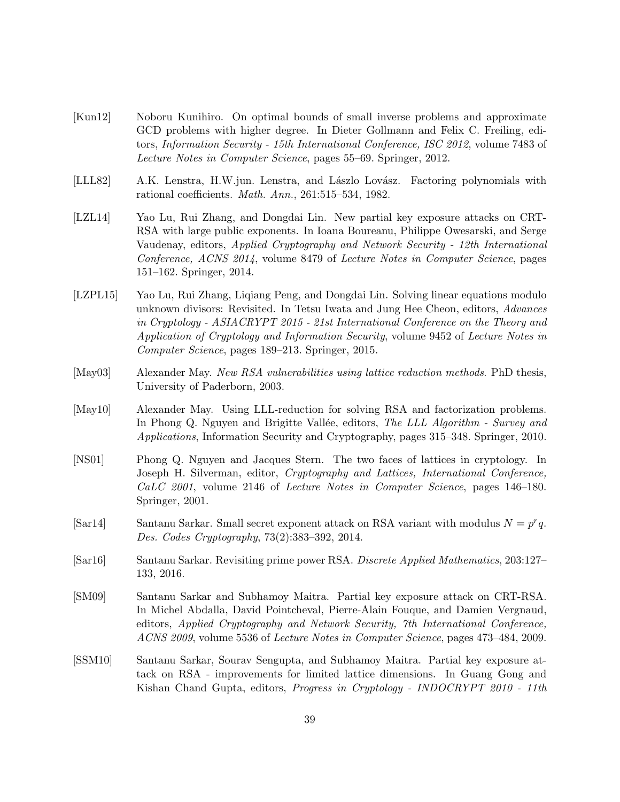- [Kun12] Noboru Kunihiro. On optimal bounds of small inverse problems and approximate GCD problems with higher degree. In Dieter Gollmann and Felix C. Freiling, editors, *Information Security - 15th International Conference, ISC 2012*, volume 7483 of *Lecture Notes in Computer Science*, pages 55–69. Springer, 2012.
- [LLL82] A.K. Lenstra, H.W.jun. Lenstra, and Lászlo Lovász. Factoring polynomials with rational coefficients. *Math. Ann.*, 261:515–534, 1982.
- [LZL14] Yao Lu, Rui Zhang, and Dongdai Lin. New partial key exposure attacks on CRT-RSA with large public exponents. In Ioana Boureanu, Philippe Owesarski, and Serge Vaudenay, editors, *Applied Cryptography and Network Security - 12th International Conference, ACNS 2014*, volume 8479 of *Lecture Notes in Computer Science*, pages 151–162. Springer, 2014.
- [LZPL15] Yao Lu, Rui Zhang, Liqiang Peng, and Dongdai Lin. Solving linear equations modulo unknown divisors: Revisited. In Tetsu Iwata and Jung Hee Cheon, editors, *Advances in Cryptology - ASIACRYPT 2015 - 21st International Conference on the Theory and Application of Cryptology and Information Security*, volume 9452 of *Lecture Notes in Computer Science*, pages 189–213. Springer, 2015.
- [May03] Alexander May. *New RSA vulnerabilities using lattice reduction methods*. PhD thesis, University of Paderborn, 2003.
- [May10] Alexander May. Using LLL-reduction for solving RSA and factorization problems. In Phong Q. Nguyen and Brigitte Vallée, editors, *The LLL Algorithm - Survey and Applications*, Information Security and Cryptography, pages 315–348. Springer, 2010.
- [NS01] Phong Q. Nguyen and Jacques Stern. The two faces of lattices in cryptology. In Joseph H. Silverman, editor, *Cryptography and Lattices, International Conference, CaLC 2001*, volume 2146 of *Lecture Notes in Computer Science*, pages 146–180. Springer, 2001.
- [Sar14] Santanu Sarkar. Small secret exponent attack on RSA variant with modulus  $N = p^r q$ . *Des. Codes Cryptography*, 73(2):383–392, 2014.
- [Sar16] Santanu Sarkar. Revisiting prime power RSA. *Discrete Applied Mathematics*, 203:127– 133, 2016.
- [SM09] Santanu Sarkar and Subhamoy Maitra. Partial key exposure attack on CRT-RSA. In Michel Abdalla, David Pointcheval, Pierre-Alain Fouque, and Damien Vergnaud, editors, *Applied Cryptography and Network Security, 7th International Conference, ACNS 2009*, volume 5536 of *Lecture Notes in Computer Science*, pages 473–484, 2009.
- [SSM10] Santanu Sarkar, Sourav Sengupta, and Subhamoy Maitra. Partial key exposure attack on RSA - improvements for limited lattice dimensions. In Guang Gong and Kishan Chand Gupta, editors, *Progress in Cryptology - INDOCRYPT 2010 - 11th*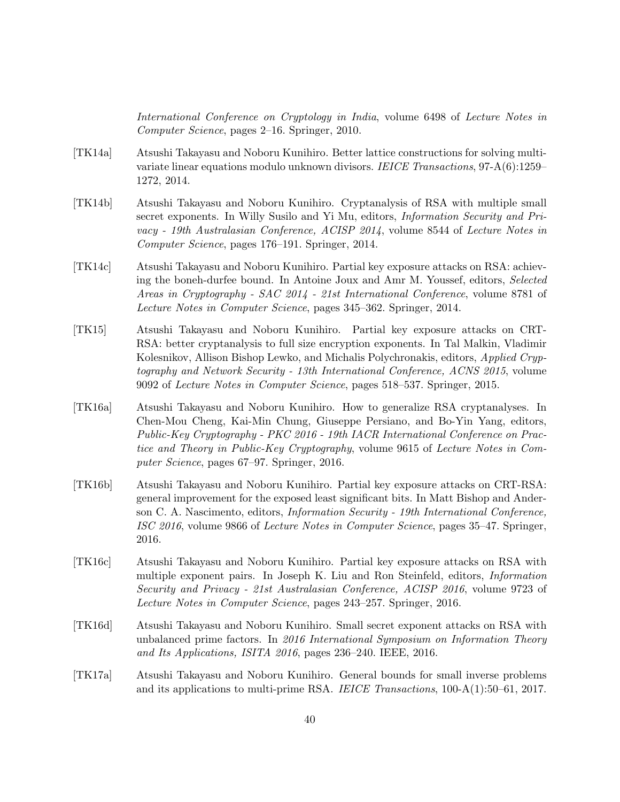*International Conference on Cryptology in India*, volume 6498 of *Lecture Notes in Computer Science*, pages 2–16. Springer, 2010.

- [TK14a] Atsushi Takayasu and Noboru Kunihiro. Better lattice constructions for solving multivariate linear equations modulo unknown divisors. *IEICE Transactions*, 97-A(6):1259– 1272, 2014.
- [TK14b] Atsushi Takayasu and Noboru Kunihiro. Cryptanalysis of RSA with multiple small secret exponents. In Willy Susilo and Yi Mu, editors, *Information Security and Privacy - 19th Australasian Conference, ACISP 2014*, volume 8544 of *Lecture Notes in Computer Science*, pages 176–191. Springer, 2014.
- [TK14c] Atsushi Takayasu and Noboru Kunihiro. Partial key exposure attacks on RSA: achieving the boneh-durfee bound. In Antoine Joux and Amr M. Youssef, editors, *Selected Areas in Cryptography - SAC 2014 - 21st International Conference*, volume 8781 of *Lecture Notes in Computer Science*, pages 345–362. Springer, 2014.
- [TK15] Atsushi Takayasu and Noboru Kunihiro. Partial key exposure attacks on CRT-RSA: better cryptanalysis to full size encryption exponents. In Tal Malkin, Vladimir Kolesnikov, Allison Bishop Lewko, and Michalis Polychronakis, editors, *Applied Cryptography and Network Security - 13th International Conference, ACNS 2015*, volume 9092 of *Lecture Notes in Computer Science*, pages 518–537. Springer, 2015.
- [TK16a] Atsushi Takayasu and Noboru Kunihiro. How to generalize RSA cryptanalyses. In Chen-Mou Cheng, Kai-Min Chung, Giuseppe Persiano, and Bo-Yin Yang, editors, *Public-Key Cryptography - PKC 2016 - 19th IACR International Conference on Practice and Theory in Public-Key Cryptography*, volume 9615 of *Lecture Notes in Computer Science*, pages 67–97. Springer, 2016.
- [TK16b] Atsushi Takayasu and Noboru Kunihiro. Partial key exposure attacks on CRT-RSA: general improvement for the exposed least significant bits. In Matt Bishop and Anderson C. A. Nascimento, editors, *Information Security - 19th International Conference, ISC 2016*, volume 9866 of *Lecture Notes in Computer Science*, pages 35–47. Springer, 2016.
- [TK16c] Atsushi Takayasu and Noboru Kunihiro. Partial key exposure attacks on RSA with multiple exponent pairs. In Joseph K. Liu and Ron Steinfeld, editors, *Information Security and Privacy - 21st Australasian Conference, ACISP 2016*, volume 9723 of *Lecture Notes in Computer Science*, pages 243–257. Springer, 2016.
- [TK16d] Atsushi Takayasu and Noboru Kunihiro. Small secret exponent attacks on RSA with unbalanced prime factors. In *2016 International Symposium on Information Theory and Its Applications, ISITA 2016*, pages 236–240. IEEE, 2016.
- [TK17a] Atsushi Takayasu and Noboru Kunihiro. General bounds for small inverse problems and its applications to multi-prime RSA. *IEICE Transactions*, 100-A(1):50–61, 2017.